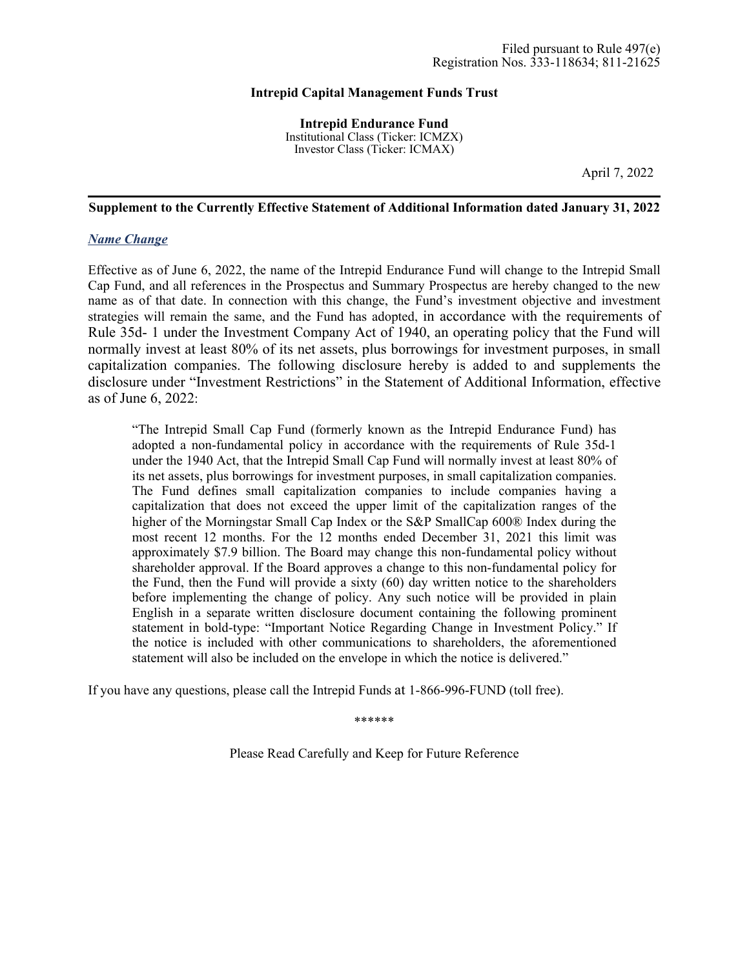### **Intrepid Capital Management Funds Trust**

**Intrepid Endurance Fund** Institutional Class (Ticker: ICMZX) Investor Class (Ticker: ICMAX)

April 7, 2022

### **Supplement to the Currently Effective Statement of Additional Information dated January 31, 2022**

### *Name Change*

Effective as of June 6, 2022, the name of the Intrepid Endurance Fund will change to the Intrepid Small Cap Fund, and all references in the Prospectus and Summary Prospectus are hereby changed to the new name as of that date. In connection with this change, the Fund's investment objective and investment strategies will remain the same, and the Fund has adopted, in accordance with the requirements of Rule 35d- 1 under the Investment Company Act of 1940, an operating policy that the Fund will normally invest at least 80% of its net assets, plus borrowings for investment purposes, in small capitalization companies. The following disclosure hereby is added to and supplements the disclosure under "Investment Restrictions" in the Statement of Additional Information, effective as of June 6, 2022:

"The Intrepid Small Cap Fund (formerly known as the Intrepid Endurance Fund) has adopted a non-fundamental policy in accordance with the requirements of Rule 35d-1 under the 1940 Act, that the Intrepid Small Cap Fund will normally invest at least 80% of its net assets, plus borrowings for investment purposes, in small capitalization companies. The Fund defines small capitalization companies to include companies having a capitalization that does not exceed the upper limit of the capitalization ranges of the higher of the Morningstar Small Cap Index or the S&P SmallCap 600® Index during the most recent 12 months. For the 12 months ended December 31, 2021 this limit was approximately \$7.9 billion. The Board may change this non-fundamental policy without shareholder approval. If the Board approves a change to this non-fundamental policy for the Fund, then the Fund will provide a sixty (60) day written notice to the shareholders before implementing the change of policy. Any such notice will be provided in plain English in a separate written disclosure document containing the following prominent statement in bold-type: "Important Notice Regarding Change in Investment Policy." If the notice is included with other communications to shareholders, the aforementioned statement will also be included on the envelope in which the notice is delivered."

If you have any questions, please call the Intrepid Funds at 1-866-996-FUND (toll free).

\*\*\*\*\*\*

Please Read Carefully and Keep for Future Reference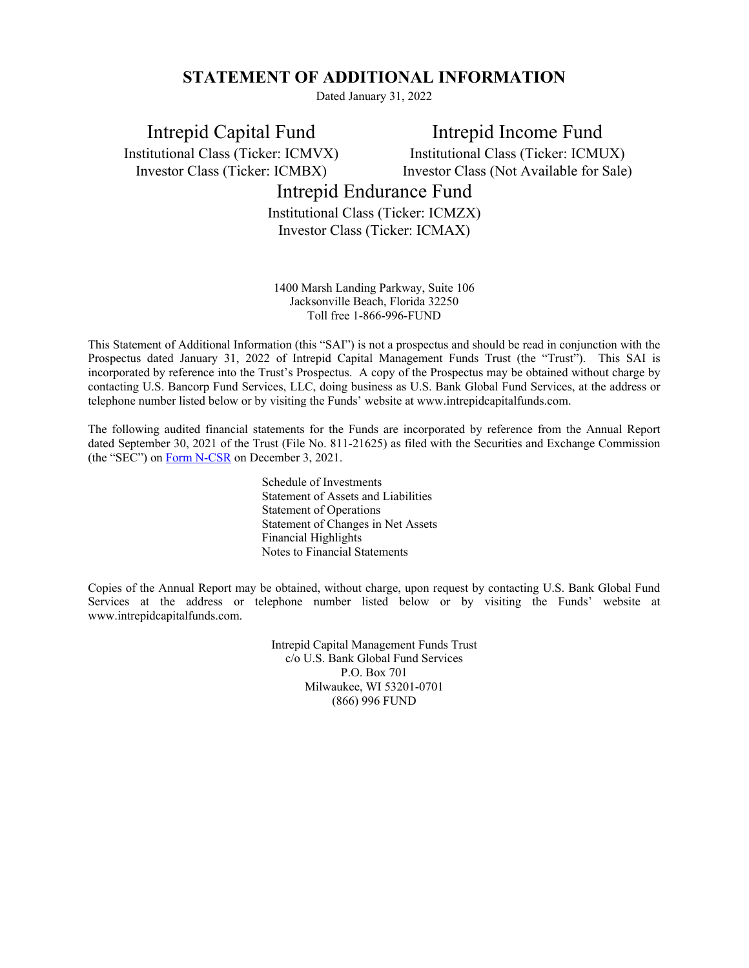## **STATEMENT OF ADDITIONAL INFORMATION**

Dated January 31, 2022

Intrepid Capital Fund Institutional Class (Ticker: ICMVX)

Investor Class (Ticker: ICMBX)

Intrepid Income Fund

Institutional Class (Ticker: ICMUX) Investor Class (Not Available for Sale)

Intrepid Endurance Fund

Institutional Class (Ticker: ICMZX) Investor Class (Ticker: ICMAX)

1400 Marsh Landing Parkway, Suite 106 Jacksonville Beach, Florida 32250 Toll free 1-866-996-FUND

This Statement of Additional Information (this "SAI") is not a prospectus and should be read in conjunction with the Prospectus dated January 31, 2022 of Intrepid Capital Management Funds Trust (the "Trust"). This SAI is incorporated by reference into the Trust's Prospectus. A copy of the Prospectus may be obtained without charge by contacting U.S. Bancorp Fund Services, LLC, doing business as U.S. Bank Global Fund Services, at the address or telephone number listed below or by visiting the Funds' website at www.intrepidcapitalfunds.com.

The following audited financial statements for the Funds are incorporated by reference from the Annual Report dated September 30, 2021 of the Trust (File No. 811-21625) as filed with the Securities and Exchange Commission (the "SEC") on [Form N-CSR](http://www.sec.gov/Archives/edgar/data/1300746/000089853121000528/icmft-ncsra.htm) on December 3, 2021.

> Schedule of Investments Statement of Assets and Liabilities Statement of Operations Statement of Changes in Net Assets Financial Highlights Notes to Financial Statements

Copies of the Annual Report may be obtained, without charge, upon request by contacting U.S. Bank Global Fund Services at the address or telephone number listed below or by visiting the Funds' website at www.intrepidcapitalfunds.com.

> Intrepid Capital Management Funds Trust c/o U.S. Bank Global Fund Services P.O. Box 701 Milwaukee, WI 53201-0701 (866) 996 FUND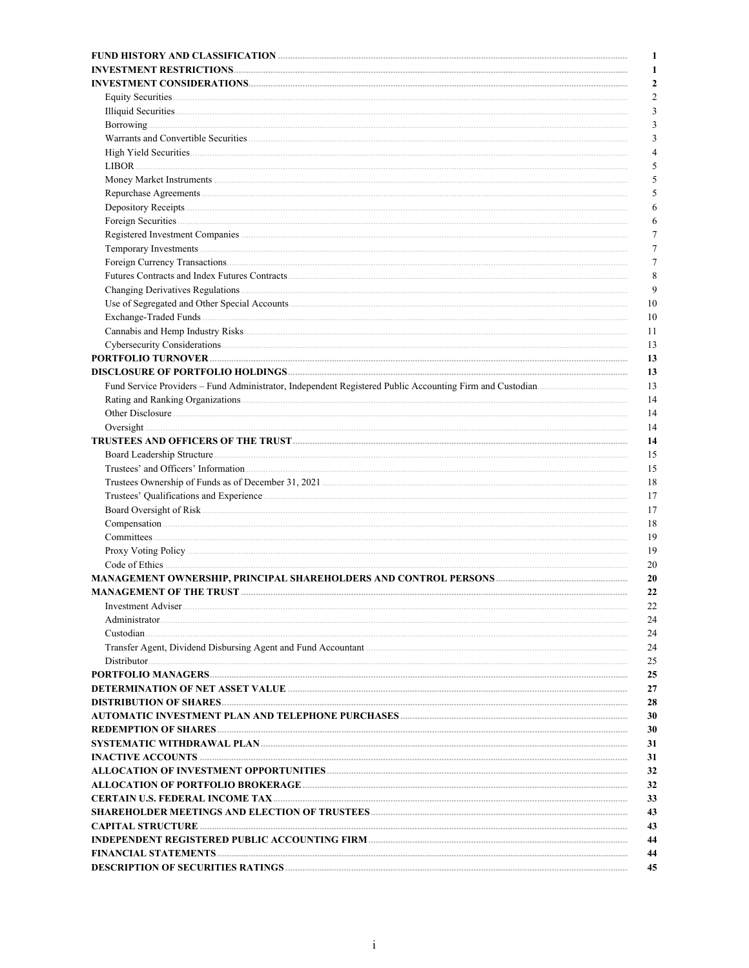| 10 |
|----|
| 10 |
| 11 |
| 13 |
| 13 |
| 13 |
| 13 |
| 14 |
| 14 |
| 14 |
| 14 |
| 15 |
| 15 |
| 18 |
| 17 |
| 17 |
| 18 |
| 19 |
| 19 |
|    |
| 20 |
| 20 |
| 22 |
| 22 |
| 24 |
| 24 |
| 24 |
| 25 |
| 25 |
| 27 |
| 28 |
| 30 |
| 30 |
| 31 |
| 31 |
| 32 |
| 32 |
| 33 |
| 43 |
|    |
| 43 |
| 44 |
| 44 |
| 45 |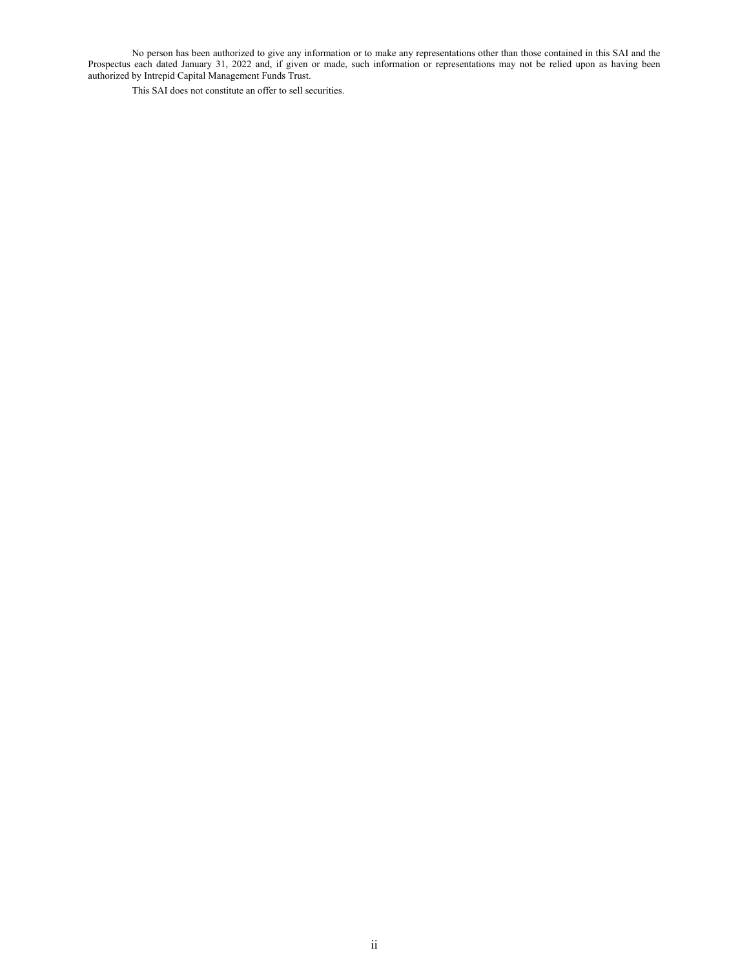No person has been authorized to give any information or to make any representations other than those contained in this SAI and the Prospectus each dated January 31, 2022 and, if given or made, such information or representations may not be relied upon as having been authorized by Intrepid Capital Management Funds Trust.

This SAI does not constitute an offer to sell securities.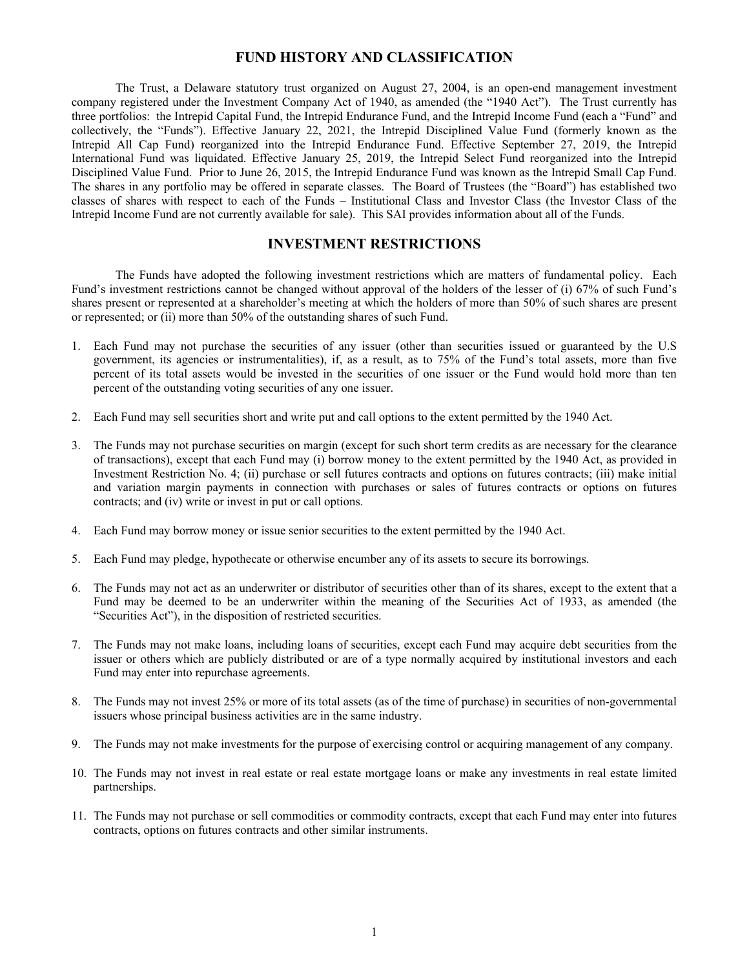### **FUND HISTORY AND CLASSIFICATION**

<span id="page-4-0"></span>The Trust, a Delaware statutory trust organized on August 27, 2004, is an open-end management investment company registered under the Investment Company Act of 1940, as amended (the "1940 Act"). The Trust currently has three portfolios: the Intrepid Capital Fund, the Intrepid Endurance Fund, and the Intrepid Income Fund (each a "Fund" and collectively, the "Funds"). Effective January 22, 2021, the Intrepid Disciplined Value Fund (formerly known as the Intrepid All Cap Fund) reorganized into the Intrepid Endurance Fund. Effective September 27, 2019, the Intrepid International Fund was liquidated. Effective January 25, 2019, the Intrepid Select Fund reorganized into the Intrepid Disciplined Value Fund. Prior to June 26, 2015, the Intrepid Endurance Fund was known as the Intrepid Small Cap Fund. The shares in any portfolio may be offered in separate classes. The Board of Trustees (the "Board") has established two classes of shares with respect to each of the Funds – Institutional Class and Investor Class (the Investor Class of the Intrepid Income Fund are not currently available for sale). This SAI provides information about all of the Funds.

### **INVESTMENT RESTRICTIONS**

The Funds have adopted the following investment restrictions which are matters of fundamental policy. Each Fund's investment restrictions cannot be changed without approval of the holders of the lesser of (i) 67% of such Fund's shares present or represented at a shareholder's meeting at which the holders of more than 50% of such shares are present or represented; or (ii) more than 50% of the outstanding shares of such Fund.

- 1. Each Fund may not purchase the securities of any issuer (other than securities issued or guaranteed by the U.S government, its agencies or instrumentalities), if, as a result, as to 75% of the Fund's total assets, more than five percent of its total assets would be invested in the securities of one issuer or the Fund would hold more than ten percent of the outstanding voting securities of any one issuer.
- 2. Each Fund may sell securities short and write put and call options to the extent permitted by the 1940 Act.
- 3. The Funds may not purchase securities on margin (except for such short term credits as are necessary for the clearance of transactions), except that each Fund may (i) borrow money to the extent permitted by the 1940 Act, as provided in Investment Restriction No. 4; (ii) purchase or sell futures contracts and options on futures contracts; (iii) make initial and variation margin payments in connection with purchases or sales of futures contracts or options on futures contracts; and (iv) write or invest in put or call options.
- 4. Each Fund may borrow money or issue senior securities to the extent permitted by the 1940 Act.
- 5. Each Fund may pledge, hypothecate or otherwise encumber any of its assets to secure its borrowings.
- 6. The Funds may not act as an underwriter or distributor of securities other than of its shares, except to the extent that a Fund may be deemed to be an underwriter within the meaning of the Securities Act of 1933, as amended (the "Securities Act"), in the disposition of restricted securities.
- 7. The Funds may not make loans, including loans of securities, except each Fund may acquire debt securities from the issuer or others which are publicly distributed or are of a type normally acquired by institutional investors and each Fund may enter into repurchase agreements.
- 8. The Funds may not invest 25% or more of its total assets (as of the time of purchase) in securities of non-governmental issuers whose principal business activities are in the same industry.
- 9. The Funds may not make investments for the purpose of exercising control or acquiring management of any company.
- 10. The Funds may not invest in real estate or real estate mortgage loans or make any investments in real estate limited partnerships.
- 11. The Funds may not purchase or sell commodities or commodity contracts, except that each Fund may enter into futures contracts, options on futures contracts and other similar instruments.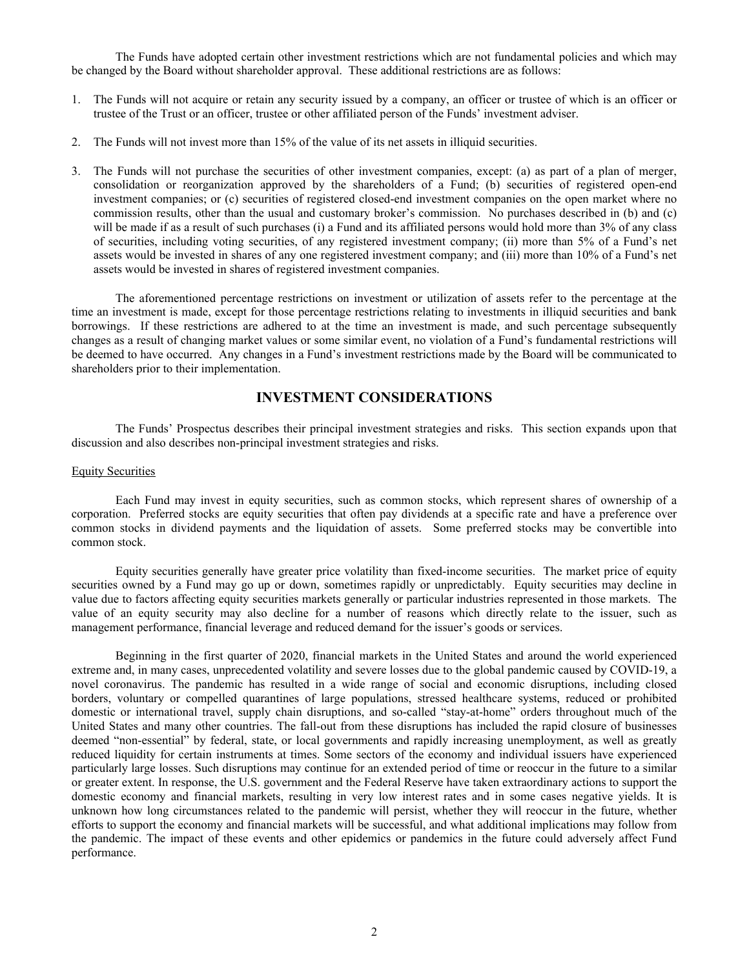<span id="page-5-0"></span>The Funds have adopted certain other investment restrictions which are not fundamental policies and which may be changed by the Board without shareholder approval. These additional restrictions are as follows:

- 1. The Funds will not acquire or retain any security issued by a company, an officer or trustee of which is an officer or trustee of the Trust or an officer, trustee or other affiliated person of the Funds' investment adviser.
- 2. The Funds will not invest more than 15% of the value of its net assets in illiquid securities.
- 3. The Funds will not purchase the securities of other investment companies, except: (a) as part of a plan of merger, consolidation or reorganization approved by the shareholders of a Fund; (b) securities of registered open-end investment companies; or (c) securities of registered closed-end investment companies on the open market where no commission results, other than the usual and customary broker's commission. No purchases described in (b) and (c) will be made if as a result of such purchases (i) a Fund and its affiliated persons would hold more than 3% of any class of securities, including voting securities, of any registered investment company; (ii) more than 5% of a Fund's net assets would be invested in shares of any one registered investment company; and (iii) more than 10% of a Fund's net assets would be invested in shares of registered investment companies.

The aforementioned percentage restrictions on investment or utilization of assets refer to the percentage at the time an investment is made, except for those percentage restrictions relating to investments in illiquid securities and bank borrowings. If these restrictions are adhered to at the time an investment is made, and such percentage subsequently changes as a result of changing market values or some similar event, no violation of a Fund's fundamental restrictions will be deemed to have occurred. Any changes in a Fund's investment restrictions made by the Board will be communicated to shareholders prior to their implementation.

### **INVESTMENT CONSIDERATIONS**

The Funds' Prospectus describes their principal investment strategies and risks. This section expands upon that discussion and also describes non-principal investment strategies and risks.

### Equity Securities

Each Fund may invest in equity securities, such as common stocks, which represent shares of ownership of a corporation. Preferred stocks are equity securities that often pay dividends at a specific rate and have a preference over common stocks in dividend payments and the liquidation of assets. Some preferred stocks may be convertible into common stock.

Equity securities generally have greater price volatility than fixed-income securities. The market price of equity securities owned by a Fund may go up or down, sometimes rapidly or unpredictably. Equity securities may decline in value due to factors affecting equity securities markets generally or particular industries represented in those markets. The value of an equity security may also decline for a number of reasons which directly relate to the issuer, such as management performance, financial leverage and reduced demand for the issuer's goods or services.

Beginning in the first quarter of 2020, financial markets in the United States and around the world experienced extreme and, in many cases, unprecedented volatility and severe losses due to the global pandemic caused by COVID-19, a novel coronavirus. The pandemic has resulted in a wide range of social and economic disruptions, including closed borders, voluntary or compelled quarantines of large populations, stressed healthcare systems, reduced or prohibited domestic or international travel, supply chain disruptions, and so-called "stay-at-home" orders throughout much of the United States and many other countries. The fall-out from these disruptions has included the rapid closure of businesses deemed "non-essential" by federal, state, or local governments and rapidly increasing unemployment, as well as greatly reduced liquidity for certain instruments at times. Some sectors of the economy and individual issuers have experienced particularly large losses. Such disruptions may continue for an extended period of time or reoccur in the future to a similar or greater extent. In response, the U.S. government and the Federal Reserve have taken extraordinary actions to support the domestic economy and financial markets, resulting in very low interest rates and in some cases negative yields. It is unknown how long circumstances related to the pandemic will persist, whether they will reoccur in the future, whether efforts to support the economy and financial markets will be successful, and what additional implications may follow from the pandemic. The impact of these events and other epidemics or pandemics in the future could adversely affect Fund performance.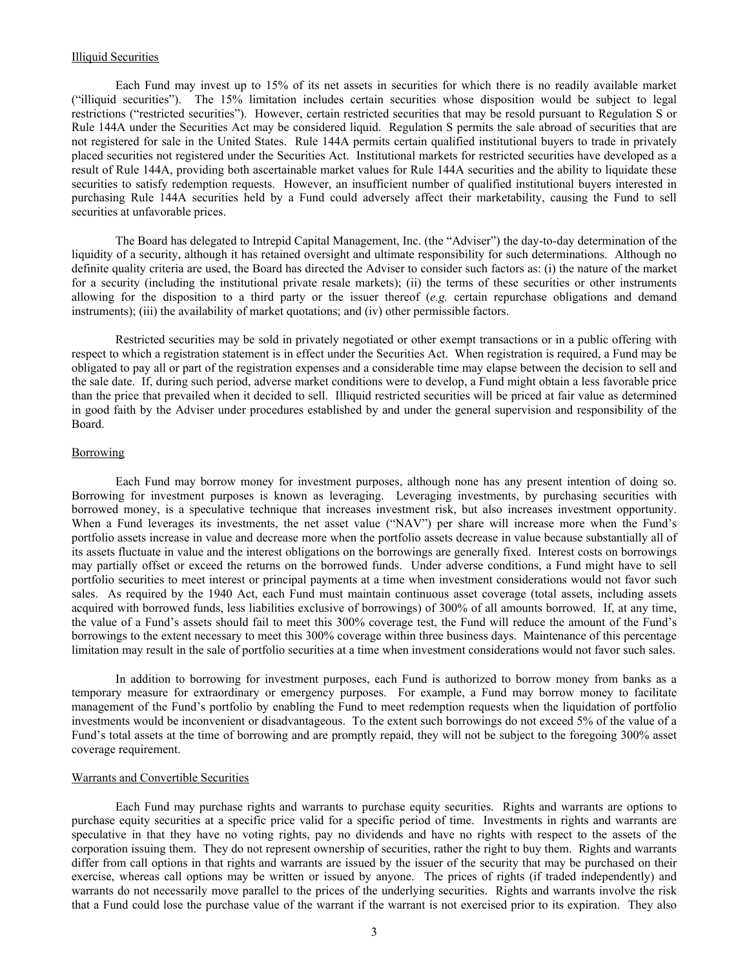#### <span id="page-6-0"></span>Illiquid Securities

Each Fund may invest up to 15% of its net assets in securities for which there is no readily available market ("illiquid securities"). The 15% limitation includes certain securities whose disposition would be subject to legal restrictions ("restricted securities"). However, certain restricted securities that may be resold pursuant to Regulation S or Rule 144A under the Securities Act may be considered liquid. Regulation S permits the sale abroad of securities that are not registered for sale in the United States. Rule 144A permits certain qualified institutional buyers to trade in privately placed securities not registered under the Securities Act. Institutional markets for restricted securities have developed as a result of Rule 144A, providing both ascertainable market values for Rule 144A securities and the ability to liquidate these securities to satisfy redemption requests. However, an insufficient number of qualified institutional buyers interested in purchasing Rule 144A securities held by a Fund could adversely affect their marketability, causing the Fund to sell securities at unfavorable prices.

The Board has delegated to Intrepid Capital Management, Inc. (the "Adviser") the day-to-day determination of the liquidity of a security, although it has retained oversight and ultimate responsibility for such determinations. Although no definite quality criteria are used, the Board has directed the Adviser to consider such factors as: (i) the nature of the market for a security (including the institutional private resale markets); (ii) the terms of these securities or other instruments allowing for the disposition to a third party or the issuer thereof (*e.g.* certain repurchase obligations and demand instruments); (iii) the availability of market quotations; and (iv) other permissible factors.

Restricted securities may be sold in privately negotiated or other exempt transactions or in a public offering with respect to which a registration statement is in effect under the Securities Act. When registration is required, a Fund may be obligated to pay all or part of the registration expenses and a considerable time may elapse between the decision to sell and the sale date. If, during such period, adverse market conditions were to develop, a Fund might obtain a less favorable price than the price that prevailed when it decided to sell. Illiquid restricted securities will be priced at fair value as determined in good faith by the Adviser under procedures established by and under the general supervision and responsibility of the Board.

#### Borrowing

Each Fund may borrow money for investment purposes, although none has any present intention of doing so. Borrowing for investment purposes is known as leveraging. Leveraging investments, by purchasing securities with borrowed money, is a speculative technique that increases investment risk, but also increases investment opportunity. When a Fund leverages its investments, the net asset value ("NAV") per share will increase more when the Fund's portfolio assets increase in value and decrease more when the portfolio assets decrease in value because substantially all of its assets fluctuate in value and the interest obligations on the borrowings are generally fixed. Interest costs on borrowings may partially offset or exceed the returns on the borrowed funds. Under adverse conditions, a Fund might have to sell portfolio securities to meet interest or principal payments at a time when investment considerations would not favor such sales. As required by the 1940 Act, each Fund must maintain continuous asset coverage (total assets, including assets acquired with borrowed funds, less liabilities exclusive of borrowings) of 300% of all amounts borrowed. If, at any time, the value of a Fund's assets should fail to meet this 300% coverage test, the Fund will reduce the amount of the Fund's borrowings to the extent necessary to meet this 300% coverage within three business days. Maintenance of this percentage limitation may result in the sale of portfolio securities at a time when investment considerations would not favor such sales.

In addition to borrowing for investment purposes, each Fund is authorized to borrow money from banks as a temporary measure for extraordinary or emergency purposes. For example, a Fund may borrow money to facilitate management of the Fund's portfolio by enabling the Fund to meet redemption requests when the liquidation of portfolio investments would be inconvenient or disadvantageous. To the extent such borrowings do not exceed 5% of the value of a Fund's total assets at the time of borrowing and are promptly repaid, they will not be subject to the foregoing 300% asset coverage requirement.

#### Warrants and Convertible Securities

Each Fund may purchase rights and warrants to purchase equity securities. Rights and warrants are options to purchase equity securities at a specific price valid for a specific period of time. Investments in rights and warrants are speculative in that they have no voting rights, pay no dividends and have no rights with respect to the assets of the corporation issuing them. They do not represent ownership of securities, rather the right to buy them. Rights and warrants differ from call options in that rights and warrants are issued by the issuer of the security that may be purchased on their exercise, whereas call options may be written or issued by anyone. The prices of rights (if traded independently) and warrants do not necessarily move parallel to the prices of the underlying securities. Rights and warrants involve the risk that a Fund could lose the purchase value of the warrant if the warrant is not exercised prior to its expiration. They also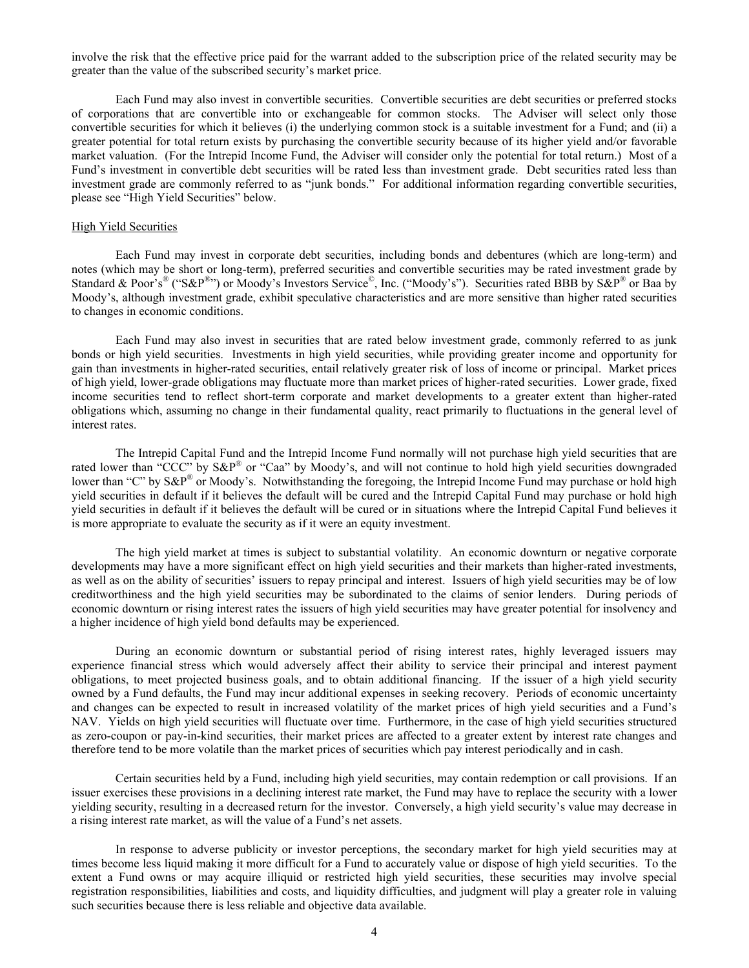<span id="page-7-0"></span>involve the risk that the effective price paid for the warrant added to the subscription price of the related security may be greater than the value of the subscribed security's market price.

Each Fund may also invest in convertible securities. Convertible securities are debt securities or preferred stocks of corporations that are convertible into or exchangeable for common stocks. The Adviser will select only those convertible securities for which it believes (i) the underlying common stock is a suitable investment for a Fund; and (ii) a greater potential for total return exists by purchasing the convertible security because of its higher yield and/or favorable market valuation. (For the Intrepid Income Fund, the Adviser will consider only the potential for total return.) Most of a Fund's investment in convertible debt securities will be rated less than investment grade. Debt securities rated less than investment grade are commonly referred to as "junk bonds." For additional information regarding convertible securities, please see "High Yield Securities" below.

#### High Yield Securities

Each Fund may invest in corporate debt securities, including bonds and debentures (which are long-term) and notes (which may be short or long-term), preferred securities and convertible securities may be rated investment grade by Standard & Poor's<sup>®</sup> ("S&P<sup>®</sup>") or Moody's Investors Service<sup>©</sup>, Inc. ("Moody's"). Securities rated BBB by S&P<sup>®</sup> or Baa by Moody's, although investment grade, exhibit speculative characteristics and are more sensitive than higher rated securities to changes in economic conditions.

Each Fund may also invest in securities that are rated below investment grade, commonly referred to as junk bonds or high yield securities. Investments in high yield securities, while providing greater income and opportunity for gain than investments in higher-rated securities, entail relatively greater risk of loss of income or principal. Market prices of high yield, lower-grade obligations may fluctuate more than market prices of higher-rated securities. Lower grade, fixed income securities tend to reflect short-term corporate and market developments to a greater extent than higher-rated obligations which, assuming no change in their fundamental quality, react primarily to fluctuations in the general level of interest rates.

The Intrepid Capital Fund and the Intrepid Income Fund normally will not purchase high yield securities that are rated lower than "CCC" by S&P® or "Caa" by Moody's, and will not continue to hold high yield securities downgraded lower than "C" by S&P<sup>®</sup> or Moody's. Notwithstanding the foregoing, the Intrepid Income Fund may purchase or hold high yield securities in default if it believes the default will be cured and the Intrepid Capital Fund may purchase or hold high yield securities in default if it believes the default will be cured or in situations where the Intrepid Capital Fund believes it is more appropriate to evaluate the security as if it were an equity investment.

The high yield market at times is subject to substantial volatility. An economic downturn or negative corporate developments may have a more significant effect on high yield securities and their markets than higher-rated investments, as well as on the ability of securities' issuers to repay principal and interest. Issuers of high yield securities may be of low creditworthiness and the high yield securities may be subordinated to the claims of senior lenders. During periods of economic downturn or rising interest rates the issuers of high yield securities may have greater potential for insolvency and a higher incidence of high yield bond defaults may be experienced.

During an economic downturn or substantial period of rising interest rates, highly leveraged issuers may experience financial stress which would adversely affect their ability to service their principal and interest payment obligations, to meet projected business goals, and to obtain additional financing. If the issuer of a high yield security owned by a Fund defaults, the Fund may incur additional expenses in seeking recovery. Periods of economic uncertainty and changes can be expected to result in increased volatility of the market prices of high yield securities and a Fund's NAV. Yields on high yield securities will fluctuate over time. Furthermore, in the case of high yield securities structured as zero-coupon or pay-in-kind securities, their market prices are affected to a greater extent by interest rate changes and therefore tend to be more volatile than the market prices of securities which pay interest periodically and in cash.

Certain securities held by a Fund, including high yield securities, may contain redemption or call provisions. If an issuer exercises these provisions in a declining interest rate market, the Fund may have to replace the security with a lower yielding security, resulting in a decreased return for the investor. Conversely, a high yield security's value may decrease in a rising interest rate market, as will the value of a Fund's net assets.

In response to adverse publicity or investor perceptions, the secondary market for high yield securities may at times become less liquid making it more difficult for a Fund to accurately value or dispose of high yield securities. To the extent a Fund owns or may acquire illiquid or restricted high yield securities, these securities may involve special registration responsibilities, liabilities and costs, and liquidity difficulties, and judgment will play a greater role in valuing such securities because there is less reliable and objective data available.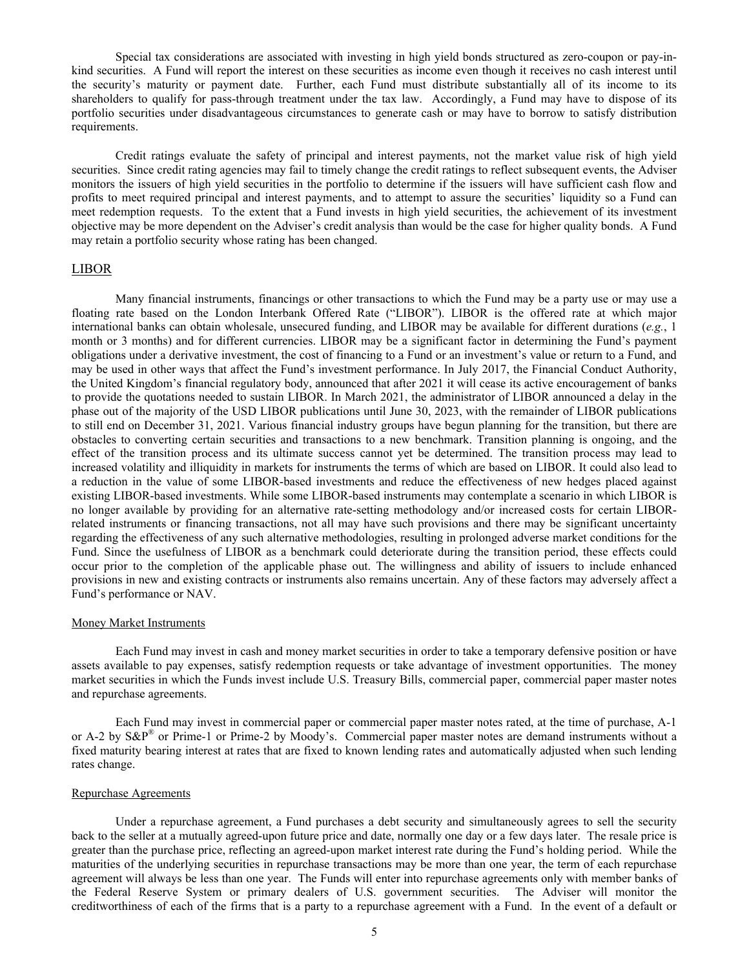<span id="page-8-0"></span>Special tax considerations are associated with investing in high yield bonds structured as zero-coupon or pay-inkind securities. A Fund will report the interest on these securities as income even though it receives no cash interest until the security's maturity or payment date. Further, each Fund must distribute substantially all of its income to its shareholders to qualify for pass-through treatment under the tax law. Accordingly, a Fund may have to dispose of its portfolio securities under disadvantageous circumstances to generate cash or may have to borrow to satisfy distribution requirements.

Credit ratings evaluate the safety of principal and interest payments, not the market value risk of high yield securities. Since credit rating agencies may fail to timely change the credit ratings to reflect subsequent events, the Adviser monitors the issuers of high yield securities in the portfolio to determine if the issuers will have sufficient cash flow and profits to meet required principal and interest payments, and to attempt to assure the securities' liquidity so a Fund can meet redemption requests. To the extent that a Fund invests in high yield securities, the achievement of its investment objective may be more dependent on the Adviser's credit analysis than would be the case for higher quality bonds. A Fund may retain a portfolio security whose rating has been changed.

### LIBOR

Many financial instruments, financings or other transactions to which the Fund may be a party use or may use a floating rate based on the London Interbank Offered Rate ("LIBOR"). LIBOR is the offered rate at which major international banks can obtain wholesale, unsecured funding, and LIBOR may be available for different durations (*e.g.*, 1 month or 3 months) and for different currencies. LIBOR may be a significant factor in determining the Fund's payment obligations under a derivative investment, the cost of financing to a Fund or an investment's value or return to a Fund, and may be used in other ways that affect the Fund's investment performance. In July 2017, the Financial Conduct Authority, the United Kingdom's financial regulatory body, announced that after 2021 it will cease its active encouragement of banks to provide the quotations needed to sustain LIBOR. In March 2021, the administrator of LIBOR announced a delay in the phase out of the majority of the USD LIBOR publications until June 30, 2023, with the remainder of LIBOR publications to still end on December 31, 2021. Various financial industry groups have begun planning for the transition, but there are obstacles to converting certain securities and transactions to a new benchmark. Transition planning is ongoing, and the effect of the transition process and its ultimate success cannot yet be determined. The transition process may lead to increased volatility and illiquidity in markets for instruments the terms of which are based on LIBOR. It could also lead to a reduction in the value of some LIBOR-based investments and reduce the effectiveness of new hedges placed against existing LIBOR-based investments. While some LIBOR-based instruments may contemplate a scenario in which LIBOR is no longer available by providing for an alternative rate-setting methodology and/or increased costs for certain LIBORrelated instruments or financing transactions, not all may have such provisions and there may be significant uncertainty regarding the effectiveness of any such alternative methodologies, resulting in prolonged adverse market conditions for the Fund. Since the usefulness of LIBOR as a benchmark could deteriorate during the transition period, these effects could occur prior to the completion of the applicable phase out. The willingness and ability of issuers to include enhanced provisions in new and existing contracts or instruments also remains uncertain. Any of these factors may adversely affect a Fund's performance or NAV.

#### Money Market Instruments

Each Fund may invest in cash and money market securities in order to take a temporary defensive position or have assets available to pay expenses, satisfy redemption requests or take advantage of investment opportunities. The money market securities in which the Funds invest include U.S. Treasury Bills, commercial paper, commercial paper master notes and repurchase agreements.

Each Fund may invest in commercial paper or commercial paper master notes rated, at the time of purchase, A‑1 or A-2 by S&P® or Prime-1 or Prime-2 by Moody's. Commercial paper master notes are demand instruments without a fixed maturity bearing interest at rates that are fixed to known lending rates and automatically adjusted when such lending rates change.

### Repurchase Agreements

Under a repurchase agreement, a Fund purchases a debt security and simultaneously agrees to sell the security back to the seller at a mutually agreed-upon future price and date, normally one day or a few days later. The resale price is greater than the purchase price, reflecting an agreed-upon market interest rate during the Fund's holding period. While the maturities of the underlying securities in repurchase transactions may be more than one year, the term of each repurchase agreement will always be less than one year. The Funds will enter into repurchase agreements only with member banks of the Federal Reserve System or primary dealers of U.S. government securities. The Adviser will monitor the creditworthiness of each of the firms that is a party to a repurchase agreement with a Fund. In the event of a default or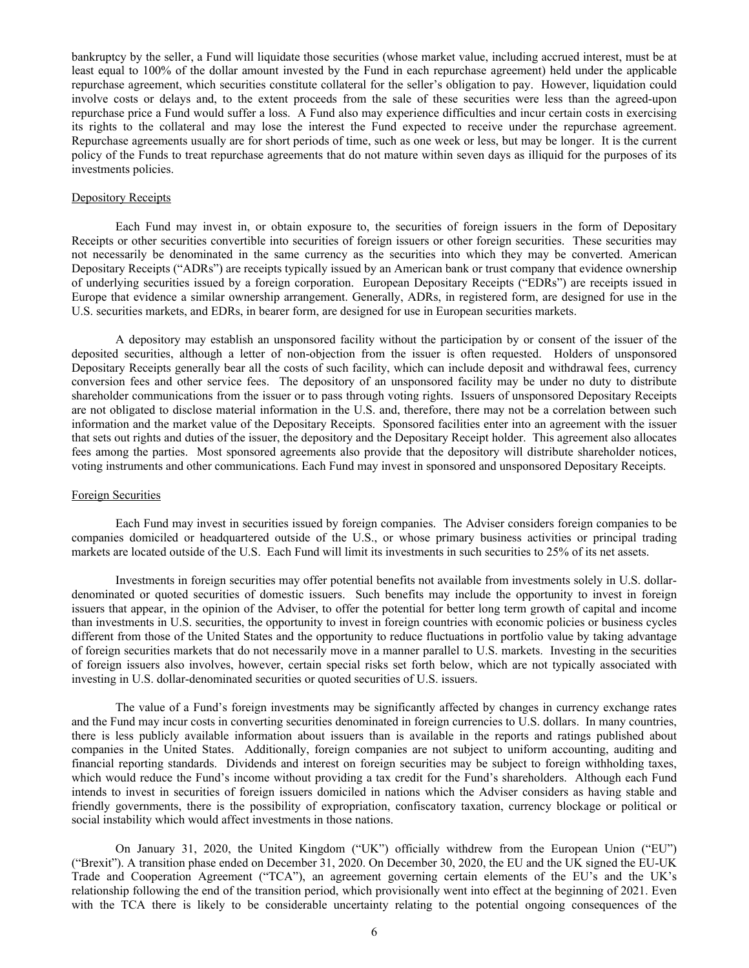<span id="page-9-0"></span>bankruptcy by the seller, a Fund will liquidate those securities (whose market value, including accrued interest, must be at least equal to 100% of the dollar amount invested by the Fund in each repurchase agreement) held under the applicable repurchase agreement, which securities constitute collateral for the seller's obligation to pay. However, liquidation could involve costs or delays and, to the extent proceeds from the sale of these securities were less than the agreed-upon repurchase price a Fund would suffer a loss. A Fund also may experience difficulties and incur certain costs in exercising its rights to the collateral and may lose the interest the Fund expected to receive under the repurchase agreement. Repurchase agreements usually are for short periods of time, such as one week or less, but may be longer. It is the current policy of the Funds to treat repurchase agreements that do not mature within seven days as illiquid for the purposes of its investments policies.

#### Depository Receipts

Each Fund may invest in, or obtain exposure to, the securities of foreign issuers in the form of Depositary Receipts or other securities convertible into securities of foreign issuers or other foreign securities. These securities may not necessarily be denominated in the same currency as the securities into which they may be converted. American Depositary Receipts ("ADRs") are receipts typically issued by an American bank or trust company that evidence ownership of underlying securities issued by a foreign corporation. European Depositary Receipts ("EDRs") are receipts issued in Europe that evidence a similar ownership arrangement. Generally, ADRs, in registered form, are designed for use in the U.S. securities markets, and EDRs, in bearer form, are designed for use in European securities markets.

A depository may establish an unsponsored facility without the participation by or consent of the issuer of the deposited securities, although a letter of non-objection from the issuer is often requested. Holders of unsponsored Depositary Receipts generally bear all the costs of such facility, which can include deposit and withdrawal fees, currency conversion fees and other service fees. The depository of an unsponsored facility may be under no duty to distribute shareholder communications from the issuer or to pass through voting rights. Issuers of unsponsored Depositary Receipts are not obligated to disclose material information in the U.S. and, therefore, there may not be a correlation between such information and the market value of the Depositary Receipts. Sponsored facilities enter into an agreement with the issuer that sets out rights and duties of the issuer, the depository and the Depositary Receipt holder. This agreement also allocates fees among the parties. Most sponsored agreements also provide that the depository will distribute shareholder notices, voting instruments and other communications. Each Fund may invest in sponsored and unsponsored Depositary Receipts.

#### Foreign Securities

Each Fund may invest in securities issued by foreign companies. The Adviser considers foreign companies to be companies domiciled or headquartered outside of the U.S., or whose primary business activities or principal trading markets are located outside of the U.S. Each Fund will limit its investments in such securities to 25% of its net assets.

Investments in foreign securities may offer potential benefits not available from investments solely in U.S. dollardenominated or quoted securities of domestic issuers. Such benefits may include the opportunity to invest in foreign issuers that appear, in the opinion of the Adviser, to offer the potential for better long term growth of capital and income than investments in U.S. securities, the opportunity to invest in foreign countries with economic policies or business cycles different from those of the United States and the opportunity to reduce fluctuations in portfolio value by taking advantage of foreign securities markets that do not necessarily move in a manner parallel to U.S. markets. Investing in the securities of foreign issuers also involves, however, certain special risks set forth below, which are not typically associated with investing in U.S. dollar-denominated securities or quoted securities of U.S. issuers.

The value of a Fund's foreign investments may be significantly affected by changes in currency exchange rates and the Fund may incur costs in converting securities denominated in foreign currencies to U.S. dollars. In many countries, there is less publicly available information about issuers than is available in the reports and ratings published about companies in the United States. Additionally, foreign companies are not subject to uniform accounting, auditing and financial reporting standards. Dividends and interest on foreign securities may be subject to foreign withholding taxes, which would reduce the Fund's income without providing a tax credit for the Fund's shareholders. Although each Fund intends to invest in securities of foreign issuers domiciled in nations which the Adviser considers as having stable and friendly governments, there is the possibility of expropriation, confiscatory taxation, currency blockage or political or social instability which would affect investments in those nations.

On January 31, 2020, the United Kingdom ("UK") officially withdrew from the European Union ("EU") ("Brexit"). A transition phase ended on December 31, 2020. On December 30, 2020, the EU and the UK signed the EU-UK Trade and Cooperation Agreement ("TCA"), an agreement governing certain elements of the EU's and the UK's relationship following the end of the transition period, which provisionally went into effect at the beginning of 2021. Even with the TCA there is likely to be considerable uncertainty relating to the potential ongoing consequences of the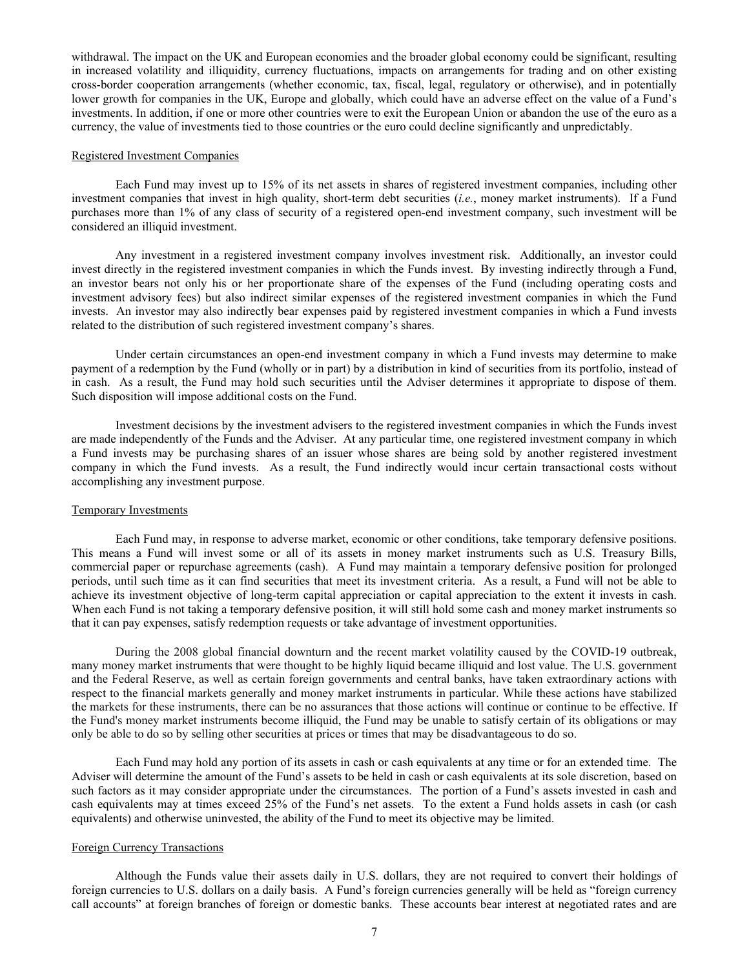<span id="page-10-0"></span>withdrawal. The impact on the UK and European economies and the broader global economy could be significant, resulting in increased volatility and illiquidity, currency fluctuations, impacts on arrangements for trading and on other existing cross-border cooperation arrangements (whether economic, tax, fiscal, legal, regulatory or otherwise), and in potentially lower growth for companies in the UK, Europe and globally, which could have an adverse effect on the value of a Fund's investments. In addition, if one or more other countries were to exit the European Union or abandon the use of the euro as a currency, the value of investments tied to those countries or the euro could decline significantly and unpredictably.

#### Registered Investment Companies

Each Fund may invest up to 15% of its net assets in shares of registered investment companies, including other investment companies that invest in high quality, short-term debt securities (*i.e.*, money market instruments). If a Fund purchases more than 1% of any class of security of a registered open-end investment company, such investment will be considered an illiquid investment.

Any investment in a registered investment company involves investment risk. Additionally, an investor could invest directly in the registered investment companies in which the Funds invest. By investing indirectly through a Fund, an investor bears not only his or her proportionate share of the expenses of the Fund (including operating costs and investment advisory fees) but also indirect similar expenses of the registered investment companies in which the Fund invests. An investor may also indirectly bear expenses paid by registered investment companies in which a Fund invests related to the distribution of such registered investment company's shares.

Under certain circumstances an open-end investment company in which a Fund invests may determine to make payment of a redemption by the Fund (wholly or in part) by a distribution in kind of securities from its portfolio, instead of in cash. As a result, the Fund may hold such securities until the Adviser determines it appropriate to dispose of them. Such disposition will impose additional costs on the Fund.

Investment decisions by the investment advisers to the registered investment companies in which the Funds invest are made independently of the Funds and the Adviser. At any particular time, one registered investment company in which a Fund invests may be purchasing shares of an issuer whose shares are being sold by another registered investment company in which the Fund invests. As a result, the Fund indirectly would incur certain transactional costs without accomplishing any investment purpose.

#### Temporary Investments

Each Fund may, in response to adverse market, economic or other conditions, take temporary defensive positions. This means a Fund will invest some or all of its assets in money market instruments such as U.S. Treasury Bills, commercial paper or repurchase agreements (cash). A Fund may maintain a temporary defensive position for prolonged periods, until such time as it can find securities that meet its investment criteria. As a result, a Fund will not be able to achieve its investment objective of long-term capital appreciation or capital appreciation to the extent it invests in cash. When each Fund is not taking a temporary defensive position, it will still hold some cash and money market instruments so that it can pay expenses, satisfy redemption requests or take advantage of investment opportunities.

During the 2008 global financial downturn and the recent market volatility caused by the COVID-19 outbreak, many money market instruments that were thought to be highly liquid became illiquid and lost value. The U.S. government and the Federal Reserve, as well as certain foreign governments and central banks, have taken extraordinary actions with respect to the financial markets generally and money market instruments in particular. While these actions have stabilized the markets for these instruments, there can be no assurances that those actions will continue or continue to be effective. If the Fund's money market instruments become illiquid, the Fund may be unable to satisfy certain of its obligations or may only be able to do so by selling other securities at prices or times that may be disadvantageous to do so.

Each Fund may hold any portion of its assets in cash or cash equivalents at any time or for an extended time. The Adviser will determine the amount of the Fund's assets to be held in cash or cash equivalents at its sole discretion, based on such factors as it may consider appropriate under the circumstances. The portion of a Fund's assets invested in cash and cash equivalents may at times exceed 25% of the Fund's net assets. To the extent a Fund holds assets in cash (or cash equivalents) and otherwise uninvested, the ability of the Fund to meet its objective may be limited.

#### Foreign Currency Transactions

Although the Funds value their assets daily in U.S. dollars, they are not required to convert their holdings of foreign currencies to U.S. dollars on a daily basis. A Fund's foreign currencies generally will be held as "foreign currency call accounts" at foreign branches of foreign or domestic banks. These accounts bear interest at negotiated rates and are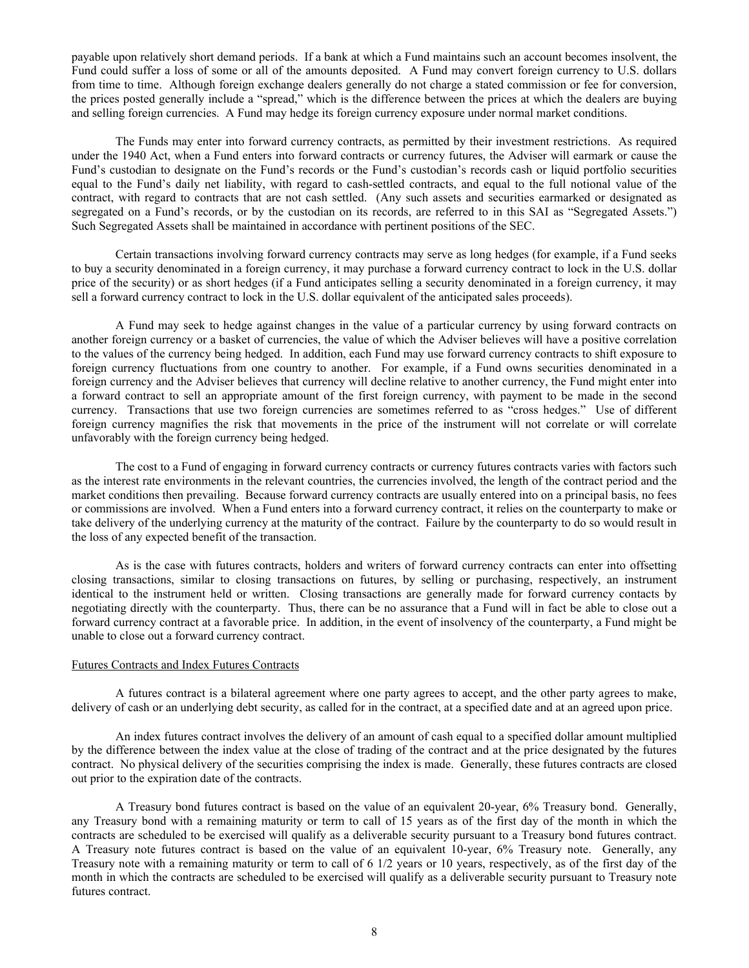<span id="page-11-0"></span>payable upon relatively short demand periods. If a bank at which a Fund maintains such an account becomes insolvent, the Fund could suffer a loss of some or all of the amounts deposited. A Fund may convert foreign currency to U.S. dollars from time to time. Although foreign exchange dealers generally do not charge a stated commission or fee for conversion, the prices posted generally include a "spread," which is the difference between the prices at which the dealers are buying and selling foreign currencies. A Fund may hedge its foreign currency exposure under normal market conditions.

The Funds may enter into forward currency contracts, as permitted by their investment restrictions. As required under the 1940 Act, when a Fund enters into forward contracts or currency futures, the Adviser will earmark or cause the Fund's custodian to designate on the Fund's records or the Fund's custodian's records cash or liquid portfolio securities equal to the Fund's daily net liability, with regard to cash-settled contracts, and equal to the full notional value of the contract, with regard to contracts that are not cash settled. (Any such assets and securities earmarked or designated as segregated on a Fund's records, or by the custodian on its records, are referred to in this SAI as "Segregated Assets.") Such Segregated Assets shall be maintained in accordance with pertinent positions of the SEC.

Certain transactions involving forward currency contracts may serve as long hedges (for example, if a Fund seeks to buy a security denominated in a foreign currency, it may purchase a forward currency contract to lock in the U.S. dollar price of the security) or as short hedges (if a Fund anticipates selling a security denominated in a foreign currency, it may sell a forward currency contract to lock in the U.S. dollar equivalent of the anticipated sales proceeds).

A Fund may seek to hedge against changes in the value of a particular currency by using forward contracts on another foreign currency or a basket of currencies, the value of which the Adviser believes will have a positive correlation to the values of the currency being hedged. In addition, each Fund may use forward currency contracts to shift exposure to foreign currency fluctuations from one country to another. For example, if a Fund owns securities denominated in a foreign currency and the Adviser believes that currency will decline relative to another currency, the Fund might enter into a forward contract to sell an appropriate amount of the first foreign currency, with payment to be made in the second currency. Transactions that use two foreign currencies are sometimes referred to as "cross hedges." Use of different foreign currency magnifies the risk that movements in the price of the instrument will not correlate or will correlate unfavorably with the foreign currency being hedged.

The cost to a Fund of engaging in forward currency contracts or currency futures contracts varies with factors such as the interest rate environments in the relevant countries, the currencies involved, the length of the contract period and the market conditions then prevailing. Because forward currency contracts are usually entered into on a principal basis, no fees or commissions are involved. When a Fund enters into a forward currency contract, it relies on the counterparty to make or take delivery of the underlying currency at the maturity of the contract. Failure by the counterparty to do so would result in the loss of any expected benefit of the transaction.

As is the case with futures contracts, holders and writers of forward currency contracts can enter into offsetting closing transactions, similar to closing transactions on futures, by selling or purchasing, respectively, an instrument identical to the instrument held or written. Closing transactions are generally made for forward currency contacts by negotiating directly with the counterparty. Thus, there can be no assurance that a Fund will in fact be able to close out a forward currency contract at a favorable price. In addition, in the event of insolvency of the counterparty, a Fund might be unable to close out a forward currency contract.

#### Futures Contracts and Index Futures Contracts

A futures contract is a bilateral agreement where one party agrees to accept, and the other party agrees to make, delivery of cash or an underlying debt security, as called for in the contract, at a specified date and at an agreed upon price.

An index futures contract involves the delivery of an amount of cash equal to a specified dollar amount multiplied by the difference between the index value at the close of trading of the contract and at the price designated by the futures contract. No physical delivery of the securities comprising the index is made. Generally, these futures contracts are closed out prior to the expiration date of the contracts.

A Treasury bond futures contract is based on the value of an equivalent 20-year, 6% Treasury bond. Generally, any Treasury bond with a remaining maturity or term to call of 15 years as of the first day of the month in which the contracts are scheduled to be exercised will qualify as a deliverable security pursuant to a Treasury bond futures contract. A Treasury note futures contract is based on the value of an equivalent 10-year, 6% Treasury note. Generally, any Treasury note with a remaining maturity or term to call of 6 1/2 years or 10 years, respectively, as of the first day of the month in which the contracts are scheduled to be exercised will qualify as a deliverable security pursuant to Treasury note futures contract.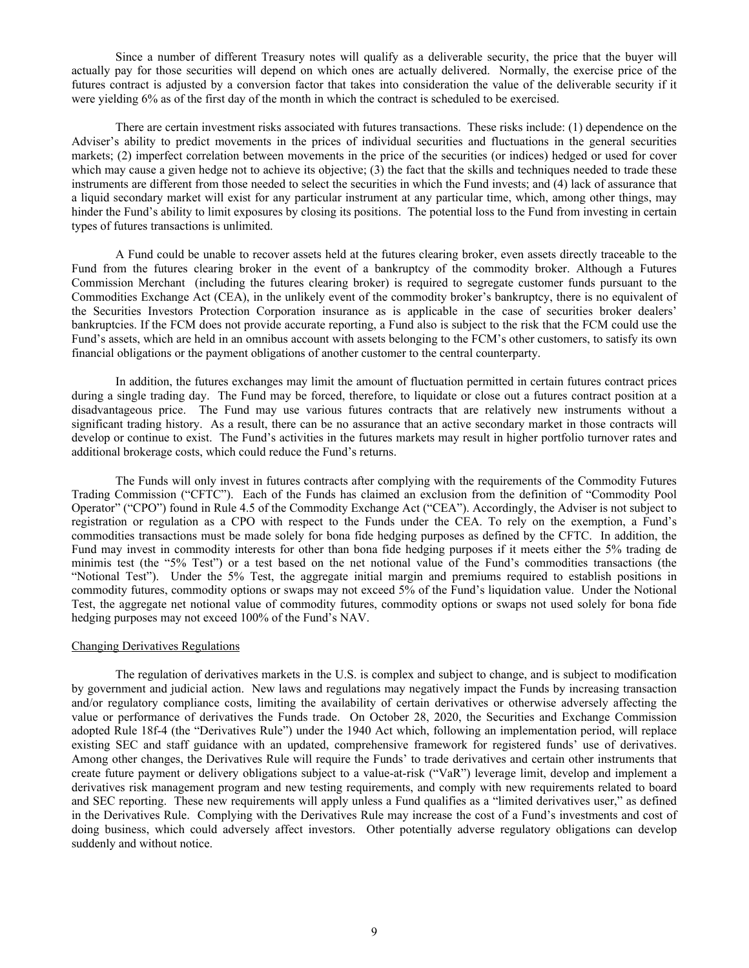<span id="page-12-0"></span>Since a number of different Treasury notes will qualify as a deliverable security, the price that the buyer will actually pay for those securities will depend on which ones are actually delivered. Normally, the exercise price of the futures contract is adjusted by a conversion factor that takes into consideration the value of the deliverable security if it were yielding 6% as of the first day of the month in which the contract is scheduled to be exercised.

There are certain investment risks associated with futures transactions. These risks include: (1) dependence on the Adviser's ability to predict movements in the prices of individual securities and fluctuations in the general securities markets; (2) imperfect correlation between movements in the price of the securities (or indices) hedged or used for cover which may cause a given hedge not to achieve its objective; (3) the fact that the skills and techniques needed to trade these instruments are different from those needed to select the securities in which the Fund invests; and (4) lack of assurance that a liquid secondary market will exist for any particular instrument at any particular time, which, among other things, may hinder the Fund's ability to limit exposures by closing its positions. The potential loss to the Fund from investing in certain types of futures transactions is unlimited.

A Fund could be unable to recover assets held at the futures clearing broker, even assets directly traceable to the Fund from the futures clearing broker in the event of a bankruptcy of the commodity broker. Although a Futures Commission Merchant (including the futures clearing broker) is required to segregate customer funds pursuant to the Commodities Exchange Act (CEA), in the unlikely event of the commodity broker's bankruptcy, there is no equivalent of the Securities Investors Protection Corporation insurance as is applicable in the case of securities broker dealers' bankruptcies. If the FCM does not provide accurate reporting, a Fund also is subject to the risk that the FCM could use the Fund's assets, which are held in an omnibus account with assets belonging to the FCM's other customers, to satisfy its own financial obligations or the payment obligations of another customer to the central counterparty.

In addition, the futures exchanges may limit the amount of fluctuation permitted in certain futures contract prices during a single trading day. The Fund may be forced, therefore, to liquidate or close out a futures contract position at a disadvantageous price. The Fund may use various futures contracts that are relatively new instruments without a significant trading history. As a result, there can be no assurance that an active secondary market in those contracts will develop or continue to exist. The Fund's activities in the futures markets may result in higher portfolio turnover rates and additional brokerage costs, which could reduce the Fund's returns.

The Funds will only invest in futures contracts after complying with the requirements of the Commodity Futures Trading Commission ("CFTC"). Each of the Funds has claimed an exclusion from the definition of "Commodity Pool Operator" ("CPO") found in Rule 4.5 of the Commodity Exchange Act ("CEA"). Accordingly, the Adviser is not subject to registration or regulation as a CPO with respect to the Funds under the CEA. To rely on the exemption, a Fund's commodities transactions must be made solely for bona fide hedging purposes as defined by the CFTC. In addition, the Fund may invest in commodity interests for other than bona fide hedging purposes if it meets either the 5% trading de minimis test (the "5% Test") or a test based on the net notional value of the Fund's commodities transactions (the "Notional Test"). Under the 5% Test, the aggregate initial margin and premiums required to establish positions in commodity futures, commodity options or swaps may not exceed 5% of the Fund's liquidation value. Under the Notional Test, the aggregate net notional value of commodity futures, commodity options or swaps not used solely for bona fide hedging purposes may not exceed 100% of the Fund's NAV.

#### Changing Derivatives Regulations

The regulation of derivatives markets in the U.S. is complex and subject to change, and is subject to modification by government and judicial action. New laws and regulations may negatively impact the Funds by increasing transaction and/or regulatory compliance costs, limiting the availability of certain derivatives or otherwise adversely affecting the value or performance of derivatives the Funds trade. On October 28, 2020, the Securities and Exchange Commission adopted Rule 18f-4 (the "Derivatives Rule") under the 1940 Act which, following an implementation period, will replace existing SEC and staff guidance with an updated, comprehensive framework for registered funds' use of derivatives. Among other changes, the Derivatives Rule will require the Funds' to trade derivatives and certain other instruments that create future payment or delivery obligations subject to a value-at-risk ("VaR") leverage limit, develop and implement a derivatives risk management program and new testing requirements, and comply with new requirements related to board and SEC reporting. These new requirements will apply unless a Fund qualifies as a "limited derivatives user," as defined in the Derivatives Rule. Complying with the Derivatives Rule may increase the cost of a Fund's investments and cost of doing business, which could adversely affect investors. Other potentially adverse regulatory obligations can develop suddenly and without notice.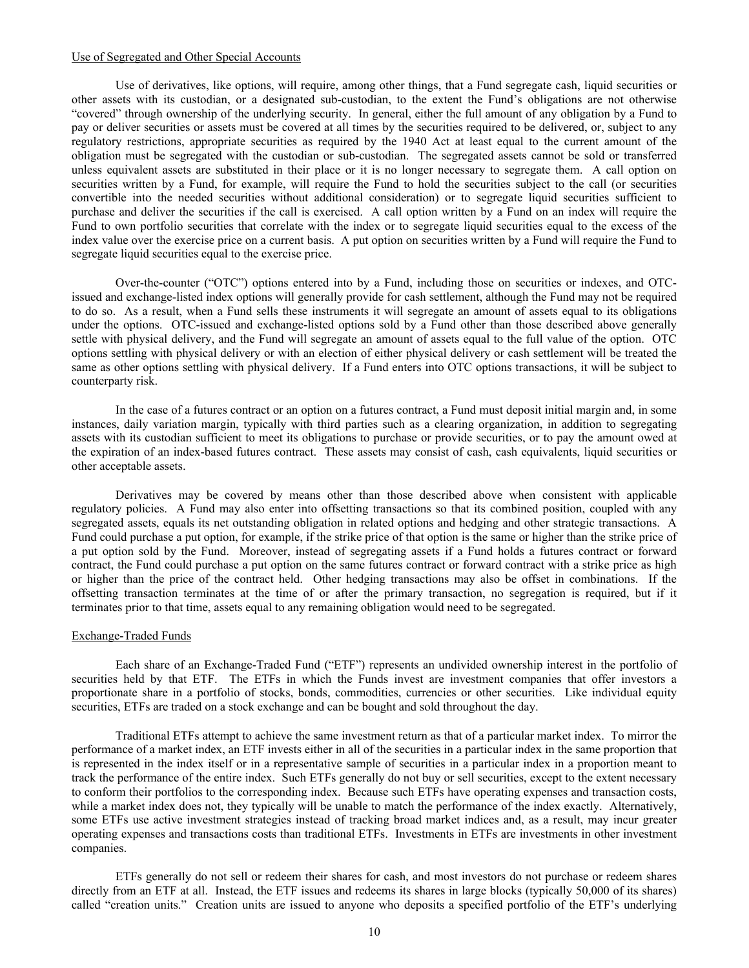#### <span id="page-13-0"></span>Use of Segregated and Other Special Accounts

Use of derivatives, like options, will require, among other things, that a Fund segregate cash, liquid securities or other assets with its custodian, or a designated sub-custodian, to the extent the Fund's obligations are not otherwise "covered" through ownership of the underlying security. In general, either the full amount of any obligation by a Fund to pay or deliver securities or assets must be covered at all times by the securities required to be delivered, or, subject to any regulatory restrictions, appropriate securities as required by the 1940 Act at least equal to the current amount of the obligation must be segregated with the custodian or sub-custodian. The segregated assets cannot be sold or transferred unless equivalent assets are substituted in their place or it is no longer necessary to segregate them. A call option on securities written by a Fund, for example, will require the Fund to hold the securities subject to the call (or securities convertible into the needed securities without additional consideration) or to segregate liquid securities sufficient to purchase and deliver the securities if the call is exercised. A call option written by a Fund on an index will require the Fund to own portfolio securities that correlate with the index or to segregate liquid securities equal to the excess of the index value over the exercise price on a current basis. A put option on securities written by a Fund will require the Fund to segregate liquid securities equal to the exercise price.

Over-the-counter ("OTC") options entered into by a Fund, including those on securities or indexes, and OTCissued and exchange-listed index options will generally provide for cash settlement, although the Fund may not be required to do so. As a result, when a Fund sells these instruments it will segregate an amount of assets equal to its obligations under the options. OTC-issued and exchange-listed options sold by a Fund other than those described above generally settle with physical delivery, and the Fund will segregate an amount of assets equal to the full value of the option. OTC options settling with physical delivery or with an election of either physical delivery or cash settlement will be treated the same as other options settling with physical delivery. If a Fund enters into OTC options transactions, it will be subject to counterparty risk.

In the case of a futures contract or an option on a futures contract, a Fund must deposit initial margin and, in some instances, daily variation margin, typically with third parties such as a clearing organization, in addition to segregating assets with its custodian sufficient to meet its obligations to purchase or provide securities, or to pay the amount owed at the expiration of an index-based futures contract. These assets may consist of cash, cash equivalents, liquid securities or other acceptable assets.

Derivatives may be covered by means other than those described above when consistent with applicable regulatory policies. A Fund may also enter into offsetting transactions so that its combined position, coupled with any segregated assets, equals its net outstanding obligation in related options and hedging and other strategic transactions. A Fund could purchase a put option, for example, if the strike price of that option is the same or higher than the strike price of a put option sold by the Fund. Moreover, instead of segregating assets if a Fund holds a futures contract or forward contract, the Fund could purchase a put option on the same futures contract or forward contract with a strike price as high or higher than the price of the contract held. Other hedging transactions may also be offset in combinations. If the offsetting transaction terminates at the time of or after the primary transaction, no segregation is required, but if it terminates prior to that time, assets equal to any remaining obligation would need to be segregated.

#### Exchange-Traded Funds

Each share of an Exchange-Traded Fund ("ETF") represents an undivided ownership interest in the portfolio of securities held by that ETF. The ETFs in which the Funds invest are investment companies that offer investors a proportionate share in a portfolio of stocks, bonds, commodities, currencies or other securities. Like individual equity securities, ETFs are traded on a stock exchange and can be bought and sold throughout the day.

Traditional ETFs attempt to achieve the same investment return as that of a particular market index. To mirror the performance of a market index, an ETF invests either in all of the securities in a particular index in the same proportion that is represented in the index itself or in a representative sample of securities in a particular index in a proportion meant to track the performance of the entire index. Such ETFs generally do not buy or sell securities, except to the extent necessary to conform their portfolios to the corresponding index. Because such ETFs have operating expenses and transaction costs, while a market index does not, they typically will be unable to match the performance of the index exactly. Alternatively, some ETFs use active investment strategies instead of tracking broad market indices and, as a result, may incur greater operating expenses and transactions costs than traditional ETFs. Investments in ETFs are investments in other investment companies.

ETFs generally do not sell or redeem their shares for cash, and most investors do not purchase or redeem shares directly from an ETF at all. Instead, the ETF issues and redeems its shares in large blocks (typically 50,000 of its shares) called "creation units." Creation units are issued to anyone who deposits a specified portfolio of the ETF's underlying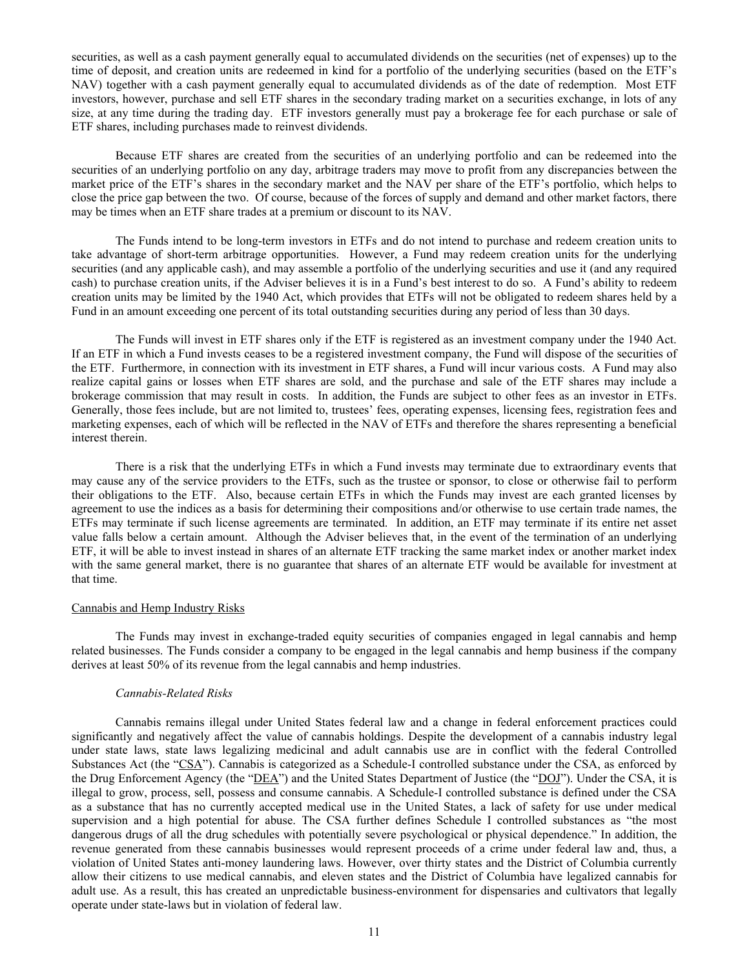<span id="page-14-0"></span>securities, as well as a cash payment generally equal to accumulated dividends on the securities (net of expenses) up to the time of deposit, and creation units are redeemed in kind for a portfolio of the underlying securities (based on the ETF's NAV) together with a cash payment generally equal to accumulated dividends as of the date of redemption. Most ETF investors, however, purchase and sell ETF shares in the secondary trading market on a securities exchange, in lots of any size, at any time during the trading day. ETF investors generally must pay a brokerage fee for each purchase or sale of ETF shares, including purchases made to reinvest dividends.

Because ETF shares are created from the securities of an underlying portfolio and can be redeemed into the securities of an underlying portfolio on any day, arbitrage traders may move to profit from any discrepancies between the market price of the ETF's shares in the secondary market and the NAV per share of the ETF's portfolio, which helps to close the price gap between the two. Of course, because of the forces of supply and demand and other market factors, there may be times when an ETF share trades at a premium or discount to its NAV.

The Funds intend to be long-term investors in ETFs and do not intend to purchase and redeem creation units to take advantage of short-term arbitrage opportunities. However, a Fund may redeem creation units for the underlying securities (and any applicable cash), and may assemble a portfolio of the underlying securities and use it (and any required cash) to purchase creation units, if the Adviser believes it is in a Fund's best interest to do so. A Fund's ability to redeem creation units may be limited by the 1940 Act, which provides that ETFs will not be obligated to redeem shares held by a Fund in an amount exceeding one percent of its total outstanding securities during any period of less than 30 days.

The Funds will invest in ETF shares only if the ETF is registered as an investment company under the 1940 Act. If an ETF in which a Fund invests ceases to be a registered investment company, the Fund will dispose of the securities of the ETF. Furthermore, in connection with its investment in ETF shares, a Fund will incur various costs. A Fund may also realize capital gains or losses when ETF shares are sold, and the purchase and sale of the ETF shares may include a brokerage commission that may result in costs. In addition, the Funds are subject to other fees as an investor in ETFs. Generally, those fees include, but are not limited to, trustees' fees, operating expenses, licensing fees, registration fees and marketing expenses, each of which will be reflected in the NAV of ETFs and therefore the shares representing a beneficial interest therein.

There is a risk that the underlying ETFs in which a Fund invests may terminate due to extraordinary events that may cause any of the service providers to the ETFs, such as the trustee or sponsor, to close or otherwise fail to perform their obligations to the ETF. Also, because certain ETFs in which the Funds may invest are each granted licenses by agreement to use the indices as a basis for determining their compositions and/or otherwise to use certain trade names, the ETFs may terminate if such license agreements are terminated. In addition, an ETF may terminate if its entire net asset value falls below a certain amount. Although the Adviser believes that, in the event of the termination of an underlying ETF, it will be able to invest instead in shares of an alternate ETF tracking the same market index or another market index with the same general market, there is no guarantee that shares of an alternate ETF would be available for investment at that time.

#### Cannabis and Hemp Industry Risks

The Funds may invest in exchange-traded equity securities of companies engaged in legal cannabis and hemp related businesses. The Funds consider a company to be engaged in the legal cannabis and hemp business if the company derives at least 50% of its revenue from the legal cannabis and hemp industries.

#### *Cannabis-Related Risks*

Cannabis remains illegal under United States federal law and a change in federal enforcement practices could significantly and negatively affect the value of cannabis holdings. Despite the development of a cannabis industry legal under state laws, state laws legalizing medicinal and adult cannabis use are in conflict with the federal Controlled Substances Act (the "CSA"). Cannabis is categorized as a Schedule-I controlled substance under the CSA, as enforced by the Drug Enforcement Agency (the "DEA") and the United States Department of Justice (the "DOJ"). Under the CSA, it is illegal to grow, process, sell, possess and consume cannabis. A Schedule-I controlled substance is defined under the CSA as a substance that has no currently accepted medical use in the United States, a lack of safety for use under medical supervision and a high potential for abuse. The CSA further defines Schedule I controlled substances as "the most dangerous drugs of all the drug schedules with potentially severe psychological or physical dependence." In addition, the revenue generated from these cannabis businesses would represent proceeds of a crime under federal law and, thus, a violation of United States anti-money laundering laws. However, over thirty states and the District of Columbia currently allow their citizens to use medical cannabis, and eleven states and the District of Columbia have legalized cannabis for adult use. As a result, this has created an unpredictable business-environment for dispensaries and cultivators that legally operate under state-laws but in violation of federal law.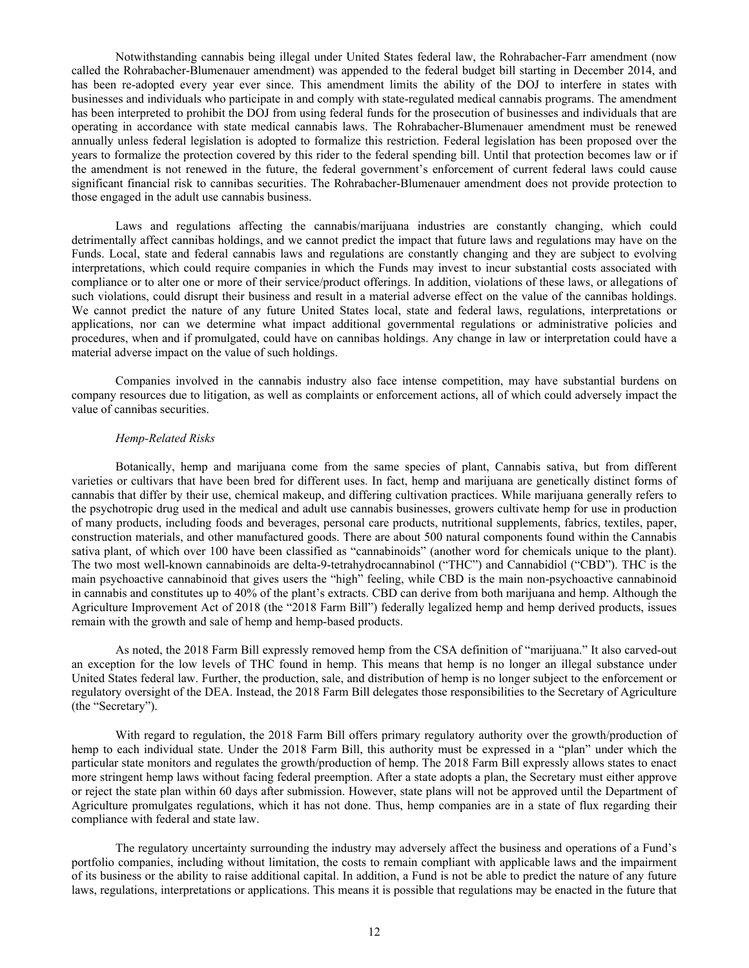Notwithstanding cannabis being illegal under United States federal law, the Rohrabacher-Farr amendment (now called the Rohrabacher-Blumenauer amendment) was appended to the federal budget bill starting in December 2014, and has been re-adopted every year ever since. This amendment limits the ability of the DOJ to interfere in states with businesses and individuals who participate in and comply with state-regulated medical cannabis programs. The amendment has been interpreted to prohibit the DOJ from using federal funds for the prosecution of businesses and individuals that are operating in accordance with state medical cannabis laws. The Rohrabacher-Blumenauer amendment must be renewed annually unless federal legislation is adopted to formalize this restriction. Federal legislation has been proposed over the years to formalize the protection covered by this rider to the federal spending bill. Until that protection becomes law or if the amendment is not renewed in the future, the federal government's enforcement of current federal laws could cause significant financial risk to cannibas securities. The Rohrabacher-Blumenauer amendment does not provide protection to those engaged in the adult use cannabis business.

Laws and regulations affecting the cannabis/marijuana industries are constantly changing, which could detrimentally affect cannibas holdings, and we cannot predict the impact that future laws and regulations may have on the Funds. Local, state and federal cannabis laws and regulations are constantly changing and they are subject to evolving interpretations, which could require companies in which the Funds may invest to incur substantial costs associated with compliance or to alter one or more of their service/product offerings. In addition, violations of these laws, or allegations of such violations, could disrupt their business and result in a material adverse effect on the value of the cannibas holdings. We cannot predict the nature of any future United States local, state and federal laws, regulations, interpretations or applications, nor can we determine what impact additional governmental regulations or administrative policies and procedures, when and if promulgated, could have on cannibas holdings. Any change in law or interpretation could have a material adverse impact on the value of such holdings.

Companies involved in the cannabis industry also face intense competition, may have substantial burdens on company resources due to litigation, as well as complaints or enforcement actions, all of which could adversely impact the value of cannibas securities.

#### *Hemp-Related Risks*

Botanically, hemp and marijuana come from the same species of plant, Cannabis sativa, but from different varieties or cultivars that have been bred for different uses. In fact, hemp and marijuana are genetically distinct forms of cannabis that differ by their use, chemical makeup, and differing cultivation practices. While marijuana generally refers to the psychotropic drug used in the medical and adult use cannabis businesses, growers cultivate hemp for use in production of many products, including foods and beverages, personal care products, nutritional supplements, fabrics, textiles, paper, construction materials, and other manufactured goods. There are about 500 natural components found within the Cannabis sativa plant, of which over 100 have been classified as "cannabinoids" (another word for chemicals unique to the plant). The two most well-known cannabinoids are delta-9-tetrahydrocannabinol ("THC") and Cannabidiol ("CBD"). THC is the main psychoactive cannabinoid that gives users the "high" feeling, while CBD is the main non-psychoactive cannabinoid in cannabis and constitutes up to 40% of the plant's extracts. CBD can derive from both marijuana and hemp. Although the Agriculture Improvement Act of 2018 (the "2018 Farm Bill") federally legalized hemp and hemp derived products, issues remain with the growth and sale of hemp and hemp-based products.

As noted, the 2018 Farm Bill expressly removed hemp from the CSA definition of "marijuana." It also carved-out an exception for the low levels of THC found in hemp. This means that hemp is no longer an illegal substance under United States federal law. Further, the production, sale, and distribution of hemp is no longer subject to the enforcement or regulatory oversight of the DEA. Instead, the 2018 Farm Bill delegates those responsibilities to the Secretary of Agriculture (the "Secretary").

With regard to regulation, the 2018 Farm Bill offers primary regulatory authority over the growth/production of hemp to each individual state. Under the 2018 Farm Bill, this authority must be expressed in a "plan" under which the particular state monitors and regulates the growth/production of hemp. The 2018 Farm Bill expressly allows states to enact more stringent hemp laws without facing federal preemption. After a state adopts a plan, the Secretary must either approve or reject the state plan within 60 days after submission. However, state plans will not be approved until the Department of Agriculture promulgates regulations, which it has not done. Thus, hemp companies are in a state of flux regarding their compliance with federal and state law.

The regulatory uncertainty surrounding the industry may adversely affect the business and operations of a Fund's portfolio companies, including without limitation, the costs to remain compliant with applicable laws and the impairment of its business or the ability to raise additional capital. In addition, a Fund is not be able to predict the nature of any future laws, regulations, interpretations or applications. This means it is possible that regulations may be enacted in the future that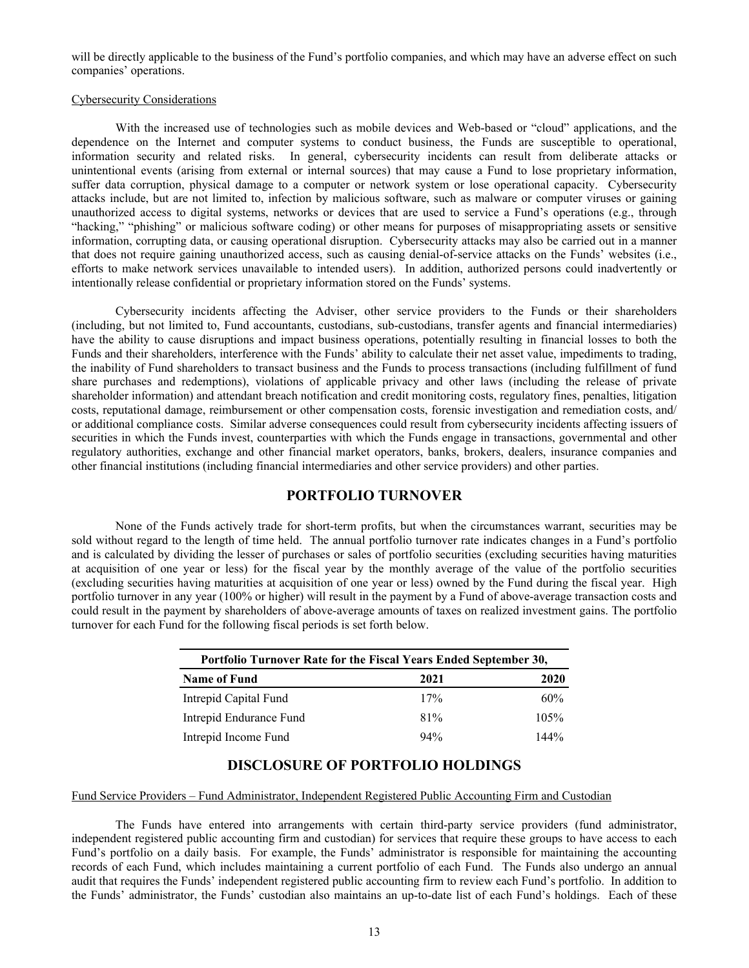<span id="page-16-0"></span>will be directly applicable to the business of the Fund's portfolio companies, and which may have an adverse effect on such companies' operations.

### Cybersecurity Considerations

With the increased use of technologies such as mobile devices and Web-based or "cloud" applications, and the dependence on the Internet and computer systems to conduct business, the Funds are susceptible to operational, information security and related risks. In general, cybersecurity incidents can result from deliberate attacks or unintentional events (arising from external or internal sources) that may cause a Fund to lose proprietary information, suffer data corruption, physical damage to a computer or network system or lose operational capacity. Cybersecurity attacks include, but are not limited to, infection by malicious software, such as malware or computer viruses or gaining unauthorized access to digital systems, networks or devices that are used to service a Fund's operations (e.g., through "hacking," "phishing" or malicious software coding) or other means for purposes of misappropriating assets or sensitive information, corrupting data, or causing operational disruption. Cybersecurity attacks may also be carried out in a manner that does not require gaining unauthorized access, such as causing denial-of-service attacks on the Funds' websites (i.e., efforts to make network services unavailable to intended users). In addition, authorized persons could inadvertently or intentionally release confidential or proprietary information stored on the Funds' systems.

Cybersecurity incidents affecting the Adviser, other service providers to the Funds or their shareholders (including, but not limited to, Fund accountants, custodians, sub-custodians, transfer agents and financial intermediaries) have the ability to cause disruptions and impact business operations, potentially resulting in financial losses to both the Funds and their shareholders, interference with the Funds' ability to calculate their net asset value, impediments to trading, the inability of Fund shareholders to transact business and the Funds to process transactions (including fulfillment of fund share purchases and redemptions), violations of applicable privacy and other laws (including the release of private shareholder information) and attendant breach notification and credit monitoring costs, regulatory fines, penalties, litigation costs, reputational damage, reimbursement or other compensation costs, forensic investigation and remediation costs, and/ or additional compliance costs. Similar adverse consequences could result from cybersecurity incidents affecting issuers of securities in which the Funds invest, counterparties with which the Funds engage in transactions, governmental and other regulatory authorities, exchange and other financial market operators, banks, brokers, dealers, insurance companies and other financial institutions (including financial intermediaries and other service providers) and other parties.

### **PORTFOLIO TURNOVER**

None of the Funds actively trade for short-term profits, but when the circumstances warrant, securities may be sold without regard to the length of time held. The annual portfolio turnover rate indicates changes in a Fund's portfolio and is calculated by dividing the lesser of purchases or sales of portfolio securities (excluding securities having maturities at acquisition of one year or less) for the fiscal year by the monthly average of the value of the portfolio securities (excluding securities having maturities at acquisition of one year or less) owned by the Fund during the fiscal year. High portfolio turnover in any year (100% or higher) will result in the payment by a Fund of above-average transaction costs and could result in the payment by shareholders of above-average amounts of taxes on realized investment gains. The portfolio turnover for each Fund for the following fiscal periods is set forth below.

| Portfolio Turnover Rate for the Fiscal Years Ended September 30, |        |      |  |
|------------------------------------------------------------------|--------|------|--|
| <b>Name of Fund</b>                                              | 2021   | 2020 |  |
| Intrepid Capital Fund                                            | 17%    | 60%  |  |
| Intrepid Endurance Fund                                          | 81%    | 105% |  |
| Intrepid Income Fund                                             | $94\%$ | 144% |  |

### **DISCLOSURE OF PORTFOLIO HOLDINGS**

#### Fund Service Providers – Fund Administrator, Independent Registered Public Accounting Firm and Custodian

The Funds have entered into arrangements with certain third-party service providers (fund administrator, independent registered public accounting firm and custodian) for services that require these groups to have access to each Fund's portfolio on a daily basis. For example, the Funds' administrator is responsible for maintaining the accounting records of each Fund, which includes maintaining a current portfolio of each Fund. The Funds also undergo an annual audit that requires the Funds' independent registered public accounting firm to review each Fund's portfolio. In addition to the Funds' administrator, the Funds' custodian also maintains an up-to-date list of each Fund's holdings. Each of these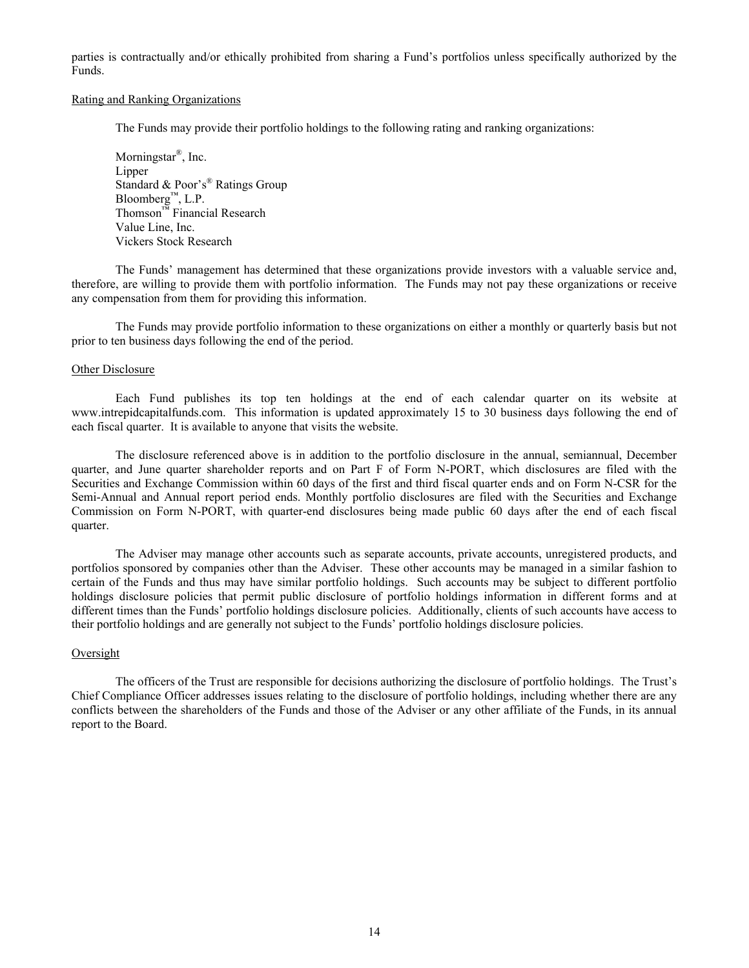<span id="page-17-0"></span>parties is contractually and/or ethically prohibited from sharing a Fund's portfolios unless specifically authorized by the Funds.

### Rating and Ranking Organizations

The Funds may provide their portfolio holdings to the following rating and ranking organizations:

Morningstar<sup>®</sup>, Inc. Lipper Standard & Poor's® Ratings Group Bloomberg<sup>™</sup>, L.P. Thomson™ Financial Research Value Line, Inc. Vickers Stock Research

The Funds' management has determined that these organizations provide investors with a valuable service and, therefore, are willing to provide them with portfolio information. The Funds may not pay these organizations or receive any compensation from them for providing this information.

The Funds may provide portfolio information to these organizations on either a monthly or quarterly basis but not prior to ten business days following the end of the period.

#### **Other Disclosure**

Each Fund publishes its top ten holdings at the end of each calendar quarter on its website at www.intrepidcapitalfunds.com. This information is updated approximately 15 to 30 business days following the end of each fiscal quarter. It is available to anyone that visits the website.

The disclosure referenced above is in addition to the portfolio disclosure in the annual, semiannual, December quarter, and June quarter shareholder reports and on Part F of Form N-PORT, which disclosures are filed with the Securities and Exchange Commission within 60 days of the first and third fiscal quarter ends and on Form N-CSR for the Semi-Annual and Annual report period ends. Monthly portfolio disclosures are filed with the Securities and Exchange Commission on Form N-PORT, with quarter-end disclosures being made public 60 days after the end of each fiscal quarter.

The Adviser may manage other accounts such as separate accounts, private accounts, unregistered products, and portfolios sponsored by companies other than the Adviser. These other accounts may be managed in a similar fashion to certain of the Funds and thus may have similar portfolio holdings. Such accounts may be subject to different portfolio holdings disclosure policies that permit public disclosure of portfolio holdings information in different forms and at different times than the Funds' portfolio holdings disclosure policies. Additionally, clients of such accounts have access to their portfolio holdings and are generally not subject to the Funds' portfolio holdings disclosure policies.

### Oversight

The officers of the Trust are responsible for decisions authorizing the disclosure of portfolio holdings. The Trust's Chief Compliance Officer addresses issues relating to the disclosure of portfolio holdings, including whether there are any conflicts between the shareholders of the Funds and those of the Adviser or any other affiliate of the Funds, in its annual report to the Board.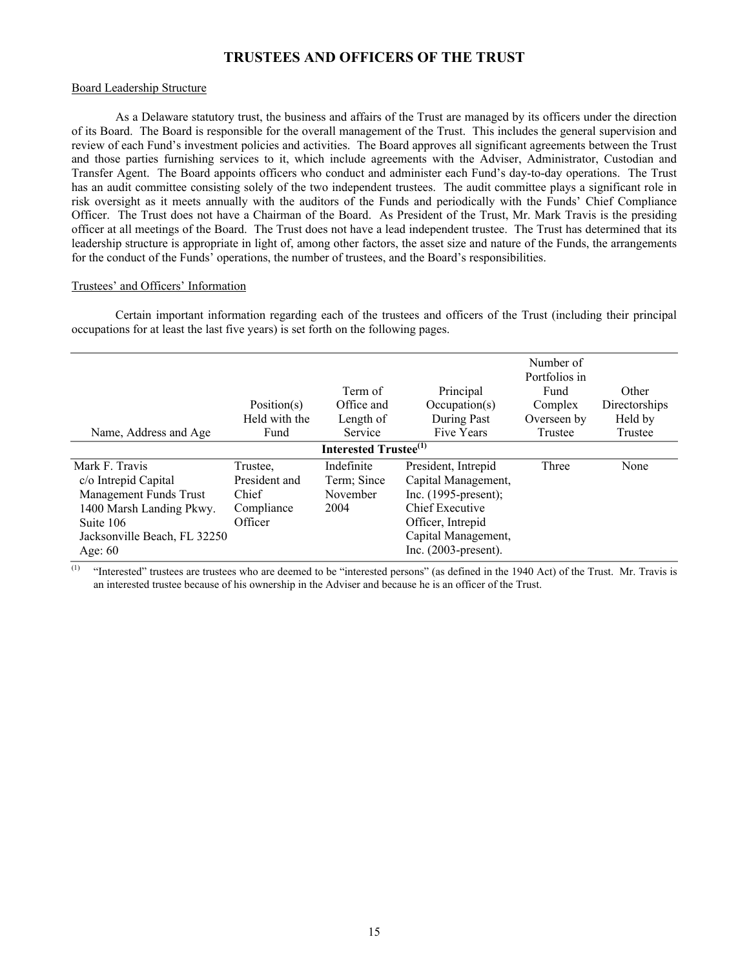## **TRUSTEES AND OFFICERS OF THE TRUST**

#### <span id="page-18-0"></span>Board Leadership Structure

As a Delaware statutory trust, the business and affairs of the Trust are managed by its officers under the direction of its Board. The Board is responsible for the overall management of the Trust. This includes the general supervision and review of each Fund's investment policies and activities. The Board approves all significant agreements between the Trust and those parties furnishing services to it, which include agreements with the Adviser, Administrator, Custodian and Transfer Agent. The Board appoints officers who conduct and administer each Fund's day-to-day operations. The Trust has an audit committee consisting solely of the two independent trustees. The audit committee plays a significant role in risk oversight as it meets annually with the auditors of the Funds and periodically with the Funds' Chief Compliance Officer. The Trust does not have a Chairman of the Board. As President of the Trust, Mr. Mark Travis is the presiding officer at all meetings of the Board. The Trust does not have a lead independent trustee. The Trust has determined that its leadership structure is appropriate in light of, among other factors, the asset size and nature of the Funds, the arrangements for the conduct of the Funds' operations, the number of trustees, and the Board's responsibilities.

#### Trustees' and Officers' Information

Certain important information regarding each of the trustees and officers of the Trust (including their principal occupations for at least the last five years) is set forth on the following pages.

|                                   |               |             |                         | Number of     |               |
|-----------------------------------|---------------|-------------|-------------------------|---------------|---------------|
|                                   |               |             |                         | Portfolios in |               |
|                                   |               | Term of     | Principal               | Fund          | Other         |
|                                   | Position(s)   | Office and  | Occupation(s)           | Complex       | Directorships |
|                                   | Held with the | Length of   | During Past             | Overseen by   | Held by       |
| Name, Address and Age             | Fund          | Service     | <b>Five Years</b>       | Trustee       | Trustee       |
| Interested Trustee <sup>(1)</sup> |               |             |                         |               |               |
| Mark F. Travis                    | Trustee.      | Indefinite  | President, Intrepid     | Three         | None          |
| c/o Intrepid Capital              | President and | Term; Since | Capital Management,     |               |               |
| Management Funds Trust            | Chief         | November    | Inc. $(1995$ -present); |               |               |
| 1400 Marsh Landing Pkwy.          | Compliance    | 2004        | Chief Executive         |               |               |
| Suite 106                         | Officer       |             | Officer, Intrepid       |               |               |
| Jacksonville Beach, FL 32250      |               |             | Capital Management,     |               |               |
| Age: $60$                         |               |             | Inc. $(2003$ -present). |               |               |

 $<sup>(1)</sup>$  "Interested" trustees are trustees who are deemed to be "interested persons" (as defined in the 1940 Act) of the Trust. Mr. Travis is</sup> an interested trustee because of his ownership in the Adviser and because he is an officer of the Trust.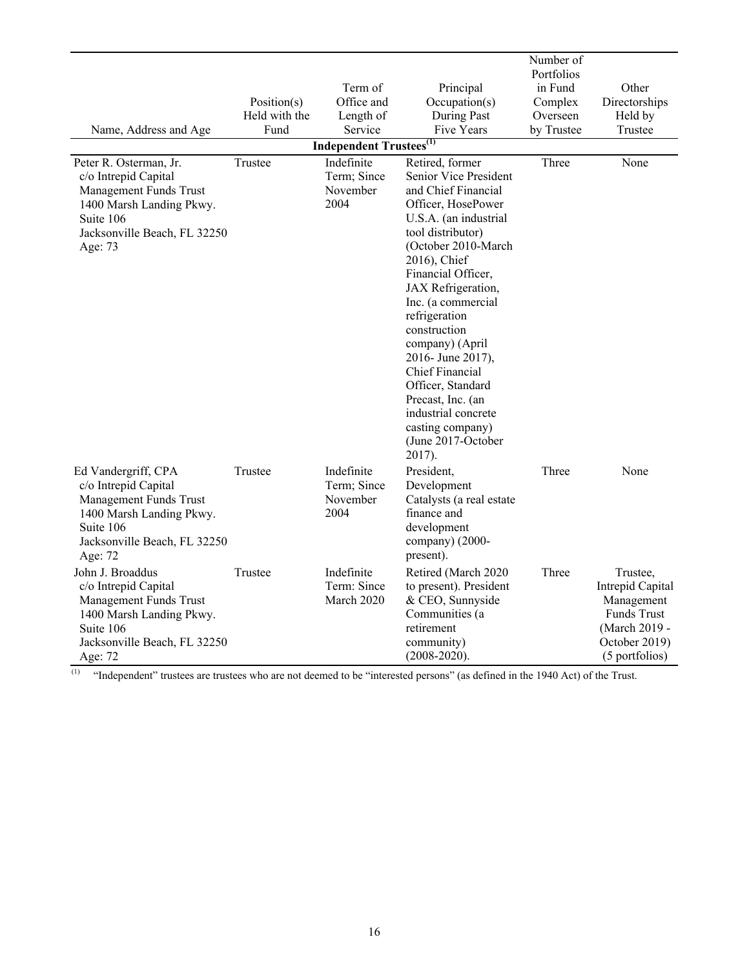|                                                                                                                                                                                                   |               |                                               |                                                                                                                                                                                                                                                                                                                                                                                                                                                            | Number of  |                                                                                                               |
|---------------------------------------------------------------------------------------------------------------------------------------------------------------------------------------------------|---------------|-----------------------------------------------|------------------------------------------------------------------------------------------------------------------------------------------------------------------------------------------------------------------------------------------------------------------------------------------------------------------------------------------------------------------------------------------------------------------------------------------------------------|------------|---------------------------------------------------------------------------------------------------------------|
|                                                                                                                                                                                                   |               |                                               |                                                                                                                                                                                                                                                                                                                                                                                                                                                            | Portfolios |                                                                                                               |
|                                                                                                                                                                                                   |               | Term of                                       | Principal                                                                                                                                                                                                                                                                                                                                                                                                                                                  | in Fund    | Other                                                                                                         |
|                                                                                                                                                                                                   | Position(s)   | Office and                                    | Occupation(s)                                                                                                                                                                                                                                                                                                                                                                                                                                              | Complex    | Directorships                                                                                                 |
|                                                                                                                                                                                                   | Held with the | Length of                                     | During Past                                                                                                                                                                                                                                                                                                                                                                                                                                                | Overseen   | Held by                                                                                                       |
| Name, Address and Age                                                                                                                                                                             | Fund          | Service                                       | Five Years                                                                                                                                                                                                                                                                                                                                                                                                                                                 | by Trustee | Trustee                                                                                                       |
|                                                                                                                                                                                                   |               | Independent Trustees <sup>(1)</sup>           |                                                                                                                                                                                                                                                                                                                                                                                                                                                            |            |                                                                                                               |
| Peter R. Osterman, Jr.<br>c/o Intrepid Capital<br>Management Funds Trust<br>1400 Marsh Landing Pkwy.<br>Suite 106<br>Jacksonville Beach, FL 32250<br>Age: 73                                      | Trustee       | Indefinite<br>Term; Since<br>November<br>2004 | Retired, former<br>Senior Vice President<br>and Chief Financial<br>Officer, HosePower<br>U.S.A. (an industrial<br>tool distributor)<br>(October 2010-March<br>2016), Chief<br>Financial Officer,<br>JAX Refrigeration,<br>Inc. (a commercial<br>refrigeration<br>construction<br>company) (April<br>2016- June 2017),<br><b>Chief Financial</b><br>Officer, Standard<br>Precast, Inc. (an<br>industrial concrete<br>casting company)<br>(June 2017-October | Three      | None                                                                                                          |
| Ed Vandergriff, CPA<br>c/o Intrepid Capital<br>Management Funds Trust<br>1400 Marsh Landing Pkwy.<br>Suite 106                                                                                    | Trustee       | Indefinite<br>Term; Since<br>November<br>2004 | 2017).<br>President,<br>Development<br>Catalysts (a real estate<br>finance and<br>development                                                                                                                                                                                                                                                                                                                                                              | Three      | None                                                                                                          |
| Jacksonville Beach, FL 32250<br>Age: 72<br>John J. Broaddus<br>c/o Intrepid Capital<br>Management Funds Trust<br>1400 Marsh Landing Pkwy.<br>Suite 106<br>Jacksonville Beach, FL 32250<br>Age: 72 | Trustee       | Indefinite<br>Term: Since<br>March 2020       | company) (2000-<br>present).<br>Retired (March 2020<br>to present). President<br>& CEO, Sunnyside<br>Communities (a<br>retirement<br>community)<br>$(2008 - 2020)$ .                                                                                                                                                                                                                                                                                       | Three      | Trustee,<br>Intrepid Capital<br>Management<br>Funds Trust<br>(March 2019 -<br>October 2019)<br>(5 portfolios) |

 $\frac{1}{10}$  "Independent" trustees are trustees who are not deemed to be "interested persons" (as defined in the 1940 Act) of the Trust.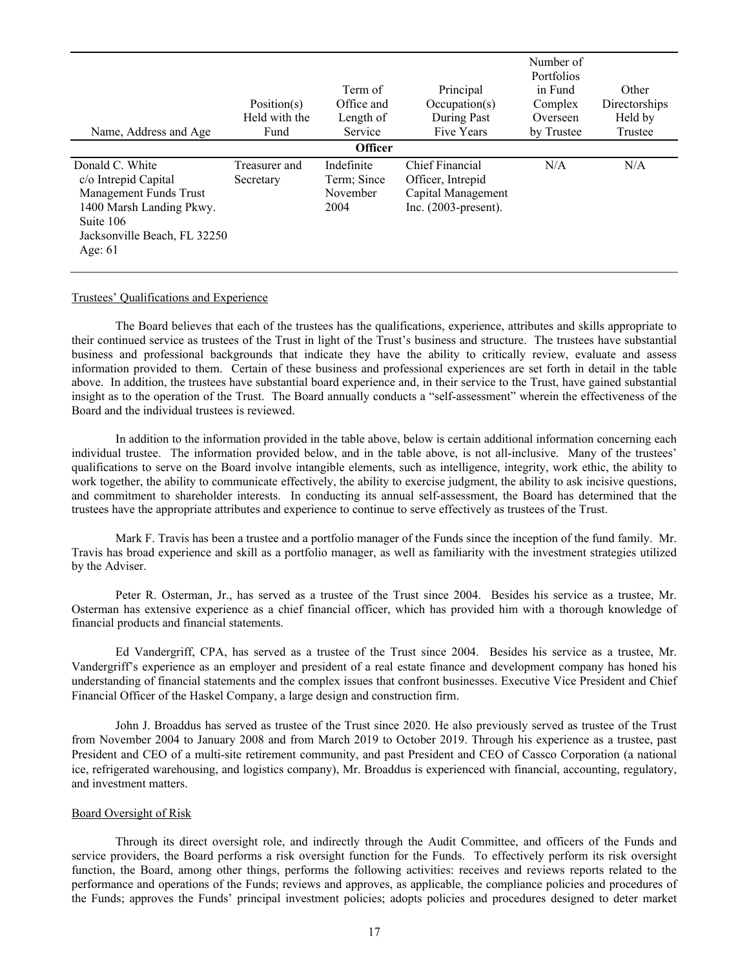<span id="page-20-0"></span>

| Name, Address and Age                                                                                                                                   | Position(s)<br>Held with the<br>Fund | Term of<br>Office and<br>Length of<br><b>Service</b> | Principal<br>Occupation(s)<br>During Past<br><b>Five Years</b>                        | Number of<br><b>Portfolios</b><br>in Fund<br>Complex<br>Overseen<br>by Trustee | Other<br>Directorships<br>Held by<br>Trustee |
|---------------------------------------------------------------------------------------------------------------------------------------------------------|--------------------------------------|------------------------------------------------------|---------------------------------------------------------------------------------------|--------------------------------------------------------------------------------|----------------------------------------------|
|                                                                                                                                                         |                                      | <b>Officer</b>                                       |                                                                                       |                                                                                |                                              |
| Donald C. White<br>c/o Intrepid Capital<br>Management Funds Trust<br>1400 Marsh Landing Pkwy.<br>Suite 106<br>Jacksonville Beach, FL 32250<br>Age: $61$ | Treasurer and<br>Secretary           | Indefinite<br>Term; Since<br>November<br>2004        | Chief Financial<br>Officer, Intrepid<br>Capital Management<br>Inc. $(2003$ -present). | N/A                                                                            | N/A                                          |

#### Trustees' Qualifications and Experience

The Board believes that each of the trustees has the qualifications, experience, attributes and skills appropriate to their continued service as trustees of the Trust in light of the Trust's business and structure. The trustees have substantial business and professional backgrounds that indicate they have the ability to critically review, evaluate and assess information provided to them. Certain of these business and professional experiences are set forth in detail in the table above. In addition, the trustees have substantial board experience and, in their service to the Trust, have gained substantial insight as to the operation of the Trust. The Board annually conducts a "self-assessment" wherein the effectiveness of the Board and the individual trustees is reviewed.

In addition to the information provided in the table above, below is certain additional information concerning each individual trustee. The information provided below, and in the table above, is not all-inclusive. Many of the trustees' qualifications to serve on the Board involve intangible elements, such as intelligence, integrity, work ethic, the ability to work together, the ability to communicate effectively, the ability to exercise judgment, the ability to ask incisive questions, and commitment to shareholder interests. In conducting its annual self-assessment, the Board has determined that the trustees have the appropriate attributes and experience to continue to serve effectively as trustees of the Trust.

Mark F. Travis has been a trustee and a portfolio manager of the Funds since the inception of the fund family. Mr. Travis has broad experience and skill as a portfolio manager, as well as familiarity with the investment strategies utilized by the Adviser.

Peter R. Osterman, Jr., has served as a trustee of the Trust since 2004. Besides his service as a trustee, Mr. Osterman has extensive experience as a chief financial officer, which has provided him with a thorough knowledge of financial products and financial statements.

Ed Vandergriff, CPA, has served as a trustee of the Trust since 2004. Besides his service as a trustee, Mr. Vandergriff's experience as an employer and president of a real estate finance and development company has honed his understanding of financial statements and the complex issues that confront businesses. Executive Vice President and Chief Financial Officer of the Haskel Company, a large design and construction firm.

John J. Broaddus has served as trustee of the Trust since 2020. He also previously served as trustee of the Trust from November 2004 to January 2008 and from March 2019 to October 2019. Through his experience as a trustee, past President and CEO of a multi-site retirement community, and past President and CEO of Cassco Corporation (a national ice, refrigerated warehousing, and logistics company), Mr. Broaddus is experienced with financial, accounting, regulatory, and investment matters.

#### Board Oversight of Risk

Through its direct oversight role, and indirectly through the Audit Committee, and officers of the Funds and service providers, the Board performs a risk oversight function for the Funds. To effectively perform its risk oversight function, the Board, among other things, performs the following activities: receives and reviews reports related to the performance and operations of the Funds; reviews and approves, as applicable, the compliance policies and procedures of the Funds; approves the Funds' principal investment policies; adopts policies and procedures designed to deter market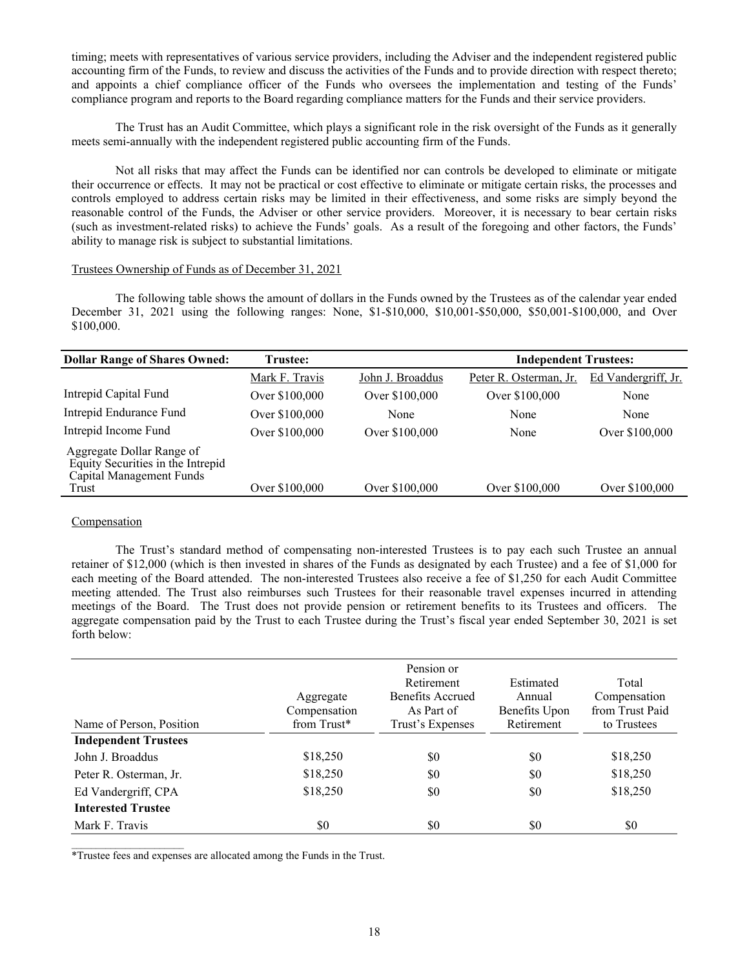<span id="page-21-0"></span>timing; meets with representatives of various service providers, including the Adviser and the independent registered public accounting firm of the Funds, to review and discuss the activities of the Funds and to provide direction with respect thereto; and appoints a chief compliance officer of the Funds who oversees the implementation and testing of the Funds' compliance program and reports to the Board regarding compliance matters for the Funds and their service providers.

The Trust has an Audit Committee, which plays a significant role in the risk oversight of the Funds as it generally meets semi-annually with the independent registered public accounting firm of the Funds.

Not all risks that may affect the Funds can be identified nor can controls be developed to eliminate or mitigate their occurrence or effects. It may not be practical or cost effective to eliminate or mitigate certain risks, the processes and controls employed to address certain risks may be limited in their effectiveness, and some risks are simply beyond the reasonable control of the Funds, the Adviser or other service providers. Moreover, it is necessary to bear certain risks (such as investment-related risks) to achieve the Funds' goals. As a result of the foregoing and other factors, the Funds' ability to manage risk is subject to substantial limitations.

#### Trustees Ownership of Funds as of December 31, 2021

The following table shows the amount of dollars in the Funds owned by the Trustees as of the calendar year ended December 31, 2021 using the following ranges: None, \$1-\$10,000, \$10,001-\$50,000, \$50,001-\$100,000, and Over \$100,000.

| <b>Dollar Range of Shares Owned:</b>                                                                | <b>Trustee:</b> |                  | <b>Independent Trustees:</b> |                     |
|-----------------------------------------------------------------------------------------------------|-----------------|------------------|------------------------------|---------------------|
|                                                                                                     | Mark F. Travis  | John J. Broaddus | Peter R. Osterman, Jr.       | Ed Vandergriff, Jr. |
| Intrepid Capital Fund                                                                               | Over \$100,000  | Over \$100,000   | Over \$100,000               | None                |
| Intrepid Endurance Fund                                                                             | Over \$100,000  | None             | None                         | None                |
| Intrepid Income Fund                                                                                | Over \$100,000  | Over \$100,000   | None                         | Over \$100,000      |
| Aggregate Dollar Range of<br>Equity Securities in the Intrepid<br>Capital Management Funds<br>Trust | Over \$100,000  | Over \$100,000   | Over \$100,000               | Over \$100,000      |

### **Compensation**

The Trust's standard method of compensating non-interested Trustees is to pay each such Trustee an annual retainer of \$12,000 (which is then invested in shares of the Funds as designated by each Trustee) and a fee of \$1,000 for each meeting of the Board attended. The non-interested Trustees also receive a fee of \$1,250 for each Audit Committee meeting attended. The Trust also reimburses such Trustees for their reasonable travel expenses incurred in attending meetings of the Board. The Trust does not provide pension or retirement benefits to its Trustees and officers. The aggregate compensation paid by the Trust to each Trustee during the Trust's fiscal year ended September 30, 2021 is set forth below:

|                             |              | Pension or       |               |                 |
|-----------------------------|--------------|------------------|---------------|-----------------|
|                             |              | Retirement       | Estimated     | Total           |
|                             | Aggregate    | Benefits Accrued | Annual        | Compensation    |
|                             | Compensation | As Part of       | Benefits Upon | from Trust Paid |
| Name of Person, Position    | from Trust*  | Trust's Expenses | Retirement    | to Trustees     |
| <b>Independent Trustees</b> |              |                  |               |                 |
| John J. Broaddus            | \$18,250     | \$0              | \$0           | \$18,250        |
| Peter R. Osterman, Jr.      | \$18,250     | \$0              | \$0           | \$18,250        |
| Ed Vandergriff, CPA         | \$18,250     | \$0              | \$0           | \$18,250        |
| <b>Interested Trustee</b>   |              |                  |               |                 |
| Mark F. Travis              | \$0          | \$0              | \$0           | \$0             |

\*Trustee fees and expenses are allocated among the Funds in the Trust.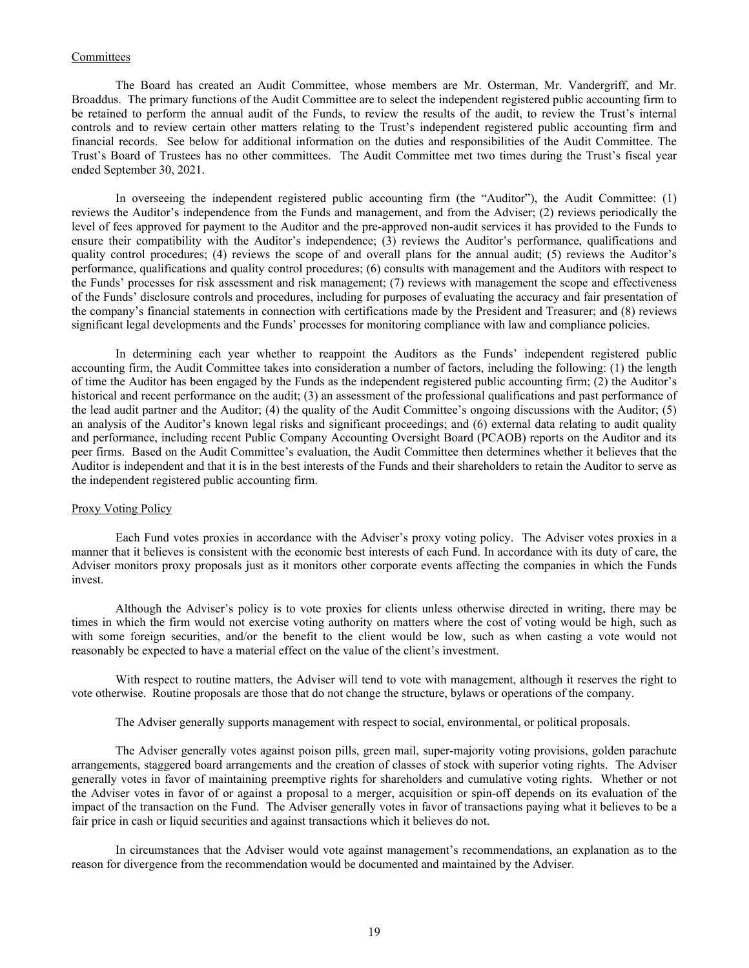#### <span id="page-22-0"></span>Committees

The Board has created an Audit Committee, whose members are Mr. Osterman, Mr. Vandergriff, and Mr. Broaddus. The primary functions of the Audit Committee are to select the independent registered public accounting firm to be retained to perform the annual audit of the Funds, to review the results of the audit, to review the Trust's internal controls and to review certain other matters relating to the Trust's independent registered public accounting firm and financial records. See below for additional information on the duties and responsibilities of the Audit Committee. The Trust's Board of Trustees has no other committees. The Audit Committee met two times during the Trust's fiscal year ended September 30, 2021.

In overseeing the independent registered public accounting firm (the "Auditor"), the Audit Committee: (1) reviews the Auditor's independence from the Funds and management, and from the Adviser; (2) reviews periodically the level of fees approved for payment to the Auditor and the pre-approved non-audit services it has provided to the Funds to ensure their compatibility with the Auditor's independence; (3) reviews the Auditor's performance, qualifications and quality control procedures; (4) reviews the scope of and overall plans for the annual audit; (5) reviews the Auditor's performance, qualifications and quality control procedures; (6) consults with management and the Auditors with respect to the Funds' processes for risk assessment and risk management; (7) reviews with management the scope and effectiveness of the Funds' disclosure controls and procedures, including for purposes of evaluating the accuracy and fair presentation of the company's financial statements in connection with certifications made by the President and Treasurer; and (8) reviews significant legal developments and the Funds' processes for monitoring compliance with law and compliance policies.

In determining each year whether to reappoint the Auditors as the Funds' independent registered public accounting firm, the Audit Committee takes into consideration a number of factors, including the following: (1) the length of time the Auditor has been engaged by the Funds as the independent registered public accounting firm; (2) the Auditor's historical and recent performance on the audit; (3) an assessment of the professional qualifications and past performance of the lead audit partner and the Auditor; (4) the quality of the Audit Committee's ongoing discussions with the Auditor; (5) an analysis of the Auditor's known legal risks and significant proceedings; and (6) external data relating to audit quality and performance, including recent Public Company Accounting Oversight Board (PCAOB) reports on the Auditor and its peer firms. Based on the Audit Committee's evaluation, the Audit Committee then determines whether it believes that the Auditor is independent and that it is in the best interests of the Funds and their shareholders to retain the Auditor to serve as the independent registered public accounting firm.

#### Proxy Voting Policy

Each Fund votes proxies in accordance with the Adviser's proxy voting policy. The Adviser votes proxies in a manner that it believes is consistent with the economic best interests of each Fund. In accordance with its duty of care, the Adviser monitors proxy proposals just as it monitors other corporate events affecting the companies in which the Funds invest.

Although the Adviser's policy is to vote proxies for clients unless otherwise directed in writing, there may be times in which the firm would not exercise voting authority on matters where the cost of voting would be high, such as with some foreign securities, and/or the benefit to the client would be low, such as when casting a vote would not reasonably be expected to have a material effect on the value of the client's investment.

With respect to routine matters, the Adviser will tend to vote with management, although it reserves the right to vote otherwise. Routine proposals are those that do not change the structure, bylaws or operations of the company.

The Adviser generally supports management with respect to social, environmental, or political proposals.

The Adviser generally votes against poison pills, green mail, super-majority voting provisions, golden parachute arrangements, staggered board arrangements and the creation of classes of stock with superior voting rights. The Adviser generally votes in favor of maintaining preemptive rights for shareholders and cumulative voting rights. Whether or not the Adviser votes in favor of or against a proposal to a merger, acquisition or spin-off depends on its evaluation of the impact of the transaction on the Fund. The Adviser generally votes in favor of transactions paying what it believes to be a fair price in cash or liquid securities and against transactions which it believes do not.

In circumstances that the Adviser would vote against management's recommendations, an explanation as to the reason for divergence from the recommendation would be documented and maintained by the Adviser.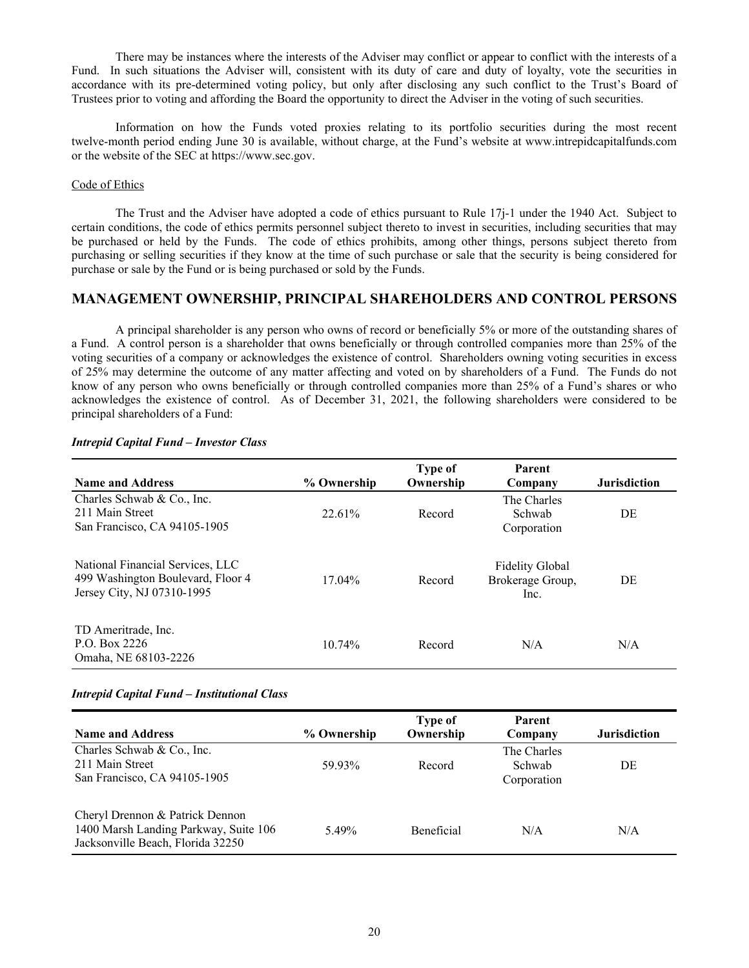<span id="page-23-0"></span>There may be instances where the interests of the Adviser may conflict or appear to conflict with the interests of a Fund. In such situations the Adviser will, consistent with its duty of care and duty of loyalty, vote the securities in accordance with its pre-determined voting policy, but only after disclosing any such conflict to the Trust's Board of Trustees prior to voting and affording the Board the opportunity to direct the Adviser in the voting of such securities.

Information on how the Funds voted proxies relating to its portfolio securities during the most recent twelve-month period ending June 30 is available, without charge, at the Fund's website at www.intrepidcapitalfunds.com or the website of the SEC at https://www.sec.gov.

#### Code of Ethics

The Trust and the Adviser have adopted a code of ethics pursuant to Rule 17<sup>-1</sup> under the 1940 Act. Subject to certain conditions, the code of ethics permits personnel subject thereto to invest in securities, including securities that may be purchased or held by the Funds. The code of ethics prohibits, among other things, persons subject thereto from purchasing or selling securities if they know at the time of such purchase or sale that the security is being considered for purchase or sale by the Fund or is being purchased or sold by the Funds.

### **MANAGEMENT OWNERSHIP, PRINCIPAL SHAREHOLDERS AND CONTROL PERSONS**

A principal shareholder is any person who owns of record or beneficially 5% or more of the outstanding shares of a Fund. A control person is a shareholder that owns beneficially or through controlled companies more than 25% of the voting securities of a company or acknowledges the existence of control. Shareholders owning voting securities in excess of 25% may determine the outcome of any matter affecting and voted on by shareholders of a Fund. The Funds do not know of any person who owns beneficially or through controlled companies more than 25% of a Fund's shares or who acknowledges the existence of control. As of December 31, 2021, the following shareholders were considered to be principal shareholders of a Fund:

| <b>Name and Address</b>                                                                             | % Ownership | Type of<br>Ownership | Parent<br>Company                                  | <b>Jurisdiction</b> |
|-----------------------------------------------------------------------------------------------------|-------------|----------------------|----------------------------------------------------|---------------------|
| Charles Schwab $& Co.$ Inc.<br>211 Main Street<br>San Francisco, CA 94105-1905                      | 22.61%      | Record               | The Charles<br>Schwab<br>Corporation               | DE                  |
| National Financial Services, LLC<br>499 Washington Boulevard, Floor 4<br>Jersey City, NJ 07310-1995 | $17.04\%$   | Record               | <b>Fidelity Global</b><br>Brokerage Group,<br>Inc. | DE                  |
| TD Ameritrade, Inc.<br>P.O. Box 2226<br>Omaha, NE 68103-2226                                        | $10.74\%$   | Record               | N/A                                                | N/A                 |

#### *Intrepid Capital Fund – Investor Class*

#### *Intrepid Capital Fund – Institutional Class*

| <b>Name and Address</b>                                                                                       | % Ownership | Type of<br>Ownership | Parent<br>Company                    | <b>Jurisdiction</b> |
|---------------------------------------------------------------------------------------------------------------|-------------|----------------------|--------------------------------------|---------------------|
| Charles Schwab & Co., Inc.<br>211 Main Street<br>San Francisco, CA 94105-1905                                 | 59.93%      | Record               | The Charles<br>Schwab<br>Corporation | DE                  |
| Cheryl Drennon & Patrick Dennon<br>1400 Marsh Landing Parkway, Suite 106<br>Jacksonville Beach, Florida 32250 | $5.49\%$    | <b>Beneficial</b>    | N/A                                  | N/A                 |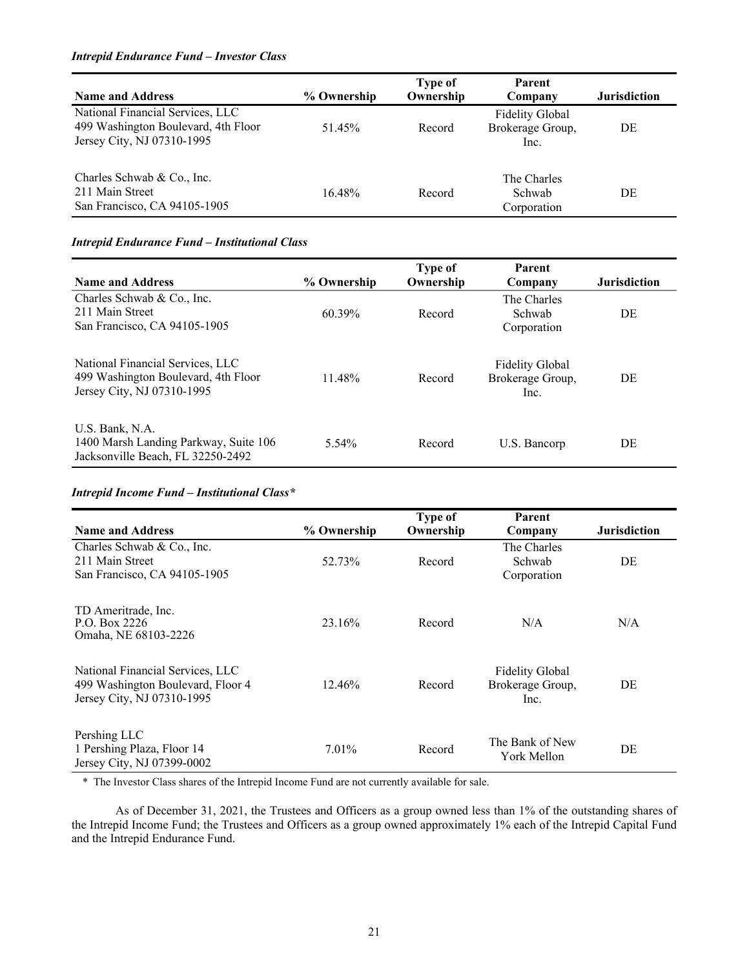### *Intrepid Endurance Fund – Investor Class*

| <b>Name and Address</b>                                                                               | % Ownership | <b>Type of</b><br>Ownership | Parent<br>Company                                  | <b>Jurisdiction</b> |
|-------------------------------------------------------------------------------------------------------|-------------|-----------------------------|----------------------------------------------------|---------------------|
| National Financial Services, LLC<br>499 Washington Boulevard, 4th Floor<br>Jersey City, NJ 07310-1995 | 51.45%      | Record                      | <b>Fidelity Global</b><br>Brokerage Group,<br>Inc. | DE                  |
| Charles Schwab & Co., Inc.<br>211 Main Street<br>San Francisco, CA 94105-1905                         | 16.48%      | Record                      | The Charles<br>Schwab<br>Corporation               | DE                  |

### *Intrepid Endurance Fund – Institutional Class*

| <b>Name and Address</b>                                                                               | % Ownership | Type of<br>Ownership | Parent<br>Company                                  | <b>Jurisdiction</b> |
|-------------------------------------------------------------------------------------------------------|-------------|----------------------|----------------------------------------------------|---------------------|
| Charles Schwab & Co., Inc.<br>211 Main Street<br>San Francisco, CA 94105-1905                         | $60.39\%$   | Record               | The Charles<br>Schwab<br>Corporation               | DE                  |
| National Financial Services, LLC<br>499 Washington Boulevard, 4th Floor<br>Jersey City, NJ 07310-1995 | $11.48\%$   | Record               | <b>Fidelity Global</b><br>Brokerage Group,<br>Inc. | DE                  |
| U.S. Bank, N.A.<br>1400 Marsh Landing Parkway, Suite 106<br>Jacksonville Beach, FL 32250-2492         | $5.54\%$    | Record               | U.S. Bancorp                                       | DE                  |

### *Intrepid Income Fund – Institutional Class\**

|                                                                                                     |             | Type of   | Parent                                             |                     |
|-----------------------------------------------------------------------------------------------------|-------------|-----------|----------------------------------------------------|---------------------|
| <b>Name and Address</b>                                                                             | % Ownership | Ownership | Company                                            | <b>Jurisdiction</b> |
| Charles Schwab & Co., Inc.                                                                          |             |           | The Charles                                        |                     |
| 211 Main Street                                                                                     | 52.73%      | Record    | Schwab                                             | DE                  |
| San Francisco, CA 94105-1905                                                                        |             |           | Corporation                                        |                     |
| TD Ameritrade, Inc.<br>P.O. Box 2226<br>Omaha, NE 68103-2226                                        | 23.16%      | Record    | N/A                                                | N/A                 |
| National Financial Services, LLC<br>499 Washington Boulevard, Floor 4<br>Jersey City, NJ 07310-1995 | 12.46%      | Record    | <b>Fidelity Global</b><br>Brokerage Group,<br>Inc. | DE                  |
| Pershing LLC<br>1 Pershing Plaza, Floor 14<br>Jersey City, NJ 07399-0002                            | $7.01\%$    | Record    | The Bank of New<br>York Mellon                     | DE                  |

\* The Investor Class shares of the Intrepid Income Fund are not currently available for sale.

As of December 31, 2021, the Trustees and Officers as a group owned less than 1% of the outstanding shares of the Intrepid Income Fund; the Trustees and Officers as a group owned approximately 1% each of the Intrepid Capital Fund and the Intrepid Endurance Fund.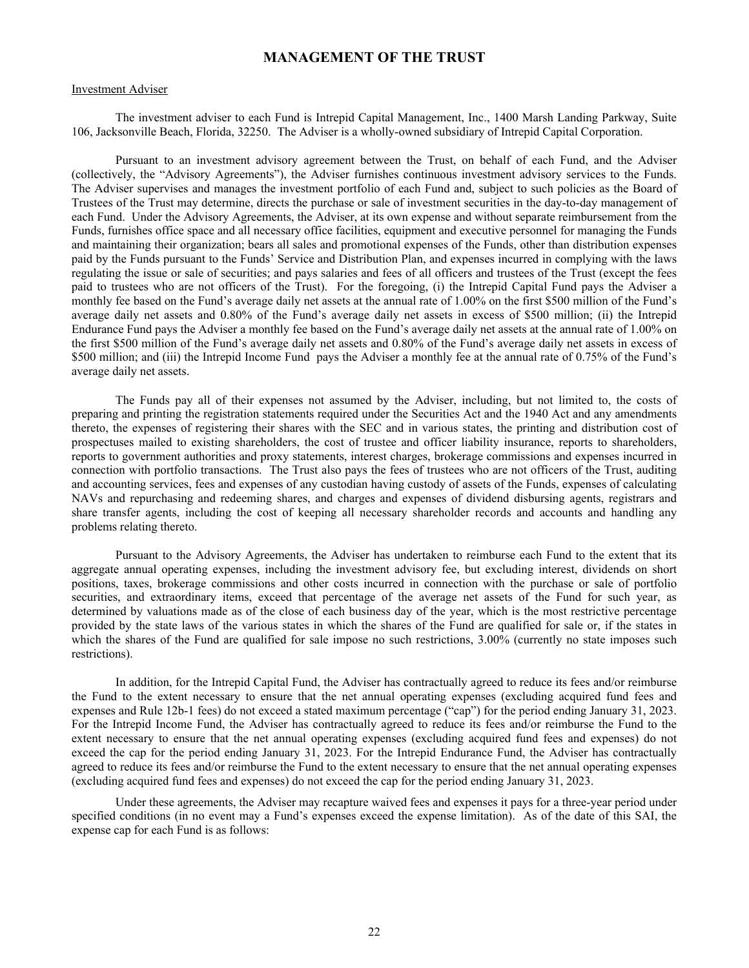### **MANAGEMENT OF THE TRUST**

#### <span id="page-25-0"></span>Investment Adviser

The investment adviser to each Fund is Intrepid Capital Management, Inc., 1400 Marsh Landing Parkway, Suite 106, Jacksonville Beach, Florida, 32250. The Adviser is a wholly-owned subsidiary of Intrepid Capital Corporation.

Pursuant to an investment advisory agreement between the Trust, on behalf of each Fund, and the Adviser (collectively, the "Advisory Agreements"), the Adviser furnishes continuous investment advisory services to the Funds. The Adviser supervises and manages the investment portfolio of each Fund and, subject to such policies as the Board of Trustees of the Trust may determine, directs the purchase or sale of investment securities in the day-to-day management of each Fund. Under the Advisory Agreements, the Adviser, at its own expense and without separate reimbursement from the Funds, furnishes office space and all necessary office facilities, equipment and executive personnel for managing the Funds and maintaining their organization; bears all sales and promotional expenses of the Funds, other than distribution expenses paid by the Funds pursuant to the Funds' Service and Distribution Plan, and expenses incurred in complying with the laws regulating the issue or sale of securities; and pays salaries and fees of all officers and trustees of the Trust (except the fees paid to trustees who are not officers of the Trust). For the foregoing, (i) the Intrepid Capital Fund pays the Adviser a monthly fee based on the Fund's average daily net assets at the annual rate of 1.00% on the first \$500 million of the Fund's average daily net assets and 0.80% of the Fund's average daily net assets in excess of \$500 million; (ii) the Intrepid Endurance Fund pays the Adviser a monthly fee based on the Fund's average daily net assets at the annual rate of 1.00% on the first \$500 million of the Fund's average daily net assets and 0.80% of the Fund's average daily net assets in excess of \$500 million; and (iii) the Intrepid Income Fund pays the Adviser a monthly fee at the annual rate of 0.75% of the Fund's average daily net assets.

The Funds pay all of their expenses not assumed by the Adviser, including, but not limited to, the costs of preparing and printing the registration statements required under the Securities Act and the 1940 Act and any amendments thereto, the expenses of registering their shares with the SEC and in various states, the printing and distribution cost of prospectuses mailed to existing shareholders, the cost of trustee and officer liability insurance, reports to shareholders, reports to government authorities and proxy statements, interest charges, brokerage commissions and expenses incurred in connection with portfolio transactions. The Trust also pays the fees of trustees who are not officers of the Trust, auditing and accounting services, fees and expenses of any custodian having custody of assets of the Funds, expenses of calculating NAVs and repurchasing and redeeming shares, and charges and expenses of dividend disbursing agents, registrars and share transfer agents, including the cost of keeping all necessary shareholder records and accounts and handling any problems relating thereto.

Pursuant to the Advisory Agreements, the Adviser has undertaken to reimburse each Fund to the extent that its aggregate annual operating expenses, including the investment advisory fee, but excluding interest, dividends on short positions, taxes, brokerage commissions and other costs incurred in connection with the purchase or sale of portfolio securities, and extraordinary items, exceed that percentage of the average net assets of the Fund for such year, as determined by valuations made as of the close of each business day of the year, which is the most restrictive percentage provided by the state laws of the various states in which the shares of the Fund are qualified for sale or, if the states in which the shares of the Fund are qualified for sale impose no such restrictions, 3.00% (currently no state imposes such restrictions).

In addition, for the Intrepid Capital Fund, the Adviser has contractually agreed to reduce its fees and/or reimburse the Fund to the extent necessary to ensure that the net annual operating expenses (excluding acquired fund fees and expenses and Rule 12b-1 fees) do not exceed a stated maximum percentage ("cap") for the period ending January 31, 2023. For the Intrepid Income Fund, the Adviser has contractually agreed to reduce its fees and/or reimburse the Fund to the extent necessary to ensure that the net annual operating expenses (excluding acquired fund fees and expenses) do not exceed the cap for the period ending January 31, 2023. For the Intrepid Endurance Fund, the Adviser has contractually agreed to reduce its fees and/or reimburse the Fund to the extent necessary to ensure that the net annual operating expenses (excluding acquired fund fees and expenses) do not exceed the cap for the period ending January 31, 2023.

Under these agreements, the Adviser may recapture waived fees and expenses it pays for a three-year period under specified conditions (in no event may a Fund's expenses exceed the expense limitation). As of the date of this SAI, the expense cap for each Fund is as follows: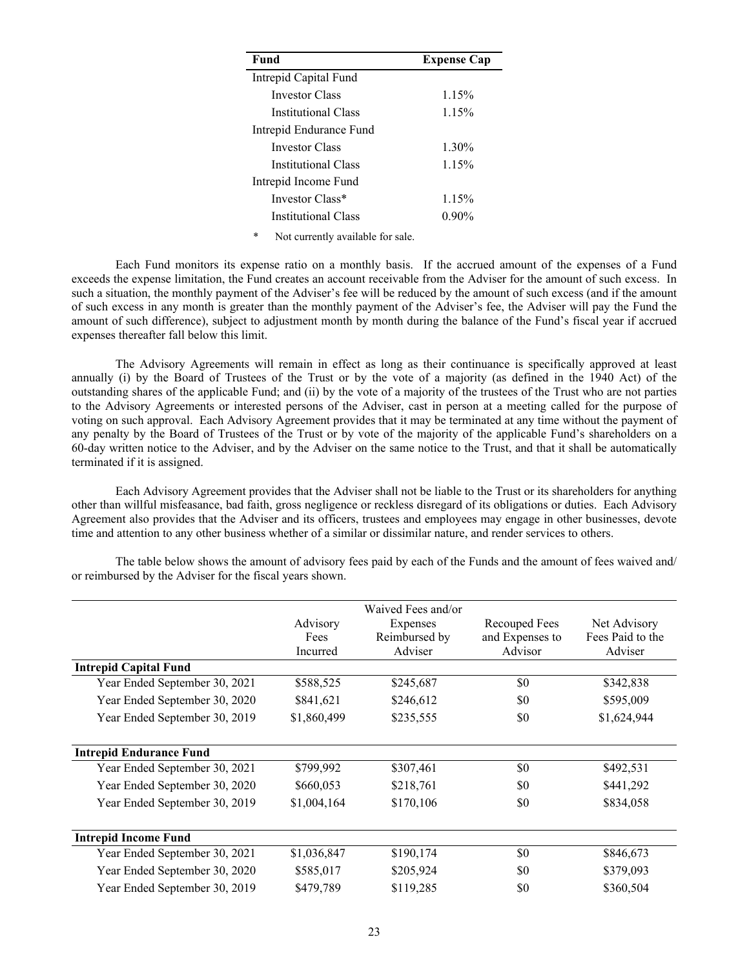| Fund                                        | <b>Expense Cap</b> |
|---------------------------------------------|--------------------|
| Intrepid Capital Fund                       |                    |
| Investor Class                              | 1.15%              |
| Institutional Class                         | 1.15%              |
| Intrepid Endurance Fund                     |                    |
| Investor Class                              | $1.30\%$           |
| Institutional Class                         | 1.15%              |
| Intrepid Income Fund                        |                    |
| Investor Class*                             | 1.15%              |
| Institutional Class                         | $0.90\%$           |
| $\ast$<br>Not currently available for sale. |                    |

Each Fund monitors its expense ratio on a monthly basis. If the accrued amount of the expenses of a Fund exceeds the expense limitation, the Fund creates an account receivable from the Adviser for the amount of such excess. In such a situation, the monthly payment of the Adviser's fee will be reduced by the amount of such excess (and if the amount of such excess in any month is greater than the monthly payment of the Adviser's fee, the Adviser will pay the Fund the amount of such difference), subject to adjustment month by month during the balance of the Fund's fiscal year if accrued expenses thereafter fall below this limit.

The Advisory Agreements will remain in effect as long as their continuance is specifically approved at least annually (i) by the Board of Trustees of the Trust or by the vote of a majority (as defined in the 1940 Act) of the outstanding shares of the applicable Fund; and (ii) by the vote of a majority of the trustees of the Trust who are not parties to the Advisory Agreements or interested persons of the Adviser, cast in person at a meeting called for the purpose of voting on such approval. Each Advisory Agreement provides that it may be terminated at any time without the payment of any penalty by the Board of Trustees of the Trust or by vote of the majority of the applicable Fund's shareholders on a 60‑day written notice to the Adviser, and by the Adviser on the same notice to the Trust, and that it shall be automatically terminated if it is assigned.

Each Advisory Agreement provides that the Adviser shall not be liable to the Trust or its shareholders for anything other than willful misfeasance, bad faith, gross negligence or reckless disregard of its obligations or duties. Each Advisory Agreement also provides that the Adviser and its officers, trustees and employees may engage in other businesses, devote time and attention to any other business whether of a similar or dissimilar nature, and render services to others.

The table below shows the amount of advisory fees paid by each of the Funds and the amount of fees waived and/ or reimbursed by the Adviser for the fiscal years shown.

|                                |                  | Waived Fees and/or        |                                         |                                  |
|--------------------------------|------------------|---------------------------|-----------------------------------------|----------------------------------|
|                                | Advisory<br>Fees | Expenses<br>Reimbursed by | <b>Recouped Fees</b><br>and Expenses to | Net Advisory<br>Fees Paid to the |
|                                | Incurred         | Adviser                   | Advisor                                 | Adviser                          |
| <b>Intrepid Capital Fund</b>   |                  |                           |                                         |                                  |
| Year Ended September 30, 2021  | \$588,525        | \$245,687                 | \$0                                     | \$342,838                        |
| Year Ended September 30, 2020  | \$841,621        | \$246,612                 | \$0                                     | \$595,009                        |
| Year Ended September 30, 2019  | \$1,860,499      | \$235,555                 | \$0                                     | \$1,624,944                      |
| <b>Intrepid Endurance Fund</b> |                  |                           |                                         |                                  |
| Year Ended September 30, 2021  | \$799,992        | \$307,461                 | \$0                                     | \$492,531                        |
| Year Ended September 30, 2020  | \$660,053        | \$218,761                 | \$0                                     | \$441,292                        |
| Year Ended September 30, 2019  | \$1,004,164      | \$170,106                 | \$0                                     | \$834,058                        |
| <b>Intrepid Income Fund</b>    |                  |                           |                                         |                                  |
| Year Ended September 30, 2021  | \$1,036,847      | \$190,174                 | \$0                                     | \$846,673                        |
| Year Ended September 30, 2020  | \$585,017        | \$205,924                 | \$0                                     | \$379,093                        |
| Year Ended September 30, 2019  | \$479,789        | \$119,285                 | \$0                                     | \$360,504                        |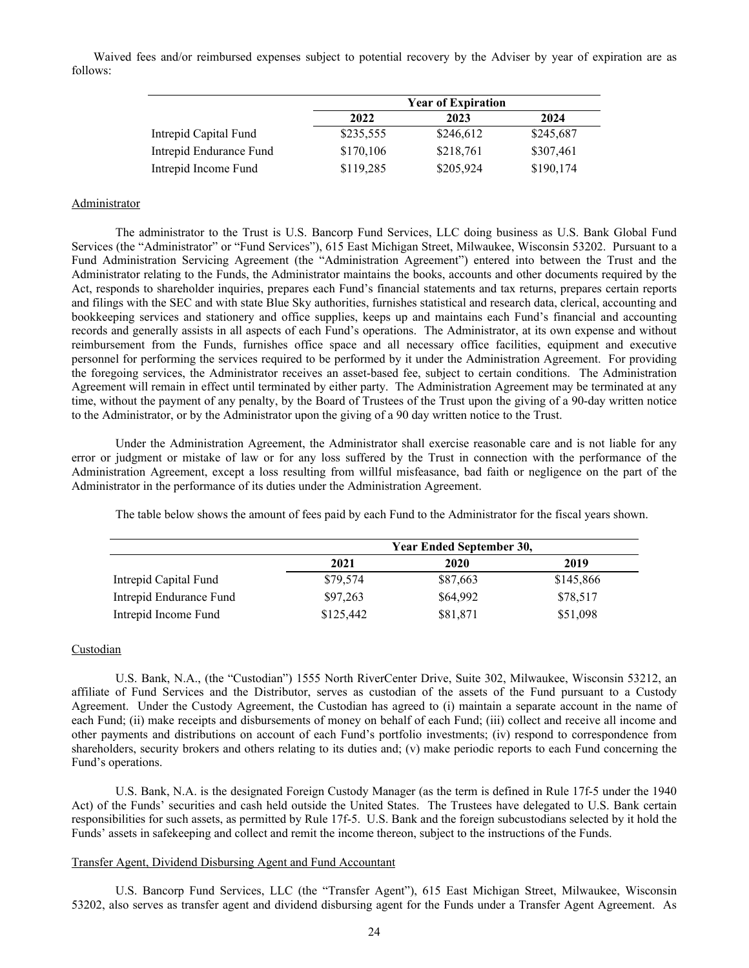<span id="page-27-0"></span>Waived fees and/or reimbursed expenses subject to potential recovery by the Adviser by year of expiration are as follows:

|                         | <b>Year of Expiration</b> |           |           |
|-------------------------|---------------------------|-----------|-----------|
|                         | 2022                      | 2023      | 2024      |
| Intrepid Capital Fund   | \$235,555                 | \$246,612 | \$245,687 |
| Intrepid Endurance Fund | \$170,106                 | \$218,761 | \$307,461 |
| Intrepid Income Fund    | \$119,285                 | \$205,924 | \$190,174 |

#### Administrator

The administrator to the Trust is U.S. Bancorp Fund Services, LLC doing business as U.S. Bank Global Fund Services (the "Administrator" or "Fund Services"), 615 East Michigan Street, Milwaukee, Wisconsin 53202. Pursuant to a Fund Administration Servicing Agreement (the "Administration Agreement") entered into between the Trust and the Administrator relating to the Funds, the Administrator maintains the books, accounts and other documents required by the Act, responds to shareholder inquiries, prepares each Fund's financial statements and tax returns, prepares certain reports and filings with the SEC and with state Blue Sky authorities, furnishes statistical and research data, clerical, accounting and bookkeeping services and stationery and office supplies, keeps up and maintains each Fund's financial and accounting records and generally assists in all aspects of each Fund's operations. The Administrator, at its own expense and without reimbursement from the Funds, furnishes office space and all necessary office facilities, equipment and executive personnel for performing the services required to be performed by it under the Administration Agreement. For providing the foregoing services, the Administrator receives an asset-based fee, subject to certain conditions. The Administration Agreement will remain in effect until terminated by either party. The Administration Agreement may be terminated at any time, without the payment of any penalty, by the Board of Trustees of the Trust upon the giving of a 90-day written notice to the Administrator, or by the Administrator upon the giving of a 90 day written notice to the Trust.

Under the Administration Agreement, the Administrator shall exercise reasonable care and is not liable for any error or judgment or mistake of law or for any loss suffered by the Trust in connection with the performance of the Administration Agreement, except a loss resulting from willful misfeasance, bad faith or negligence on the part of the Administrator in the performance of its duties under the Administration Agreement.

|                         | <b>Year Ended September 30,</b> |          |           |
|-------------------------|---------------------------------|----------|-----------|
|                         | 2021                            | 2020     | 2019      |
| Intrepid Capital Fund   | \$79,574                        | \$87,663 | \$145,866 |
| Intrepid Endurance Fund | \$97,263                        | \$64,992 | \$78,517  |
| Intrepid Income Fund    | \$125,442                       | \$81,871 | \$51,098  |

The table below shows the amount of fees paid by each Fund to the Administrator for the fiscal years shown.

### Custodian

U.S. Bank, N.A., (the "Custodian") 1555 North RiverCenter Drive, Suite 302, Milwaukee, Wisconsin 53212, an affiliate of Fund Services and the Distributor, serves as custodian of the assets of the Fund pursuant to a Custody Agreement. Under the Custody Agreement, the Custodian has agreed to (i) maintain a separate account in the name of each Fund; (ii) make receipts and disbursements of money on behalf of each Fund; (iii) collect and receive all income and other payments and distributions on account of each Fund's portfolio investments; (iv) respond to correspondence from shareholders, security brokers and others relating to its duties and; (v) make periodic reports to each Fund concerning the Fund's operations.

U.S. Bank, N.A. is the designated Foreign Custody Manager (as the term is defined in Rule 17f-5 under the 1940 Act) of the Funds' securities and cash held outside the United States. The Trustees have delegated to U.S. Bank certain responsibilities for such assets, as permitted by Rule 17f-5. U.S. Bank and the foreign subcustodians selected by it hold the Funds' assets in safekeeping and collect and remit the income thereon, subject to the instructions of the Funds.

#### Transfer Agent, Dividend Disbursing Agent and Fund Accountant

U.S. Bancorp Fund Services, LLC (the "Transfer Agent"), 615 East Michigan Street, Milwaukee, Wisconsin 53202, also serves as transfer agent and dividend disbursing agent for the Funds under a Transfer Agent Agreement. As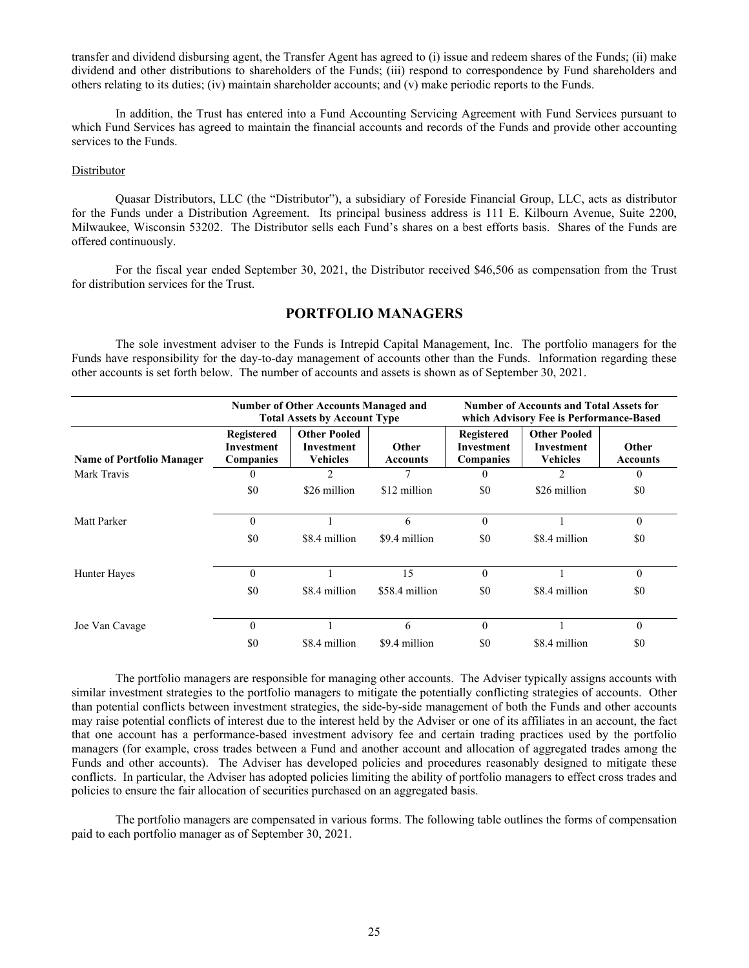<span id="page-28-0"></span>transfer and dividend disbursing agent, the Transfer Agent has agreed to (i) issue and redeem shares of the Funds; (ii) make dividend and other distributions to shareholders of the Funds; (iii) respond to correspondence by Fund shareholders and others relating to its duties; (iv) maintain shareholder accounts; and (v) make periodic reports to the Funds.

In addition, the Trust has entered into a Fund Accounting Servicing Agreement with Fund Services pursuant to which Fund Services has agreed to maintain the financial accounts and records of the Funds and provide other accounting services to the Funds.

#### Distributor

Quasar Distributors, LLC (the "Distributor"), a subsidiary of Foreside Financial Group, LLC, acts as distributor for the Funds under a Distribution Agreement. Its principal business address is 111 E. Kilbourn Avenue, Suite 2200, Milwaukee, Wisconsin 53202. The Distributor sells each Fund's shares on a best efforts basis. Shares of the Funds are offered continuously.

For the fiscal year ended September 30, 2021, the Distributor received \$46,506 as compensation from the Trust for distribution services for the Trust.

### **PORTFOLIO MANAGERS**

The sole investment adviser to the Funds is Intrepid Capital Management, Inc. The portfolio managers for the Funds have responsibility for the day-to-day management of accounts other than the Funds. Information regarding these other accounts is set forth below. The number of accounts and assets is shown as of September 30, 2021.

|                                  | <b>Number of Other Accounts Managed and</b><br><b>Total Assets by Account Type</b> |                                                      |                          | <b>Number of Accounts and Total Assets for</b><br>which Advisory Fee is Performance-Based |                                                      |                                 |
|----------------------------------|------------------------------------------------------------------------------------|------------------------------------------------------|--------------------------|-------------------------------------------------------------------------------------------|------------------------------------------------------|---------------------------------|
| <b>Name of Portfolio Manager</b> | <b>Registered</b><br><b>Investment</b><br>Companies                                | <b>Other Pooled</b><br>Investment<br><b>Vehicles</b> | Other<br><b>Accounts</b> | <b>Registered</b><br>Investment<br>Companies                                              | <b>Other Pooled</b><br>Investment<br><b>Vehicles</b> | <b>Other</b><br><b>Accounts</b> |
| Mark Travis                      | 0                                                                                  | 2                                                    |                          |                                                                                           | 2                                                    | 0                               |
|                                  | \$0                                                                                | \$26 million                                         | \$12 million             | \$0                                                                                       | \$26 million                                         | \$0                             |
| Matt Parker                      | $\theta$                                                                           |                                                      | 6                        | $\Omega$                                                                                  |                                                      | $\theta$                        |
|                                  | \$0                                                                                | \$8.4 million                                        | \$9.4 million            | \$0                                                                                       | \$8.4 million                                        | \$0                             |
| Hunter Hayes                     | $\theta$                                                                           |                                                      | 15                       | $\theta$                                                                                  |                                                      | $\theta$                        |
|                                  | \$0                                                                                | \$8.4 million                                        | \$58.4 million           | \$0                                                                                       | \$8.4 million                                        | \$0                             |
| Joe Van Cavage                   | $\theta$                                                                           |                                                      | 6                        | $\theta$                                                                                  |                                                      | $\theta$                        |
|                                  | \$0                                                                                | \$8.4 million                                        | \$9.4 million            | \$0                                                                                       | \$8.4 million                                        | \$0                             |

The portfolio managers are responsible for managing other accounts. The Adviser typically assigns accounts with similar investment strategies to the portfolio managers to mitigate the potentially conflicting strategies of accounts. Other than potential conflicts between investment strategies, the side-by-side management of both the Funds and other accounts may raise potential conflicts of interest due to the interest held by the Adviser or one of its affiliates in an account, the fact that one account has a performance-based investment advisory fee and certain trading practices used by the portfolio managers (for example, cross trades between a Fund and another account and allocation of aggregated trades among the Funds and other accounts). The Adviser has developed policies and procedures reasonably designed to mitigate these conflicts. In particular, the Adviser has adopted policies limiting the ability of portfolio managers to effect cross trades and policies to ensure the fair allocation of securities purchased on an aggregated basis.

The portfolio managers are compensated in various forms. The following table outlines the forms of compensation paid to each portfolio manager as of September 30, 2021.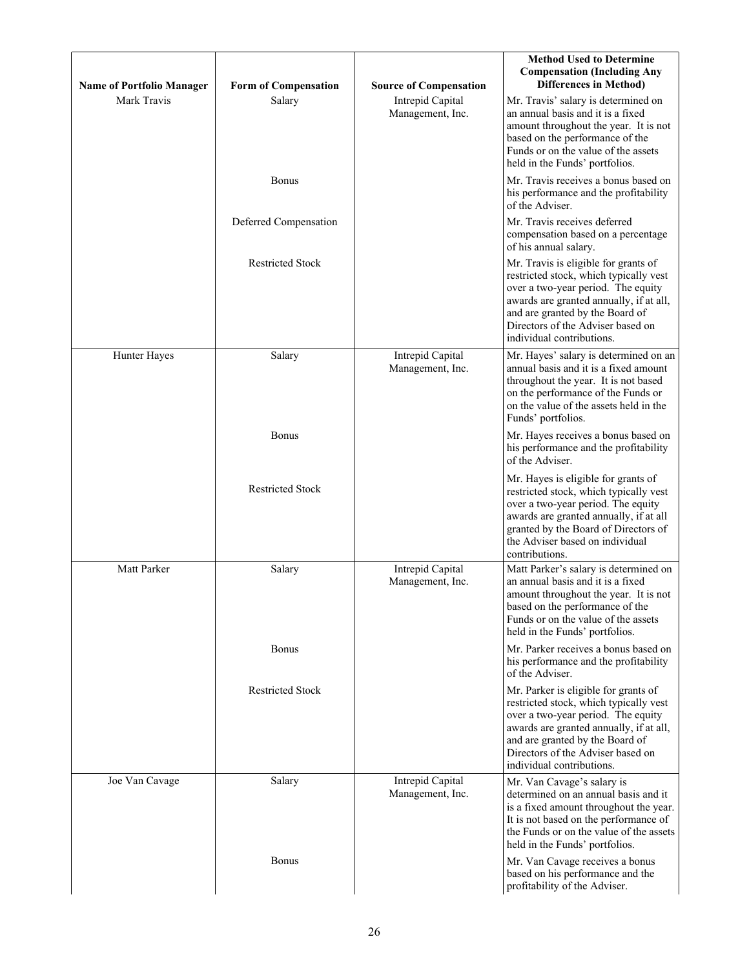| <b>Name of Portfolio Manager</b> | Form of Compensation    | <b>Source of Compensation</b>        | <b>Method Used to Determine</b><br><b>Compensation (Including Any</b><br><b>Differences in Method)</b>                                                                                                                                                               |
|----------------------------------|-------------------------|--------------------------------------|----------------------------------------------------------------------------------------------------------------------------------------------------------------------------------------------------------------------------------------------------------------------|
| Mark Travis                      | Salary                  | Intrepid Capital<br>Management, Inc. | Mr. Travis' salary is determined on<br>an annual basis and it is a fixed<br>amount throughout the year. It is not<br>based on the performance of the<br>Funds or on the value of the assets<br>held in the Funds' portfolios.                                        |
|                                  | <b>Bonus</b>            |                                      | Mr. Travis receives a bonus based on<br>his performance and the profitability<br>of the Adviser.                                                                                                                                                                     |
|                                  | Deferred Compensation   |                                      | Mr. Travis receives deferred<br>compensation based on a percentage<br>of his annual salary.                                                                                                                                                                          |
|                                  | <b>Restricted Stock</b> |                                      | Mr. Travis is eligible for grants of<br>restricted stock, which typically vest<br>over a two-year period. The equity<br>awards are granted annually, if at all,<br>and are granted by the Board of<br>Directors of the Adviser based on<br>individual contributions. |
| Hunter Hayes                     | Salary                  | Intrepid Capital<br>Management, Inc. | Mr. Hayes' salary is determined on an<br>annual basis and it is a fixed amount<br>throughout the year. It is not based<br>on the performance of the Funds or<br>on the value of the assets held in the<br>Funds' portfolios.                                         |
|                                  | <b>Bonus</b>            |                                      | Mr. Hayes receives a bonus based on<br>his performance and the profitability<br>of the Adviser.                                                                                                                                                                      |
|                                  | <b>Restricted Stock</b> |                                      | Mr. Hayes is eligible for grants of<br>restricted stock, which typically vest<br>over a two-year period. The equity<br>awards are granted annually, if at all<br>granted by the Board of Directors of<br>the Adviser based on individual<br>contributions.           |
| Matt Parker                      | Salary                  | Intrepid Capital<br>Management, Inc. | Matt Parker's salary is determined on<br>an annual basis and it is a fixed<br>amount throughout the year. It is not<br>based on the performance of the<br>Funds or on the value of the assets<br>held in the Funds' portfolios.                                      |
|                                  | <b>Bonus</b>            |                                      | Mr. Parker receives a bonus based on<br>his performance and the profitability<br>of the Adviser.                                                                                                                                                                     |
|                                  | <b>Restricted Stock</b> |                                      | Mr. Parker is eligible for grants of<br>restricted stock, which typically vest<br>over a two-year period. The equity<br>awards are granted annually, if at all,<br>and are granted by the Board of<br>Directors of the Adviser based on<br>individual contributions. |
| Joe Van Cavage                   | Salary                  | Intrepid Capital<br>Management, Inc. | Mr. Van Cavage's salary is<br>determined on an annual basis and it<br>is a fixed amount throughout the year.<br>It is not based on the performance of<br>the Funds or on the value of the assets<br>held in the Funds' portfolios.                                   |
|                                  | <b>Bonus</b>            |                                      | Mr. Van Cavage receives a bonus<br>based on his performance and the<br>profitability of the Adviser.                                                                                                                                                                 |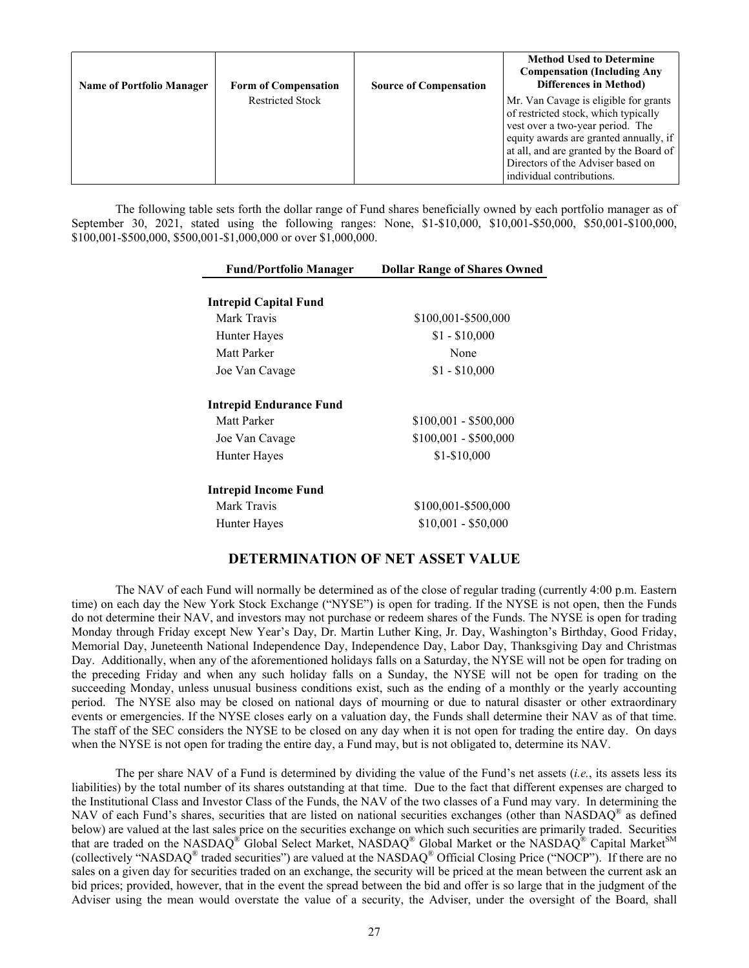<span id="page-30-0"></span>

| <b>Name of Portfolio Manager</b> | <b>Form of Compensation</b> | <b>Source of Compensation</b> | <b>Method Used to Determine</b><br><b>Compensation (Including Any</b><br><b>Differences in Method)</b>                                                                                                                                                                   |
|----------------------------------|-----------------------------|-------------------------------|--------------------------------------------------------------------------------------------------------------------------------------------------------------------------------------------------------------------------------------------------------------------------|
|                                  | <b>Restricted Stock</b>     |                               | Mr. Van Cavage is eligible for grants<br>of restricted stock, which typically<br>vest over a two-year period. The<br>equity awards are granted annually, if<br>at all, and are granted by the Board of<br>Directors of the Adviser based on<br>individual contributions. |

The following table sets forth the dollar range of Fund shares beneficially owned by each portfolio manager as of September 30, 2021, stated using the following ranges: None, \$1-\$10,000, \$10,001-\$50,000, \$50,001-\$100,000, \$100,001-\$500,000, \$500,001-\$1,000,000 or over \$1,000,000.

| <b>Fund/Portfolio Manager</b>  | <b>Dollar Range of Shares Owned</b> |
|--------------------------------|-------------------------------------|
| <b>Intrepid Capital Fund</b>   |                                     |
| Mark Travis                    | \$100,001-\$500,000                 |
| Hunter Hayes                   | $$1 - $10,000$                      |
| Matt Parker                    | None                                |
| Joe Van Cavage                 | $$1 - $10,000$                      |
| <b>Intrepid Endurance Fund</b> |                                     |
| <b>Matt Parker</b>             | $$100,001 - $500,000$               |
| Joe Van Cavage                 | $$100,001 - $500,000$               |
| Hunter Hayes                   | \$1-\$10,000                        |
| Intrepid Income Fund           |                                     |
| Mark Travis                    | \$100,001-\$500,000                 |
| Hunter Hayes                   | $$10,001 - $50,000$                 |
|                                |                                     |

### **DETERMINATION OF NET ASSET VALUE**

The NAV of each Fund will normally be determined as of the close of regular trading (currently 4:00 p.m. Eastern time) on each day the New York Stock Exchange ("NYSE") is open for trading. If the NYSE is not open, then the Funds do not determine their NAV, and investors may not purchase or redeem shares of the Funds. The NYSE is open for trading Monday through Friday except New Year's Day, Dr. Martin Luther King, Jr. Day, Washington's Birthday, Good Friday, Memorial Day, Juneteenth National Independence Day, Independence Day, Labor Day, Thanksgiving Day and Christmas Day. Additionally, when any of the aforementioned holidays falls on a Saturday, the NYSE will not be open for trading on the preceding Friday and when any such holiday falls on a Sunday, the NYSE will not be open for trading on the succeeding Monday, unless unusual business conditions exist, such as the ending of a monthly or the yearly accounting period. The NYSE also may be closed on national days of mourning or due to natural disaster or other extraordinary events or emergencies. If the NYSE closes early on a valuation day, the Funds shall determine their NAV as of that time. The staff of the SEC considers the NYSE to be closed on any day when it is not open for trading the entire day. On days when the NYSE is not open for trading the entire day, a Fund may, but is not obligated to, determine its NAV.

The per share NAV of a Fund is determined by dividing the value of the Fund's net assets (*i.e.*, its assets less its liabilities) by the total number of its shares outstanding at that time. Due to the fact that different expenses are charged to the Institutional Class and Investor Class of the Funds, the NAV of the two classes of a Fund may vary. In determining the NAV of each Fund's shares, securities that are listed on national securities exchanges (other than NASDAQ<sup>®</sup> as defined below) are valued at the last sales price on the securities exchange on which such securities are primarily traded. Securities that are traded on the NASDAQ<sup>®</sup> Global Select Market, NASDAQ<sup>®</sup> Global Market or the NASDAQ<sup>®</sup> Capital Market<sup>SM</sup> (collectively "NASDAQ<sup>®</sup> traded securities") are valued at the NASDAQ<sup>®</sup> Official Closing Price ("NOCP"). If there are no sales on a given day for securities traded on an exchange, the security will be priced at the mean between the current ask an bid prices; provided, however, that in the event the spread between the bid and offer is so large that in the judgment of the Adviser using the mean would overstate the value of a security, the Adviser, under the oversight of the Board, shall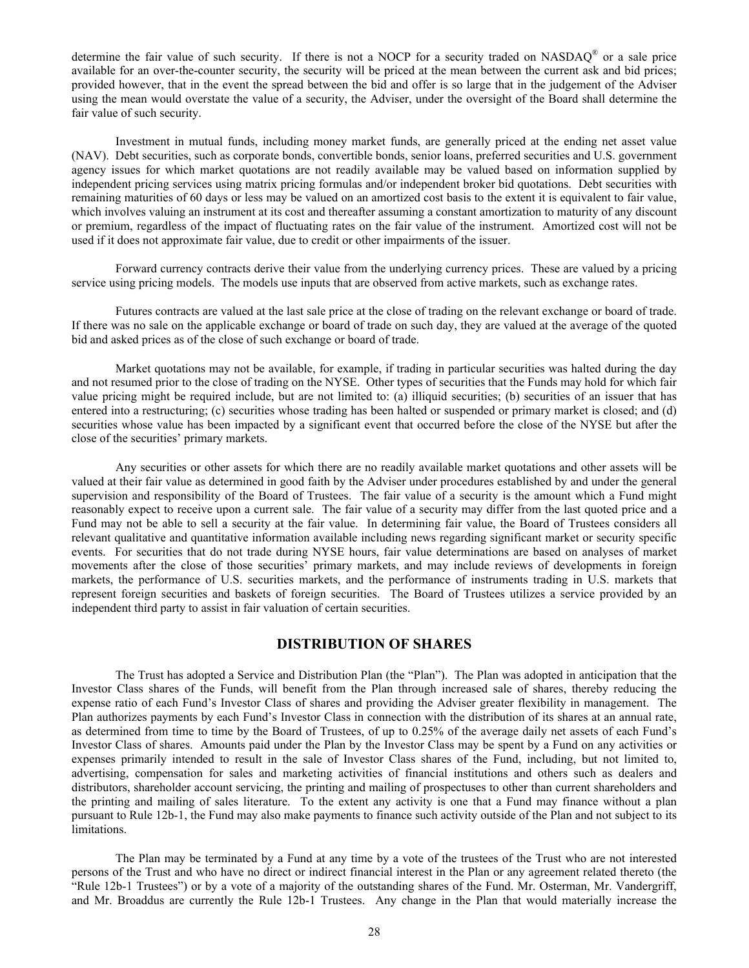<span id="page-31-0"></span>determine the fair value of such security. If there is not a NOCP for a security traded on NASDAQ<sup>®</sup> or a sale price available for an over-the-counter security, the security will be priced at the mean between the current ask and bid prices; provided however, that in the event the spread between the bid and offer is so large that in the judgement of the Adviser using the mean would overstate the value of a security, the Adviser, under the oversight of the Board shall determine the fair value of such security.

Investment in mutual funds, including money market funds, are generally priced at the ending net asset value (NAV). Debt securities, such as corporate bonds, convertible bonds, senior loans, preferred securities and U.S. government agency issues for which market quotations are not readily available may be valued based on information supplied by independent pricing services using matrix pricing formulas and/or independent broker bid quotations. Debt securities with remaining maturities of 60 days or less may be valued on an amortized cost basis to the extent it is equivalent to fair value, which involves valuing an instrument at its cost and thereafter assuming a constant amortization to maturity of any discount or premium, regardless of the impact of fluctuating rates on the fair value of the instrument. Amortized cost will not be used if it does not approximate fair value, due to credit or other impairments of the issuer.

Forward currency contracts derive their value from the underlying currency prices. These are valued by a pricing service using pricing models. The models use inputs that are observed from active markets, such as exchange rates.

Futures contracts are valued at the last sale price at the close of trading on the relevant exchange or board of trade. If there was no sale on the applicable exchange or board of trade on such day, they are valued at the average of the quoted bid and asked prices as of the close of such exchange or board of trade.

Market quotations may not be available, for example, if trading in particular securities was halted during the day and not resumed prior to the close of trading on the NYSE. Other types of securities that the Funds may hold for which fair value pricing might be required include, but are not limited to: (a) illiquid securities; (b) securities of an issuer that has entered into a restructuring; (c) securities whose trading has been halted or suspended or primary market is closed; and (d) securities whose value has been impacted by a significant event that occurred before the close of the NYSE but after the close of the securities' primary markets.

Any securities or other assets for which there are no readily available market quotations and other assets will be valued at their fair value as determined in good faith by the Adviser under procedures established by and under the general supervision and responsibility of the Board of Trustees. The fair value of a security is the amount which a Fund might reasonably expect to receive upon a current sale. The fair value of a security may differ from the last quoted price and a Fund may not be able to sell a security at the fair value. In determining fair value, the Board of Trustees considers all relevant qualitative and quantitative information available including news regarding significant market or security specific events. For securities that do not trade during NYSE hours, fair value determinations are based on analyses of market movements after the close of those securities' primary markets, and may include reviews of developments in foreign markets, the performance of U.S. securities markets, and the performance of instruments trading in U.S. markets that represent foreign securities and baskets of foreign securities. The Board of Trustees utilizes a service provided by an independent third party to assist in fair valuation of certain securities.

### **DISTRIBUTION OF SHARES**

The Trust has adopted a Service and Distribution Plan (the "Plan"). The Plan was adopted in anticipation that the Investor Class shares of the Funds, will benefit from the Plan through increased sale of shares, thereby reducing the expense ratio of each Fund's Investor Class of shares and providing the Adviser greater flexibility in management. The Plan authorizes payments by each Fund's Investor Class in connection with the distribution of its shares at an annual rate, as determined from time to time by the Board of Trustees, of up to 0.25% of the average daily net assets of each Fund's Investor Class of shares. Amounts paid under the Plan by the Investor Class may be spent by a Fund on any activities or expenses primarily intended to result in the sale of Investor Class shares of the Fund, including, but not limited to, advertising, compensation for sales and marketing activities of financial institutions and others such as dealers and distributors, shareholder account servicing, the printing and mailing of prospectuses to other than current shareholders and the printing and mailing of sales literature. To the extent any activity is one that a Fund may finance without a plan pursuant to Rule 12b‑1, the Fund may also make payments to finance such activity outside of the Plan and not subject to its limitations.

The Plan may be terminated by a Fund at any time by a vote of the trustees of the Trust who are not interested persons of the Trust and who have no direct or indirect financial interest in the Plan or any agreement related thereto (the "Rule 12b-1 Trustees") or by a vote of a majority of the outstanding shares of the Fund. Mr. Osterman, Mr. Vandergriff, and Mr. Broaddus are currently the Rule 12b-1 Trustees. Any change in the Plan that would materially increase the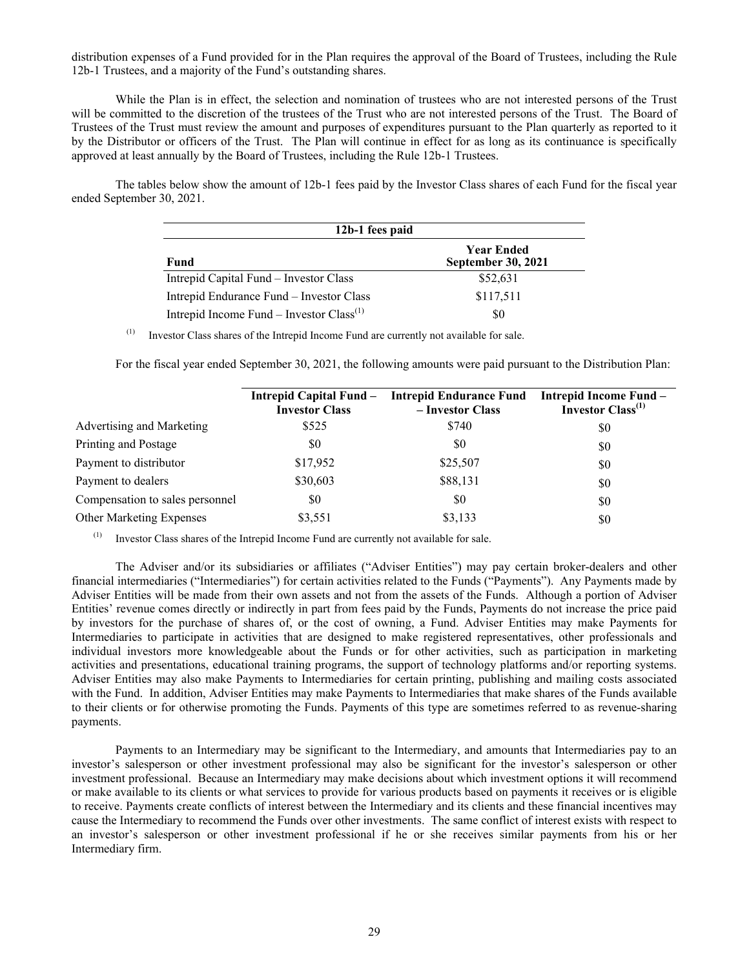distribution expenses of a Fund provided for in the Plan requires the approval of the Board of Trustees, including the Rule 12b‑1 Trustees, and a majority of the Fund's outstanding shares.

While the Plan is in effect, the selection and nomination of trustees who are not interested persons of the Trust will be committed to the discretion of the trustees of the Trust who are not interested persons of the Trust. The Board of Trustees of the Trust must review the amount and purposes of expenditures pursuant to the Plan quarterly as reported to it by the Distributor or officers of the Trust. The Plan will continue in effect for as long as its continuance is specifically approved at least annually by the Board of Trustees, including the Rule 12b-1 Trustees.

The tables below show the amount of 12b-1 fees paid by the Investor Class shares of each Fund for the fiscal year ended September 30, 2021.

| 12b-1 fees paid                               |                                                |  |
|-----------------------------------------------|------------------------------------------------|--|
| Fund                                          | <b>Year Ended</b><br><b>September 30, 2021</b> |  |
| Intrepid Capital Fund - Investor Class        | \$52,631                                       |  |
| Intrepid Endurance Fund – Investor Class      | \$117,511                                      |  |
| Intrepid Income Fund – Investor $Class^{(1)}$ | \$0                                            |  |

(1) Investor Class shares of the Intrepid Income Fund are currently not available for sale.

For the fiscal year ended September 30, 2021, the following amounts were paid pursuant to the Distribution Plan:

|                                 | Intrepid Capital Fund -<br><b>Investor Class</b> | <b>Intrepid Endurance Fund</b><br>- Investor Class | Intrepid Income Fund -<br>Investor Class <sup>(1)</sup> |
|---------------------------------|--------------------------------------------------|----------------------------------------------------|---------------------------------------------------------|
| Advertising and Marketing       | \$525                                            | \$740                                              | \$0                                                     |
| Printing and Postage            | \$0                                              | \$0                                                | \$0                                                     |
| Payment to distributor          | \$17,952                                         | \$25,507                                           | \$0                                                     |
| Payment to dealers              | \$30,603                                         | \$88,131                                           | \$0                                                     |
| Compensation to sales personnel | \$0                                              | \$0                                                | \$0                                                     |
| <b>Other Marketing Expenses</b> | \$3,551                                          | \$3,133                                            | \$0                                                     |
|                                 |                                                  |                                                    |                                                         |

(1) Investor Class shares of the Intrepid Income Fund are currently not available for sale.

The Adviser and/or its subsidiaries or affiliates ("Adviser Entities") may pay certain broker-dealers and other financial intermediaries ("Intermediaries") for certain activities related to the Funds ("Payments"). Any Payments made by Adviser Entities will be made from their own assets and not from the assets of the Funds. Although a portion of Adviser Entities' revenue comes directly or indirectly in part from fees paid by the Funds, Payments do not increase the price paid by investors for the purchase of shares of, or the cost of owning, a Fund. Adviser Entities may make Payments for Intermediaries to participate in activities that are designed to make registered representatives, other professionals and individual investors more knowledgeable about the Funds or for other activities, such as participation in marketing activities and presentations, educational training programs, the support of technology platforms and/or reporting systems. Adviser Entities may also make Payments to Intermediaries for certain printing, publishing and mailing costs associated with the Fund. In addition, Adviser Entities may make Payments to Intermediaries that make shares of the Funds available to their clients or for otherwise promoting the Funds. Payments of this type are sometimes referred to as revenue-sharing payments.

Payments to an Intermediary may be significant to the Intermediary, and amounts that Intermediaries pay to an investor's salesperson or other investment professional may also be significant for the investor's salesperson or other investment professional. Because an Intermediary may make decisions about which investment options it will recommend or make available to its clients or what services to provide for various products based on payments it receives or is eligible to receive. Payments create conflicts of interest between the Intermediary and its clients and these financial incentives may cause the Intermediary to recommend the Funds over other investments. The same conflict of interest exists with respect to an investor's salesperson or other investment professional if he or she receives similar payments from his or her Intermediary firm.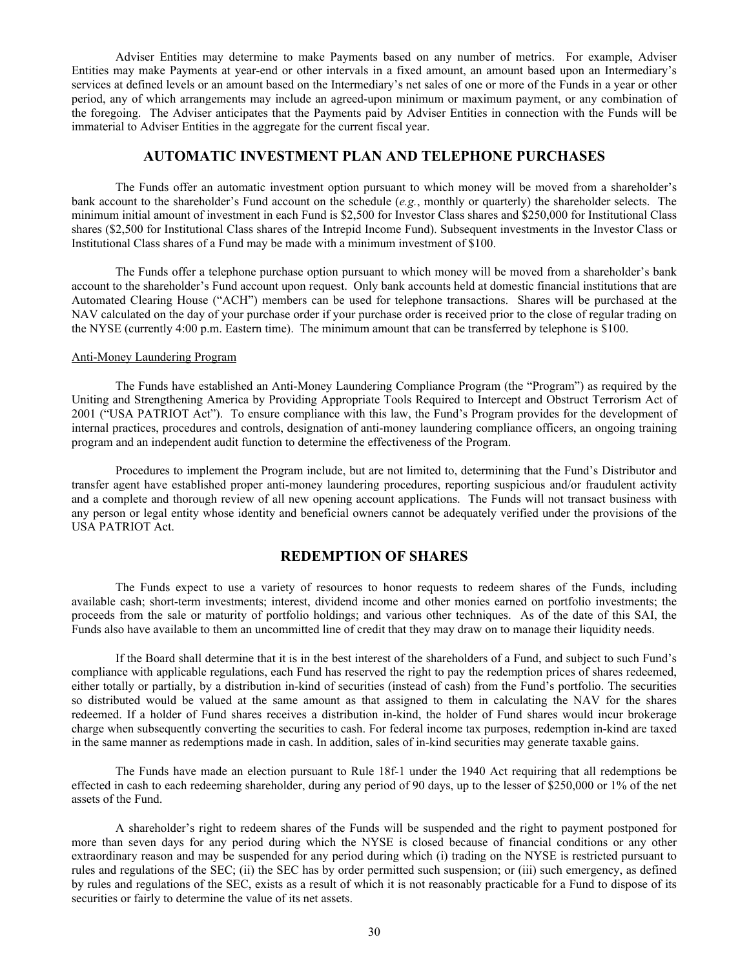<span id="page-33-0"></span>Adviser Entities may determine to make Payments based on any number of metrics. For example, Adviser Entities may make Payments at year-end or other intervals in a fixed amount, an amount based upon an Intermediary's services at defined levels or an amount based on the Intermediary's net sales of one or more of the Funds in a year or other period, any of which arrangements may include an agreed-upon minimum or maximum payment, or any combination of the foregoing. The Adviser anticipates that the Payments paid by Adviser Entities in connection with the Funds will be immaterial to Adviser Entities in the aggregate for the current fiscal year.

## **AUTOMATIC INVESTMENT PLAN AND TELEPHONE PURCHASES**

The Funds offer an automatic investment option pursuant to which money will be moved from a shareholder's bank account to the shareholder's Fund account on the schedule (*e.g.*, monthly or quarterly) the shareholder selects. The minimum initial amount of investment in each Fund is \$2,500 for Investor Class shares and \$250,000 for Institutional Class shares (\$2,500 for Institutional Class shares of the Intrepid Income Fund). Subsequent investments in the Investor Class or Institutional Class shares of a Fund may be made with a minimum investment of \$100.

The Funds offer a telephone purchase option pursuant to which money will be moved from a shareholder's bank account to the shareholder's Fund account upon request. Only bank accounts held at domestic financial institutions that are Automated Clearing House ("ACH") members can be used for telephone transactions. Shares will be purchased at the NAV calculated on the day of your purchase order if your purchase order is received prior to the close of regular trading on the NYSE (currently 4:00 p.m. Eastern time). The minimum amount that can be transferred by telephone is \$100.

#### Anti-Money Laundering Program

The Funds have established an Anti-Money Laundering Compliance Program (the "Program") as required by the Uniting and Strengthening America by Providing Appropriate Tools Required to Intercept and Obstruct Terrorism Act of 2001 ("USA PATRIOT Act"). To ensure compliance with this law, the Fund's Program provides for the development of internal practices, procedures and controls, designation of anti-money laundering compliance officers, an ongoing training program and an independent audit function to determine the effectiveness of the Program.

Procedures to implement the Program include, but are not limited to, determining that the Fund's Distributor and transfer agent have established proper anti-money laundering procedures, reporting suspicious and/or fraudulent activity and a complete and thorough review of all new opening account applications. The Funds will not transact business with any person or legal entity whose identity and beneficial owners cannot be adequately verified under the provisions of the USA PATRIOT Act.

### **REDEMPTION OF SHARES**

The Funds expect to use a variety of resources to honor requests to redeem shares of the Funds, including available cash; short-term investments; interest, dividend income and other monies earned on portfolio investments; the proceeds from the sale or maturity of portfolio holdings; and various other techniques. As of the date of this SAI, the Funds also have available to them an uncommitted line of credit that they may draw on to manage their liquidity needs.

If the Board shall determine that it is in the best interest of the shareholders of a Fund, and subject to such Fund's compliance with applicable regulations, each Fund has reserved the right to pay the redemption prices of shares redeemed, either totally or partially, by a distribution in-kind of securities (instead of cash) from the Fund's portfolio. The securities so distributed would be valued at the same amount as that assigned to them in calculating the NAV for the shares redeemed. If a holder of Fund shares receives a distribution in-kind, the holder of Fund shares would incur brokerage charge when subsequently converting the securities to cash. For federal income tax purposes, redemption in-kind are taxed in the same manner as redemptions made in cash. In addition, sales of in-kind securities may generate taxable gains.

The Funds have made an election pursuant to Rule 18f-1 under the 1940 Act requiring that all redemptions be effected in cash to each redeeming shareholder, during any period of 90 days, up to the lesser of \$250,000 or 1% of the net assets of the Fund.

A shareholder's right to redeem shares of the Funds will be suspended and the right to payment postponed for more than seven days for any period during which the NYSE is closed because of financial conditions or any other extraordinary reason and may be suspended for any period during which (i) trading on the NYSE is restricted pursuant to rules and regulations of the SEC; (ii) the SEC has by order permitted such suspension; or (iii) such emergency, as defined by rules and regulations of the SEC, exists as a result of which it is not reasonably practicable for a Fund to dispose of its securities or fairly to determine the value of its net assets.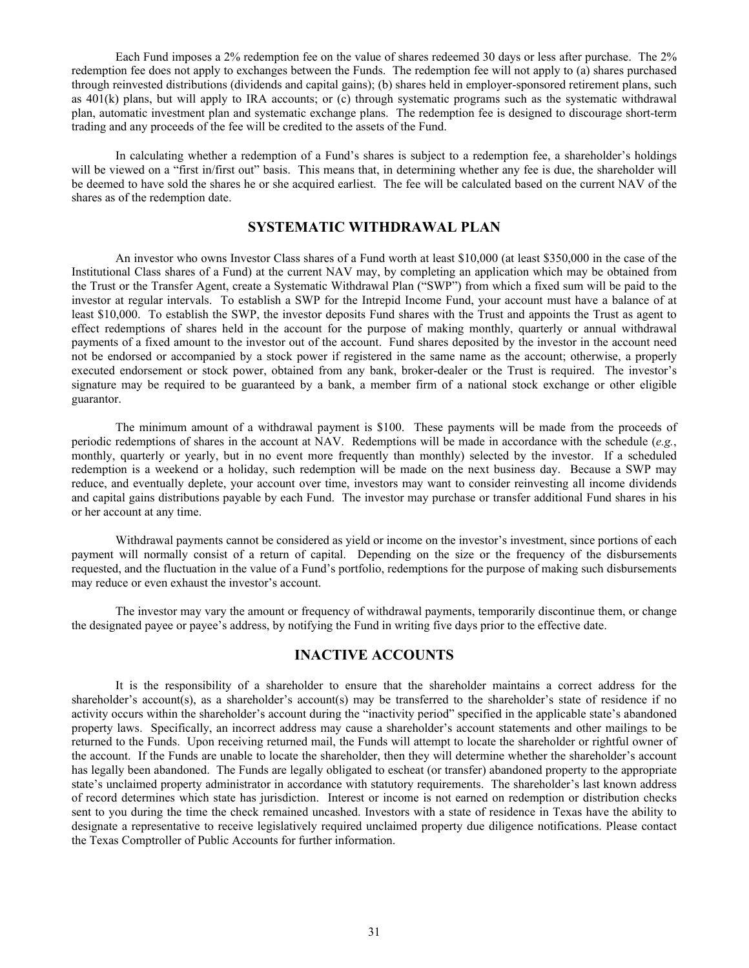<span id="page-34-0"></span>Each Fund imposes a 2% redemption fee on the value of shares redeemed 30 days or less after purchase. The 2% redemption fee does not apply to exchanges between the Funds. The redemption fee will not apply to (a) shares purchased through reinvested distributions (dividends and capital gains); (b) shares held in employer-sponsored retirement plans, such as 401(k) plans, but will apply to IRA accounts; or (c) through systematic programs such as the systematic withdrawal plan, automatic investment plan and systematic exchange plans. The redemption fee is designed to discourage short-term trading and any proceeds of the fee will be credited to the assets of the Fund.

In calculating whether a redemption of a Fund's shares is subject to a redemption fee, a shareholder's holdings will be viewed on a "first in/first out" basis. This means that, in determining whether any fee is due, the shareholder will be deemed to have sold the shares he or she acquired earliest. The fee will be calculated based on the current NAV of the shares as of the redemption date.

### **SYSTEMATIC WITHDRAWAL PLAN**

An investor who owns Investor Class shares of a Fund worth at least \$10,000 (at least \$350,000 in the case of the Institutional Class shares of a Fund) at the current NAV may, by completing an application which may be obtained from the Trust or the Transfer Agent, create a Systematic Withdrawal Plan ("SWP") from which a fixed sum will be paid to the investor at regular intervals. To establish a SWP for the Intrepid Income Fund, your account must have a balance of at least \$10,000. To establish the SWP, the investor deposits Fund shares with the Trust and appoints the Trust as agent to effect redemptions of shares held in the account for the purpose of making monthly, quarterly or annual withdrawal payments of a fixed amount to the investor out of the account. Fund shares deposited by the investor in the account need not be endorsed or accompanied by a stock power if registered in the same name as the account; otherwise, a properly executed endorsement or stock power, obtained from any bank, broker-dealer or the Trust is required. The investor's signature may be required to be guaranteed by a bank, a member firm of a national stock exchange or other eligible guarantor.

The minimum amount of a withdrawal payment is \$100. These payments will be made from the proceeds of periodic redemptions of shares in the account at NAV. Redemptions will be made in accordance with the schedule (*e.g.*, monthly, quarterly or yearly, but in no event more frequently than monthly) selected by the investor. If a scheduled redemption is a weekend or a holiday, such redemption will be made on the next business day. Because a SWP may reduce, and eventually deplete, your account over time, investors may want to consider reinvesting all income dividends and capital gains distributions payable by each Fund. The investor may purchase or transfer additional Fund shares in his or her account at any time.

Withdrawal payments cannot be considered as yield or income on the investor's investment, since portions of each payment will normally consist of a return of capital. Depending on the size or the frequency of the disbursements requested, and the fluctuation in the value of a Fund's portfolio, redemptions for the purpose of making such disbursements may reduce or even exhaust the investor's account.

The investor may vary the amount or frequency of withdrawal payments, temporarily discontinue them, or change the designated payee or payee's address, by notifying the Fund in writing five days prior to the effective date.

### **INACTIVE ACCOUNTS**

It is the responsibility of a shareholder to ensure that the shareholder maintains a correct address for the shareholder's account(s), as a shareholder's account(s) may be transferred to the shareholder's state of residence if no activity occurs within the shareholder's account during the "inactivity period" specified in the applicable state's abandoned property laws. Specifically, an incorrect address may cause a shareholder's account statements and other mailings to be returned to the Funds. Upon receiving returned mail, the Funds will attempt to locate the shareholder or rightful owner of the account. If the Funds are unable to locate the shareholder, then they will determine whether the shareholder's account has legally been abandoned. The Funds are legally obligated to escheat (or transfer) abandoned property to the appropriate state's unclaimed property administrator in accordance with statutory requirements. The shareholder's last known address of record determines which state has jurisdiction. Interest or income is not earned on redemption or distribution checks sent to you during the time the check remained uncashed. Investors with a state of residence in Texas have the ability to designate a representative to receive legislatively required unclaimed property due diligence notifications. Please contact the Texas Comptroller of Public Accounts for further information.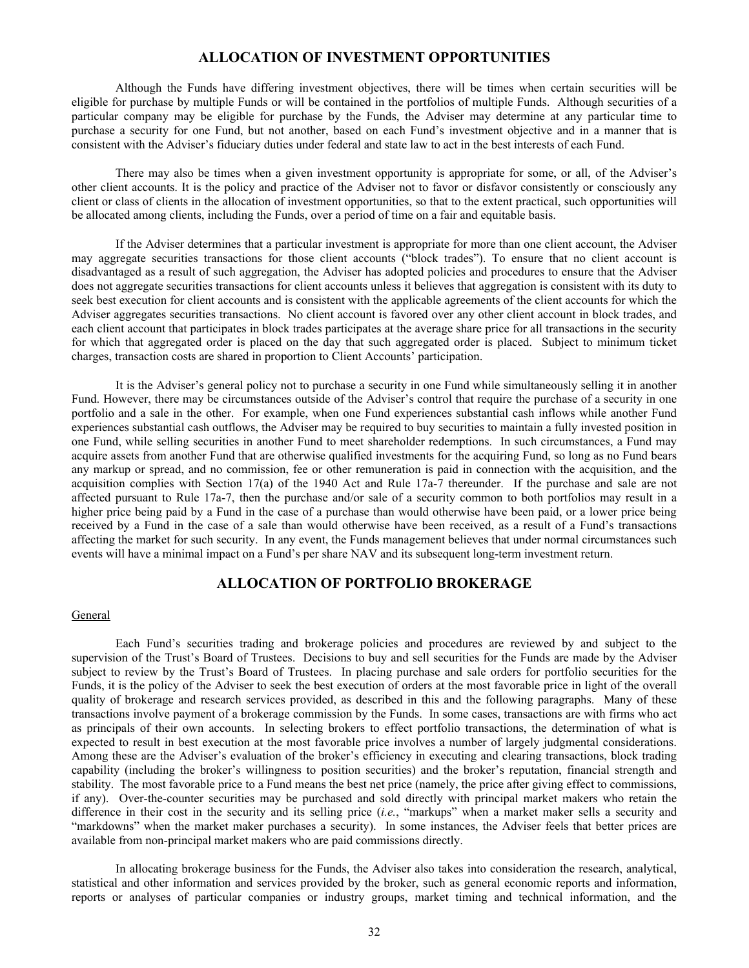## **ALLOCATION OF INVESTMENT OPPORTUNITIES**

<span id="page-35-0"></span>Although the Funds have differing investment objectives, there will be times when certain securities will be eligible for purchase by multiple Funds or will be contained in the portfolios of multiple Funds. Although securities of a particular company may be eligible for purchase by the Funds, the Adviser may determine at any particular time to purchase a security for one Fund, but not another, based on each Fund's investment objective and in a manner that is consistent with the Adviser's fiduciary duties under federal and state law to act in the best interests of each Fund.

There may also be times when a given investment opportunity is appropriate for some, or all, of the Adviser's other client accounts. It is the policy and practice of the Adviser not to favor or disfavor consistently or consciously any client or class of clients in the allocation of investment opportunities, so that to the extent practical, such opportunities will be allocated among clients, including the Funds, over a period of time on a fair and equitable basis.

If the Adviser determines that a particular investment is appropriate for more than one client account, the Adviser may aggregate securities transactions for those client accounts ("block trades"). To ensure that no client account is disadvantaged as a result of such aggregation, the Adviser has adopted policies and procedures to ensure that the Adviser does not aggregate securities transactions for client accounts unless it believes that aggregation is consistent with its duty to seek best execution for client accounts and is consistent with the applicable agreements of the client accounts for which the Adviser aggregates securities transactions. No client account is favored over any other client account in block trades, and each client account that participates in block trades participates at the average share price for all transactions in the security for which that aggregated order is placed on the day that such aggregated order is placed. Subject to minimum ticket charges, transaction costs are shared in proportion to Client Accounts' participation.

It is the Adviser's general policy not to purchase a security in one Fund while simultaneously selling it in another Fund. However, there may be circumstances outside of the Adviser's control that require the purchase of a security in one portfolio and a sale in the other. For example, when one Fund experiences substantial cash inflows while another Fund experiences substantial cash outflows, the Adviser may be required to buy securities to maintain a fully invested position in one Fund, while selling securities in another Fund to meet shareholder redemptions. In such circumstances, a Fund may acquire assets from another Fund that are otherwise qualified investments for the acquiring Fund, so long as no Fund bears any markup or spread, and no commission, fee or other remuneration is paid in connection with the acquisition, and the acquisition complies with Section 17(a) of the 1940 Act and Rule 17a-7 thereunder. If the purchase and sale are not affected pursuant to Rule 17a-7, then the purchase and/or sale of a security common to both portfolios may result in a higher price being paid by a Fund in the case of a purchase than would otherwise have been paid, or a lower price being received by a Fund in the case of a sale than would otherwise have been received, as a result of a Fund's transactions affecting the market for such security. In any event, the Funds management believes that under normal circumstances such events will have a minimal impact on a Fund's per share NAV and its subsequent long-term investment return.

### **ALLOCATION OF PORTFOLIO BROKERAGE**

#### General

Each Fund's securities trading and brokerage policies and procedures are reviewed by and subject to the supervision of the Trust's Board of Trustees. Decisions to buy and sell securities for the Funds are made by the Adviser subject to review by the Trust's Board of Trustees. In placing purchase and sale orders for portfolio securities for the Funds, it is the policy of the Adviser to seek the best execution of orders at the most favorable price in light of the overall quality of brokerage and research services provided, as described in this and the following paragraphs. Many of these transactions involve payment of a brokerage commission by the Funds. In some cases, transactions are with firms who act as principals of their own accounts. In selecting brokers to effect portfolio transactions, the determination of what is expected to result in best execution at the most favorable price involves a number of largely judgmental considerations. Among these are the Adviser's evaluation of the broker's efficiency in executing and clearing transactions, block trading capability (including the broker's willingness to position securities) and the broker's reputation, financial strength and stability. The most favorable price to a Fund means the best net price (namely, the price after giving effect to commissions, if any). Over-the-counter securities may be purchased and sold directly with principal market makers who retain the difference in their cost in the security and its selling price (*i.e.*, "markups" when a market maker sells a security and "markdowns" when the market maker purchases a security). In some instances, the Adviser feels that better prices are available from non-principal market makers who are paid commissions directly.

In allocating brokerage business for the Funds, the Adviser also takes into consideration the research, analytical, statistical and other information and services provided by the broker, such as general economic reports and information, reports or analyses of particular companies or industry groups, market timing and technical information, and the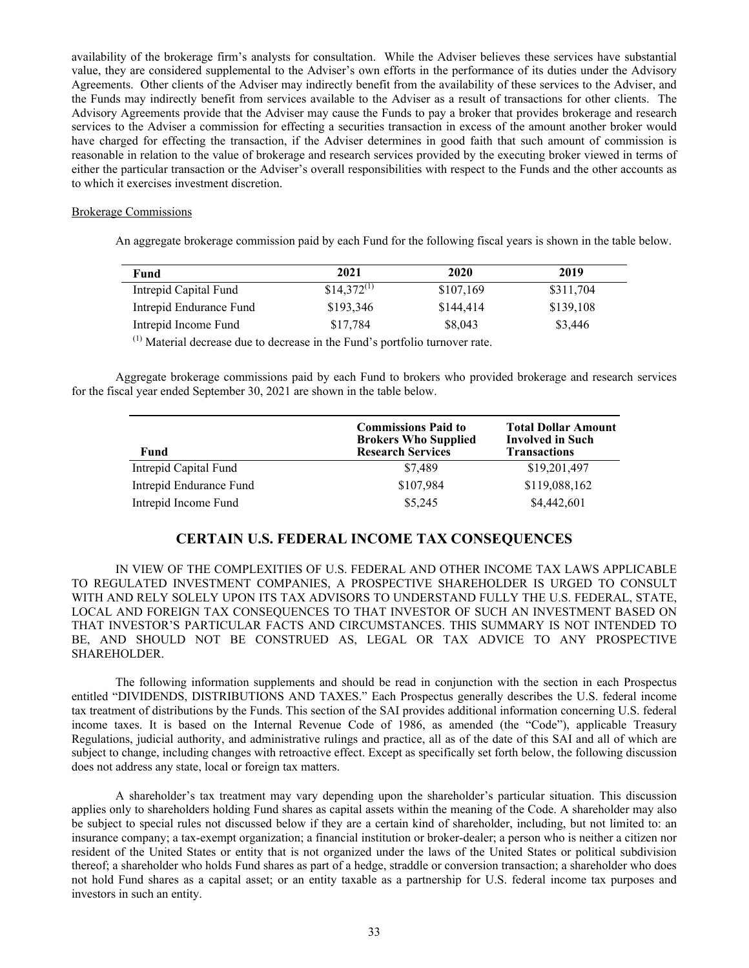<span id="page-36-0"></span>availability of the brokerage firm's analysts for consultation. While the Adviser believes these services have substantial value, they are considered supplemental to the Adviser's own efforts in the performance of its duties under the Advisory Agreements. Other clients of the Adviser may indirectly benefit from the availability of these services to the Adviser, and the Funds may indirectly benefit from services available to the Adviser as a result of transactions for other clients. The Advisory Agreements provide that the Adviser may cause the Funds to pay a broker that provides brokerage and research services to the Adviser a commission for effecting a securities transaction in excess of the amount another broker would have charged for effecting the transaction, if the Adviser determines in good faith that such amount of commission is reasonable in relation to the value of brokerage and research services provided by the executing broker viewed in terms of either the particular transaction or the Adviser's overall responsibilities with respect to the Funds and the other accounts as to which it exercises investment discretion.

#### Brokerage Commissions

An aggregate brokerage commission paid by each Fund for the following fiscal years is shown in the table below.

| Fund                    | 2021                       | 2020      | 2019      |
|-------------------------|----------------------------|-----------|-----------|
| Intrepid Capital Fund   | $\overline{314,372}^{(1)}$ | \$107,169 | \$311,704 |
| Intrepid Endurance Fund | \$193,346                  | \$144,414 | \$139,108 |
| Intrepid Income Fund    | \$17.784                   | \$8,043   | \$3,446   |

 $<sup>(1)</sup>$  Material decrease due to decrease in the Fund's portfolio turnover rate.</sup>

Aggregate brokerage commissions paid by each Fund to brokers who provided brokerage and research services for the fiscal year ended September 30, 2021 are shown in the table below.

| Fund                    | <b>Commissions Paid to</b><br><b>Brokers Who Supplied</b><br><b>Research Services</b> | <b>Total Dollar Amount</b><br><b>Involved in Such</b><br><b>Transactions</b> |
|-------------------------|---------------------------------------------------------------------------------------|------------------------------------------------------------------------------|
| Intrepid Capital Fund   | \$7.489                                                                               | \$19,201,497                                                                 |
| Intrepid Endurance Fund | \$107,984                                                                             | \$119,088,162                                                                |
| Intrepid Income Fund    | \$5,245                                                                               | \$4,442,601                                                                  |

### **CERTAIN U.S. FEDERAL INCOME TAX CONSEQUENCES**

IN VIEW OF THE COMPLEXITIES OF U.S. FEDERAL AND OTHER INCOME TAX LAWS APPLICABLE TO REGULATED INVESTMENT COMPANIES, A PROSPECTIVE SHAREHOLDER IS URGED TO CONSULT WITH AND RELY SOLELY UPON ITS TAX ADVISORS TO UNDERSTAND FULLY THE U.S. FEDERAL, STATE, LOCAL AND FOREIGN TAX CONSEQUENCES TO THAT INVESTOR OF SUCH AN INVESTMENT BASED ON THAT INVESTOR'S PARTICULAR FACTS AND CIRCUMSTANCES. THIS SUMMARY IS NOT INTENDED TO BE, AND SHOULD NOT BE CONSTRUED AS, LEGAL OR TAX ADVICE TO ANY PROSPECTIVE SHAREHOLDER.

The following information supplements and should be read in conjunction with the section in each Prospectus entitled "DIVIDENDS, DISTRIBUTIONS AND TAXES." Each Prospectus generally describes the U.S. federal income tax treatment of distributions by the Funds. This section of the SAI provides additional information concerning U.S. federal income taxes. It is based on the Internal Revenue Code of 1986, as amended (the "Code"), applicable Treasury Regulations, judicial authority, and administrative rulings and practice, all as of the date of this SAI and all of which are subject to change, including changes with retroactive effect. Except as specifically set forth below, the following discussion does not address any state, local or foreign tax matters.

A shareholder's tax treatment may vary depending upon the shareholder's particular situation. This discussion applies only to shareholders holding Fund shares as capital assets within the meaning of the Code. A shareholder may also be subject to special rules not discussed below if they are a certain kind of shareholder, including, but not limited to: an insurance company; a tax-exempt organization; a financial institution or broker-dealer; a person who is neither a citizen nor resident of the United States or entity that is not organized under the laws of the United States or political subdivision thereof; a shareholder who holds Fund shares as part of a hedge, straddle or conversion transaction; a shareholder who does not hold Fund shares as a capital asset; or an entity taxable as a partnership for U.S. federal income tax purposes and investors in such an entity.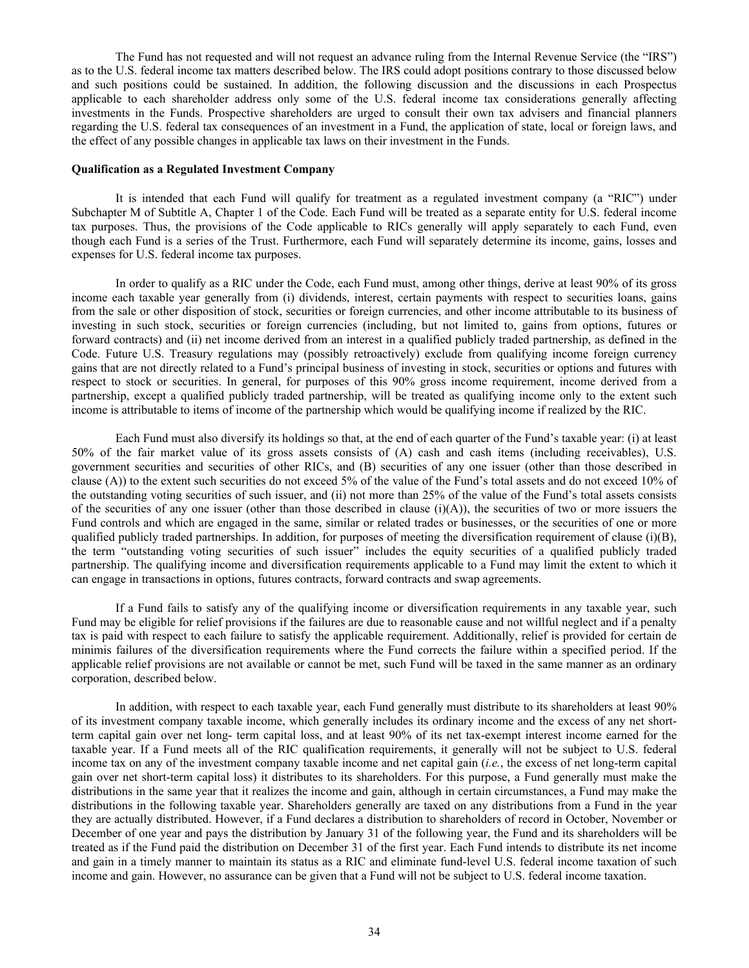The Fund has not requested and will not request an advance ruling from the Internal Revenue Service (the "IRS") as to the U.S. federal income tax matters described below. The IRS could adopt positions contrary to those discussed below and such positions could be sustained. In addition, the following discussion and the discussions in each Prospectus applicable to each shareholder address only some of the U.S. federal income tax considerations generally affecting investments in the Funds. Prospective shareholders are urged to consult their own tax advisers and financial planners regarding the U.S. federal tax consequences of an investment in a Fund, the application of state, local or foreign laws, and the effect of any possible changes in applicable tax laws on their investment in the Funds.

#### **Qualification as a Regulated Investment Company**

It is intended that each Fund will qualify for treatment as a regulated investment company (a "RIC") under Subchapter M of Subtitle A, Chapter 1 of the Code. Each Fund will be treated as a separate entity for U.S. federal income tax purposes. Thus, the provisions of the Code applicable to RICs generally will apply separately to each Fund, even though each Fund is a series of the Trust. Furthermore, each Fund will separately determine its income, gains, losses and expenses for U.S. federal income tax purposes.

In order to qualify as a RIC under the Code, each Fund must, among other things, derive at least 90% of its gross income each taxable year generally from (i) dividends, interest, certain payments with respect to securities loans, gains from the sale or other disposition of stock, securities or foreign currencies, and other income attributable to its business of investing in such stock, securities or foreign currencies (including, but not limited to, gains from options, futures or forward contracts) and (ii) net income derived from an interest in a qualified publicly traded partnership, as defined in the Code. Future U.S. Treasury regulations may (possibly retroactively) exclude from qualifying income foreign currency gains that are not directly related to a Fund's principal business of investing in stock, securities or options and futures with respect to stock or securities. In general, for purposes of this 90% gross income requirement, income derived from a partnership, except a qualified publicly traded partnership, will be treated as qualifying income only to the extent such income is attributable to items of income of the partnership which would be qualifying income if realized by the RIC.

Each Fund must also diversify its holdings so that, at the end of each quarter of the Fund's taxable year: (i) at least 50% of the fair market value of its gross assets consists of (A) cash and cash items (including receivables), U.S. government securities and securities of other RICs, and (B) securities of any one issuer (other than those described in clause (A)) to the extent such securities do not exceed 5% of the value of the Fund's total assets and do not exceed 10% of the outstanding voting securities of such issuer, and (ii) not more than 25% of the value of the Fund's total assets consists of the securities of any one issuer (other than those described in clause  $(i)(A)$ ), the securities of two or more issuers the Fund controls and which are engaged in the same, similar or related trades or businesses, or the securities of one or more qualified publicly traded partnerships. In addition, for purposes of meeting the diversification requirement of clause (i)(B), the term "outstanding voting securities of such issuer" includes the equity securities of a qualified publicly traded partnership. The qualifying income and diversification requirements applicable to a Fund may limit the extent to which it can engage in transactions in options, futures contracts, forward contracts and swap agreements.

If a Fund fails to satisfy any of the qualifying income or diversification requirements in any taxable year, such Fund may be eligible for relief provisions if the failures are due to reasonable cause and not willful neglect and if a penalty tax is paid with respect to each failure to satisfy the applicable requirement. Additionally, relief is provided for certain de minimis failures of the diversification requirements where the Fund corrects the failure within a specified period. If the applicable relief provisions are not available or cannot be met, such Fund will be taxed in the same manner as an ordinary corporation, described below.

In addition, with respect to each taxable year, each Fund generally must distribute to its shareholders at least 90% of its investment company taxable income, which generally includes its ordinary income and the excess of any net shortterm capital gain over net long- term capital loss, and at least 90% of its net tax-exempt interest income earned for the taxable year. If a Fund meets all of the RIC qualification requirements, it generally will not be subject to U.S. federal income tax on any of the investment company taxable income and net capital gain (*i.e.*, the excess of net long-term capital gain over net short-term capital loss) it distributes to its shareholders. For this purpose, a Fund generally must make the distributions in the same year that it realizes the income and gain, although in certain circumstances, a Fund may make the distributions in the following taxable year. Shareholders generally are taxed on any distributions from a Fund in the year they are actually distributed. However, if a Fund declares a distribution to shareholders of record in October, November or December of one year and pays the distribution by January 31 of the following year, the Fund and its shareholders will be treated as if the Fund paid the distribution on December 31 of the first year. Each Fund intends to distribute its net income and gain in a timely manner to maintain its status as a RIC and eliminate fund-level U.S. federal income taxation of such income and gain. However, no assurance can be given that a Fund will not be subject to U.S. federal income taxation.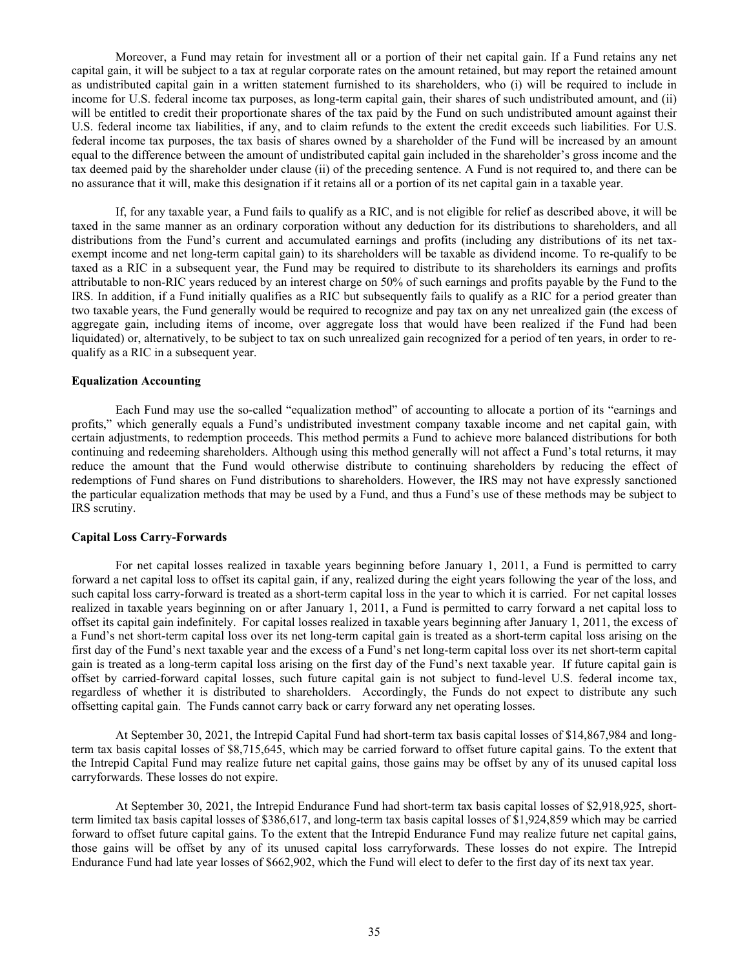Moreover, a Fund may retain for investment all or a portion of their net capital gain. If a Fund retains any net capital gain, it will be subject to a tax at regular corporate rates on the amount retained, but may report the retained amount as undistributed capital gain in a written statement furnished to its shareholders, who (i) will be required to include in income for U.S. federal income tax purposes, as long-term capital gain, their shares of such undistributed amount, and (ii) will be entitled to credit their proportionate shares of the tax paid by the Fund on such undistributed amount against their U.S. federal income tax liabilities, if any, and to claim refunds to the extent the credit exceeds such liabilities. For U.S. federal income tax purposes, the tax basis of shares owned by a shareholder of the Fund will be increased by an amount equal to the difference between the amount of undistributed capital gain included in the shareholder's gross income and the tax deemed paid by the shareholder under clause (ii) of the preceding sentence. A Fund is not required to, and there can be no assurance that it will, make this designation if it retains all or a portion of its net capital gain in a taxable year.

If, for any taxable year, a Fund fails to qualify as a RIC, and is not eligible for relief as described above, it will be taxed in the same manner as an ordinary corporation without any deduction for its distributions to shareholders, and all distributions from the Fund's current and accumulated earnings and profits (including any distributions of its net taxexempt income and net long-term capital gain) to its shareholders will be taxable as dividend income. To re-qualify to be taxed as a RIC in a subsequent year, the Fund may be required to distribute to its shareholders its earnings and profits attributable to non-RIC years reduced by an interest charge on 50% of such earnings and profits payable by the Fund to the IRS. In addition, if a Fund initially qualifies as a RIC but subsequently fails to qualify as a RIC for a period greater than two taxable years, the Fund generally would be required to recognize and pay tax on any net unrealized gain (the excess of aggregate gain, including items of income, over aggregate loss that would have been realized if the Fund had been liquidated) or, alternatively, to be subject to tax on such unrealized gain recognized for a period of ten years, in order to requalify as a RIC in a subsequent year.

#### **Equalization Accounting**

Each Fund may use the so-called "equalization method" of accounting to allocate a portion of its "earnings and profits," which generally equals a Fund's undistributed investment company taxable income and net capital gain, with certain adjustments, to redemption proceeds. This method permits a Fund to achieve more balanced distributions for both continuing and redeeming shareholders. Although using this method generally will not affect a Fund's total returns, it may reduce the amount that the Fund would otherwise distribute to continuing shareholders by reducing the effect of redemptions of Fund shares on Fund distributions to shareholders. However, the IRS may not have expressly sanctioned the particular equalization methods that may be used by a Fund, and thus a Fund's use of these methods may be subject to IRS scrutiny.

#### **Capital Loss Carry-Forwards**

For net capital losses realized in taxable years beginning before January 1, 2011, a Fund is permitted to carry forward a net capital loss to offset its capital gain, if any, realized during the eight years following the year of the loss, and such capital loss carry-forward is treated as a short-term capital loss in the year to which it is carried. For net capital losses realized in taxable years beginning on or after January 1, 2011, a Fund is permitted to carry forward a net capital loss to offset its capital gain indefinitely. For capital losses realized in taxable years beginning after January 1, 2011, the excess of a Fund's net short-term capital loss over its net long-term capital gain is treated as a short-term capital loss arising on the first day of the Fund's next taxable year and the excess of a Fund's net long-term capital loss over its net short-term capital gain is treated as a long-term capital loss arising on the first day of the Fund's next taxable year. If future capital gain is offset by carried-forward capital losses, such future capital gain is not subject to fund-level U.S. federal income tax, regardless of whether it is distributed to shareholders. Accordingly, the Funds do not expect to distribute any such offsetting capital gain. The Funds cannot carry back or carry forward any net operating losses.

At September 30, 2021, the Intrepid Capital Fund had short-term tax basis capital losses of \$14,867,984 and longterm tax basis capital losses of \$8,715,645, which may be carried forward to offset future capital gains. To the extent that the Intrepid Capital Fund may realize future net capital gains, those gains may be offset by any of its unused capital loss carryforwards. These losses do not expire.

At September 30, 2021, the Intrepid Endurance Fund had short-term tax basis capital losses of \$2,918,925, shortterm limited tax basis capital losses of \$386,617, and long-term tax basis capital losses of \$1,924,859 which may be carried forward to offset future capital gains. To the extent that the Intrepid Endurance Fund may realize future net capital gains, those gains will be offset by any of its unused capital loss carryforwards. These losses do not expire. The Intrepid Endurance Fund had late year losses of \$662,902, which the Fund will elect to defer to the first day of its next tax year.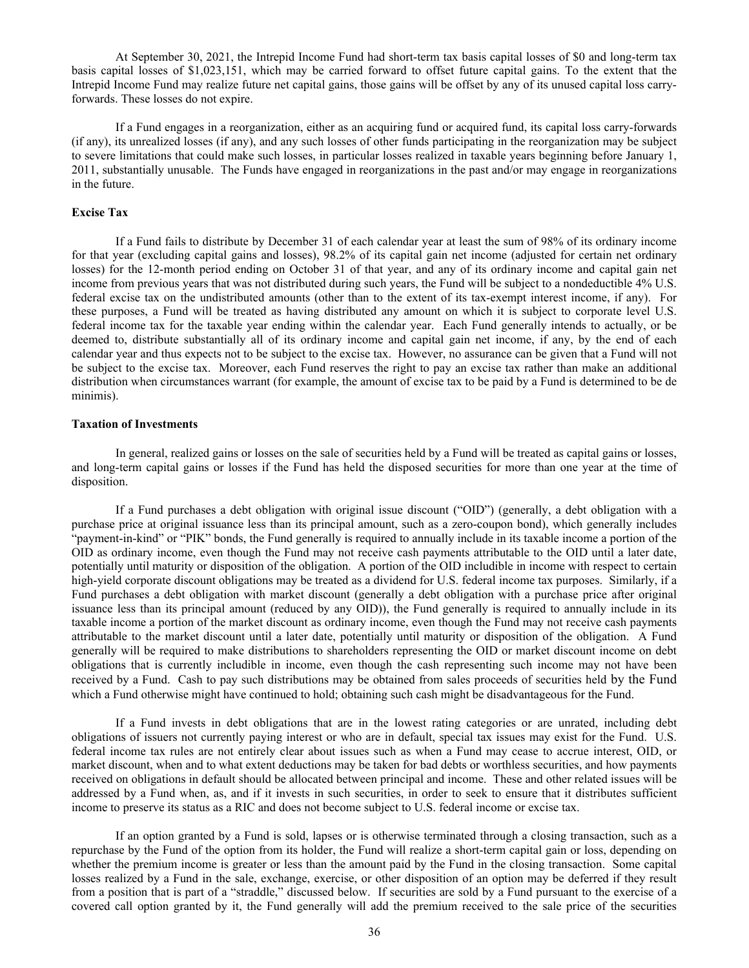At September 30, 2021, the Intrepid Income Fund had short-term tax basis capital losses of \$0 and long-term tax basis capital losses of \$1,023,151, which may be carried forward to offset future capital gains. To the extent that the Intrepid Income Fund may realize future net capital gains, those gains will be offset by any of its unused capital loss carryforwards. These losses do not expire.

If a Fund engages in a reorganization, either as an acquiring fund or acquired fund, its capital loss carry-forwards (if any), its unrealized losses (if any), and any such losses of other funds participating in the reorganization may be subject to severe limitations that could make such losses, in particular losses realized in taxable years beginning before January 1, 2011, substantially unusable. The Funds have engaged in reorganizations in the past and/or may engage in reorganizations in the future.

#### **Excise Tax**

If a Fund fails to distribute by December 31 of each calendar year at least the sum of 98% of its ordinary income for that year (excluding capital gains and losses), 98.2% of its capital gain net income (adjusted for certain net ordinary losses) for the 12-month period ending on October 31 of that year, and any of its ordinary income and capital gain net income from previous years that was not distributed during such years, the Fund will be subject to a nondeductible 4% U.S. federal excise tax on the undistributed amounts (other than to the extent of its tax-exempt interest income, if any). For these purposes, a Fund will be treated as having distributed any amount on which it is subject to corporate level U.S. federal income tax for the taxable year ending within the calendar year. Each Fund generally intends to actually, or be deemed to, distribute substantially all of its ordinary income and capital gain net income, if any, by the end of each calendar year and thus expects not to be subject to the excise tax. However, no assurance can be given that a Fund will not be subject to the excise tax. Moreover, each Fund reserves the right to pay an excise tax rather than make an additional distribution when circumstances warrant (for example, the amount of excise tax to be paid by a Fund is determined to be de minimis).

### **Taxation of Investments**

In general, realized gains or losses on the sale of securities held by a Fund will be treated as capital gains or losses, and long-term capital gains or losses if the Fund has held the disposed securities for more than one year at the time of disposition.

If a Fund purchases a debt obligation with original issue discount ("OID") (generally, a debt obligation with a purchase price at original issuance less than its principal amount, such as a zero-coupon bond), which generally includes "payment-in-kind" or "PIK" bonds, the Fund generally is required to annually include in its taxable income a portion of the OID as ordinary income, even though the Fund may not receive cash payments attributable to the OID until a later date, potentially until maturity or disposition of the obligation. A portion of the OID includible in income with respect to certain high-yield corporate discount obligations may be treated as a dividend for U.S. federal income tax purposes. Similarly, if a Fund purchases a debt obligation with market discount (generally a debt obligation with a purchase price after original issuance less than its principal amount (reduced by any OID)), the Fund generally is required to annually include in its taxable income a portion of the market discount as ordinary income, even though the Fund may not receive cash payments attributable to the market discount until a later date, potentially until maturity or disposition of the obligation. A Fund generally will be required to make distributions to shareholders representing the OID or market discount income on debt obligations that is currently includible in income, even though the cash representing such income may not have been received by a Fund. Cash to pay such distributions may be obtained from sales proceeds of securities held by the Fund which a Fund otherwise might have continued to hold; obtaining such cash might be disadvantageous for the Fund.

If a Fund invests in debt obligations that are in the lowest rating categories or are unrated, including debt obligations of issuers not currently paying interest or who are in default, special tax issues may exist for the Fund. U.S. federal income tax rules are not entirely clear about issues such as when a Fund may cease to accrue interest, OID, or market discount, when and to what extent deductions may be taken for bad debts or worthless securities, and how payments received on obligations in default should be allocated between principal and income. These and other related issues will be addressed by a Fund when, as, and if it invests in such securities, in order to seek to ensure that it distributes sufficient income to preserve its status as a RIC and does not become subject to U.S. federal income or excise tax.

If an option granted by a Fund is sold, lapses or is otherwise terminated through a closing transaction, such as a repurchase by the Fund of the option from its holder, the Fund will realize a short-term capital gain or loss, depending on whether the premium income is greater or less than the amount paid by the Fund in the closing transaction. Some capital losses realized by a Fund in the sale, exchange, exercise, or other disposition of an option may be deferred if they result from a position that is part of a "straddle," discussed below. If securities are sold by a Fund pursuant to the exercise of a covered call option granted by it, the Fund generally will add the premium received to the sale price of the securities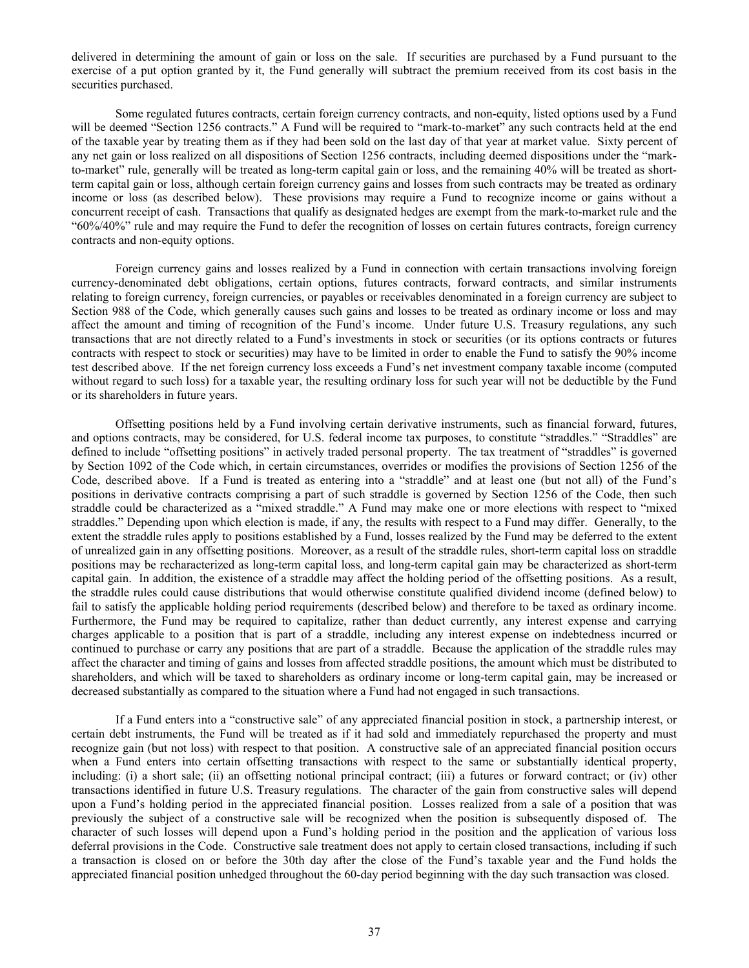delivered in determining the amount of gain or loss on the sale. If securities are purchased by a Fund pursuant to the exercise of a put option granted by it, the Fund generally will subtract the premium received from its cost basis in the securities purchased.

Some regulated futures contracts, certain foreign currency contracts, and non-equity, listed options used by a Fund will be deemed "Section 1256 contracts." A Fund will be required to "mark-to-market" any such contracts held at the end of the taxable year by treating them as if they had been sold on the last day of that year at market value. Sixty percent of any net gain or loss realized on all dispositions of Section 1256 contracts, including deemed dispositions under the "markto-market" rule, generally will be treated as long-term capital gain or loss, and the remaining 40% will be treated as shortterm capital gain or loss, although certain foreign currency gains and losses from such contracts may be treated as ordinary income or loss (as described below). These provisions may require a Fund to recognize income or gains without a concurrent receipt of cash. Transactions that qualify as designated hedges are exempt from the mark-to-market rule and the "60%/40%" rule and may require the Fund to defer the recognition of losses on certain futures contracts, foreign currency contracts and non-equity options.

Foreign currency gains and losses realized by a Fund in connection with certain transactions involving foreign currency-denominated debt obligations, certain options, futures contracts, forward contracts, and similar instruments relating to foreign currency, foreign currencies, or payables or receivables denominated in a foreign currency are subject to Section 988 of the Code, which generally causes such gains and losses to be treated as ordinary income or loss and may affect the amount and timing of recognition of the Fund's income. Under future U.S. Treasury regulations, any such transactions that are not directly related to a Fund's investments in stock or securities (or its options contracts or futures contracts with respect to stock or securities) may have to be limited in order to enable the Fund to satisfy the 90% income test described above. If the net foreign currency loss exceeds a Fund's net investment company taxable income (computed without regard to such loss) for a taxable year, the resulting ordinary loss for such year will not be deductible by the Fund or its shareholders in future years.

Offsetting positions held by a Fund involving certain derivative instruments, such as financial forward, futures, and options contracts, may be considered, for U.S. federal income tax purposes, to constitute "straddles." "Straddles" are defined to include "offsetting positions" in actively traded personal property. The tax treatment of "straddles" is governed by Section 1092 of the Code which, in certain circumstances, overrides or modifies the provisions of Section 1256 of the Code, described above. If a Fund is treated as entering into a "straddle" and at least one (but not all) of the Fund's positions in derivative contracts comprising a part of such straddle is governed by Section 1256 of the Code, then such straddle could be characterized as a "mixed straddle." A Fund may make one or more elections with respect to "mixed straddles." Depending upon which election is made, if any, the results with respect to a Fund may differ. Generally, to the extent the straddle rules apply to positions established by a Fund, losses realized by the Fund may be deferred to the extent of unrealized gain in any offsetting positions. Moreover, as a result of the straddle rules, short-term capital loss on straddle positions may be recharacterized as long-term capital loss, and long-term capital gain may be characterized as short-term capital gain. In addition, the existence of a straddle may affect the holding period of the offsetting positions. As a result, the straddle rules could cause distributions that would otherwise constitute qualified dividend income (defined below) to fail to satisfy the applicable holding period requirements (described below) and therefore to be taxed as ordinary income. Furthermore, the Fund may be required to capitalize, rather than deduct currently, any interest expense and carrying charges applicable to a position that is part of a straddle, including any interest expense on indebtedness incurred or continued to purchase or carry any positions that are part of a straddle. Because the application of the straddle rules may affect the character and timing of gains and losses from affected straddle positions, the amount which must be distributed to shareholders, and which will be taxed to shareholders as ordinary income or long-term capital gain, may be increased or decreased substantially as compared to the situation where a Fund had not engaged in such transactions.

If a Fund enters into a "constructive sale" of any appreciated financial position in stock, a partnership interest, or certain debt instruments, the Fund will be treated as if it had sold and immediately repurchased the property and must recognize gain (but not loss) with respect to that position. A constructive sale of an appreciated financial position occurs when a Fund enters into certain offsetting transactions with respect to the same or substantially identical property, including: (i) a short sale; (ii) an offsetting notional principal contract; (iii) a futures or forward contract; or (iv) other transactions identified in future U.S. Treasury regulations. The character of the gain from constructive sales will depend upon a Fund's holding period in the appreciated financial position. Losses realized from a sale of a position that was previously the subject of a constructive sale will be recognized when the position is subsequently disposed of. The character of such losses will depend upon a Fund's holding period in the position and the application of various loss deferral provisions in the Code. Constructive sale treatment does not apply to certain closed transactions, including if such a transaction is closed on or before the 30th day after the close of the Fund's taxable year and the Fund holds the appreciated financial position unhedged throughout the 60-day period beginning with the day such transaction was closed.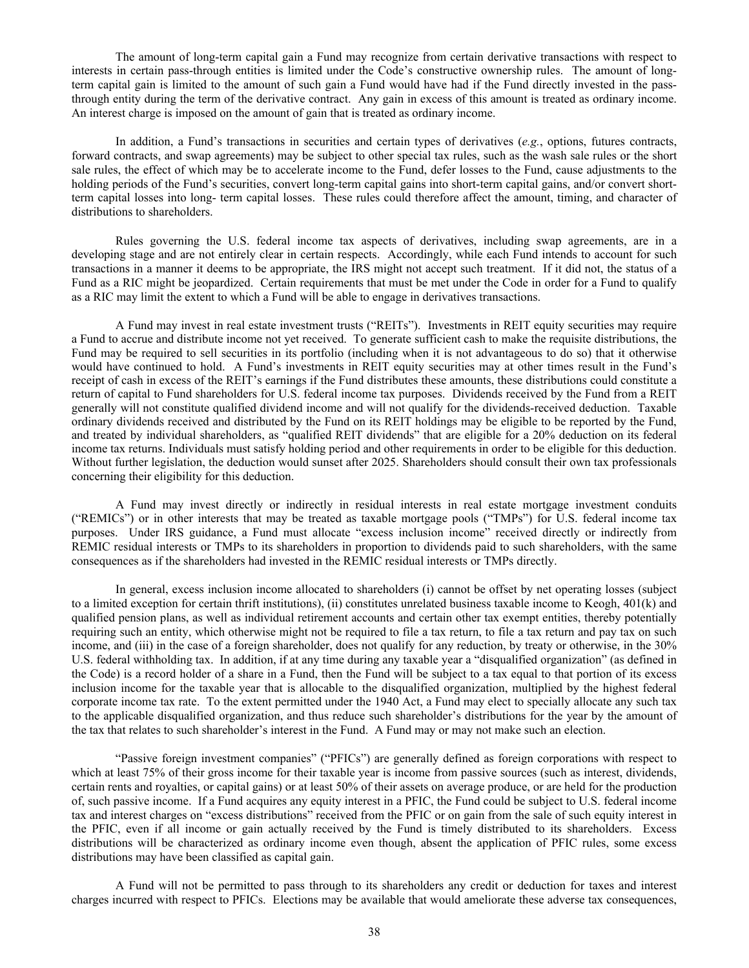The amount of long-term capital gain a Fund may recognize from certain derivative transactions with respect to interests in certain pass-through entities is limited under the Code's constructive ownership rules. The amount of longterm capital gain is limited to the amount of such gain a Fund would have had if the Fund directly invested in the passthrough entity during the term of the derivative contract. Any gain in excess of this amount is treated as ordinary income. An interest charge is imposed on the amount of gain that is treated as ordinary income.

In addition, a Fund's transactions in securities and certain types of derivatives (*e.g.*, options, futures contracts, forward contracts, and swap agreements) may be subject to other special tax rules, such as the wash sale rules or the short sale rules, the effect of which may be to accelerate income to the Fund, defer losses to the Fund, cause adjustments to the holding periods of the Fund's securities, convert long-term capital gains into short-term capital gains, and/or convert shortterm capital losses into long- term capital losses. These rules could therefore affect the amount, timing, and character of distributions to shareholders.

Rules governing the U.S. federal income tax aspects of derivatives, including swap agreements, are in a developing stage and are not entirely clear in certain respects. Accordingly, while each Fund intends to account for such transactions in a manner it deems to be appropriate, the IRS might not accept such treatment. If it did not, the status of a Fund as a RIC might be jeopardized. Certain requirements that must be met under the Code in order for a Fund to qualify as a RIC may limit the extent to which a Fund will be able to engage in derivatives transactions.

A Fund may invest in real estate investment trusts ("REITs"). Investments in REIT equity securities may require a Fund to accrue and distribute income not yet received. To generate sufficient cash to make the requisite distributions, the Fund may be required to sell securities in its portfolio (including when it is not advantageous to do so) that it otherwise would have continued to hold. A Fund's investments in REIT equity securities may at other times result in the Fund's receipt of cash in excess of the REIT's earnings if the Fund distributes these amounts, these distributions could constitute a return of capital to Fund shareholders for U.S. federal income tax purposes. Dividends received by the Fund from a REIT generally will not constitute qualified dividend income and will not qualify for the dividends-received deduction. Taxable ordinary dividends received and distributed by the Fund on its REIT holdings may be eligible to be reported by the Fund, and treated by individual shareholders, as "qualified REIT dividends" that are eligible for a 20% deduction on its federal income tax returns. Individuals must satisfy holding period and other requirements in order to be eligible for this deduction. Without further legislation, the deduction would sunset after 2025. Shareholders should consult their own tax professionals concerning their eligibility for this deduction.

A Fund may invest directly or indirectly in residual interests in real estate mortgage investment conduits ("REMICs") or in other interests that may be treated as taxable mortgage pools ("TMPs") for U.S. federal income tax purposes. Under IRS guidance, a Fund must allocate "excess inclusion income" received directly or indirectly from REMIC residual interests or TMPs to its shareholders in proportion to dividends paid to such shareholders, with the same consequences as if the shareholders had invested in the REMIC residual interests or TMPs directly.

In general, excess inclusion income allocated to shareholders (i) cannot be offset by net operating losses (subject to a limited exception for certain thrift institutions), (ii) constitutes unrelated business taxable income to Keogh, 401(k) and qualified pension plans, as well as individual retirement accounts and certain other tax exempt entities, thereby potentially requiring such an entity, which otherwise might not be required to file a tax return, to file a tax return and pay tax on such income, and (iii) in the case of a foreign shareholder, does not qualify for any reduction, by treaty or otherwise, in the 30% U.S. federal withholding tax. In addition, if at any time during any taxable year a "disqualified organization" (as defined in the Code) is a record holder of a share in a Fund, then the Fund will be subject to a tax equal to that portion of its excess inclusion income for the taxable year that is allocable to the disqualified organization, multiplied by the highest federal corporate income tax rate. To the extent permitted under the 1940 Act, a Fund may elect to specially allocate any such tax to the applicable disqualified organization, and thus reduce such shareholder's distributions for the year by the amount of the tax that relates to such shareholder's interest in the Fund. A Fund may or may not make such an election.

"Passive foreign investment companies" ("PFICs") are generally defined as foreign corporations with respect to which at least 75% of their gross income for their taxable year is income from passive sources (such as interest, dividends, certain rents and royalties, or capital gains) or at least 50% of their assets on average produce, or are held for the production of, such passive income. If a Fund acquires any equity interest in a PFIC, the Fund could be subject to U.S. federal income tax and interest charges on "excess distributions" received from the PFIC or on gain from the sale of such equity interest in the PFIC, even if all income or gain actually received by the Fund is timely distributed to its shareholders. Excess distributions will be characterized as ordinary income even though, absent the application of PFIC rules, some excess distributions may have been classified as capital gain.

A Fund will not be permitted to pass through to its shareholders any credit or deduction for taxes and interest charges incurred with respect to PFICs. Elections may be available that would ameliorate these adverse tax consequences,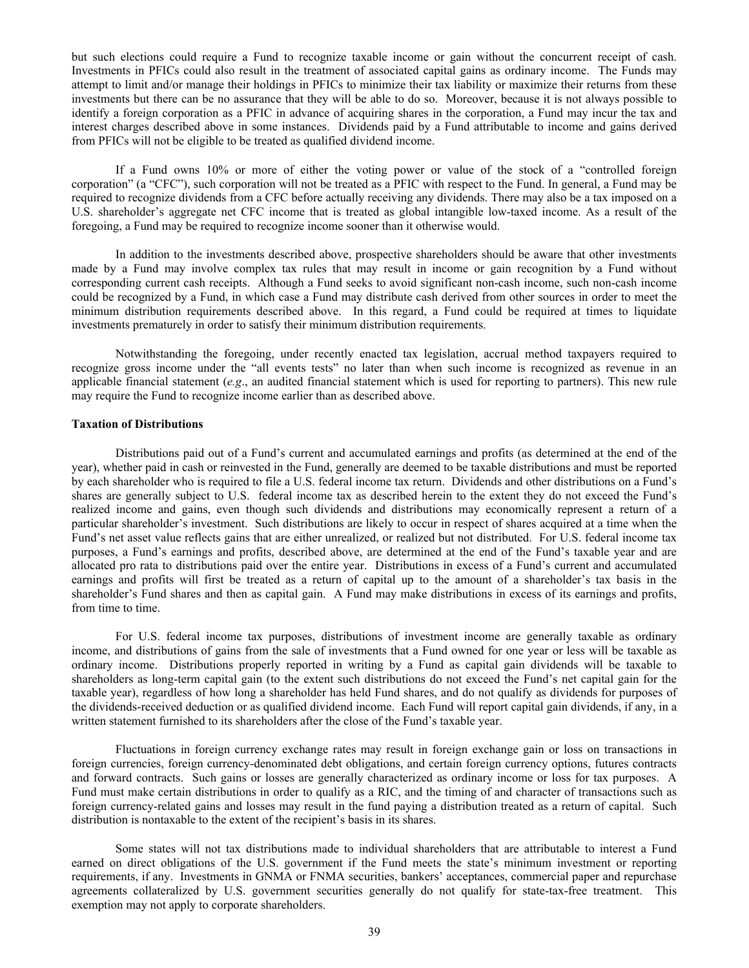but such elections could require a Fund to recognize taxable income or gain without the concurrent receipt of cash. Investments in PFICs could also result in the treatment of associated capital gains as ordinary income. The Funds may attempt to limit and/or manage their holdings in PFICs to minimize their tax liability or maximize their returns from these investments but there can be no assurance that they will be able to do so. Moreover, because it is not always possible to identify a foreign corporation as a PFIC in advance of acquiring shares in the corporation, a Fund may incur the tax and interest charges described above in some instances. Dividends paid by a Fund attributable to income and gains derived from PFICs will not be eligible to be treated as qualified dividend income.

If a Fund owns 10% or more of either the voting power or value of the stock of a "controlled foreign corporation" (a "CFC"), such corporation will not be treated as a PFIC with respect to the Fund. In general, a Fund may be required to recognize dividends from a CFC before actually receiving any dividends. There may also be a tax imposed on a U.S. shareholder's aggregate net CFC income that is treated as global intangible low-taxed income. As a result of the foregoing, a Fund may be required to recognize income sooner than it otherwise would.

In addition to the investments described above, prospective shareholders should be aware that other investments made by a Fund may involve complex tax rules that may result in income or gain recognition by a Fund without corresponding current cash receipts. Although a Fund seeks to avoid significant non-cash income, such non-cash income could be recognized by a Fund, in which case a Fund may distribute cash derived from other sources in order to meet the minimum distribution requirements described above. In this regard, a Fund could be required at times to liquidate investments prematurely in order to satisfy their minimum distribution requirements.

Notwithstanding the foregoing, under recently enacted tax legislation, accrual method taxpayers required to recognize gross income under the "all events tests" no later than when such income is recognized as revenue in an applicable financial statement (*e.g*., an audited financial statement which is used for reporting to partners). This new rule may require the Fund to recognize income earlier than as described above.

#### **Taxation of Distributions**

Distributions paid out of a Fund's current and accumulated earnings and profits (as determined at the end of the year), whether paid in cash or reinvested in the Fund, generally are deemed to be taxable distributions and must be reported by each shareholder who is required to file a U.S. federal income tax return. Dividends and other distributions on a Fund's shares are generally subject to U.S. federal income tax as described herein to the extent they do not exceed the Fund's realized income and gains, even though such dividends and distributions may economically represent a return of a particular shareholder's investment. Such distributions are likely to occur in respect of shares acquired at a time when the Fund's net asset value reflects gains that are either unrealized, or realized but not distributed. For U.S. federal income tax purposes, a Fund's earnings and profits, described above, are determined at the end of the Fund's taxable year and are allocated pro rata to distributions paid over the entire year. Distributions in excess of a Fund's current and accumulated earnings and profits will first be treated as a return of capital up to the amount of a shareholder's tax basis in the shareholder's Fund shares and then as capital gain. A Fund may make distributions in excess of its earnings and profits, from time to time.

For U.S. federal income tax purposes, distributions of investment income are generally taxable as ordinary income, and distributions of gains from the sale of investments that a Fund owned for one year or less will be taxable as ordinary income. Distributions properly reported in writing by a Fund as capital gain dividends will be taxable to shareholders as long-term capital gain (to the extent such distributions do not exceed the Fund's net capital gain for the taxable year), regardless of how long a shareholder has held Fund shares, and do not qualify as dividends for purposes of the dividends-received deduction or as qualified dividend income. Each Fund will report capital gain dividends, if any, in a written statement furnished to its shareholders after the close of the Fund's taxable year.

Fluctuations in foreign currency exchange rates may result in foreign exchange gain or loss on transactions in foreign currencies, foreign currency-denominated debt obligations, and certain foreign currency options, futures contracts and forward contracts. Such gains or losses are generally characterized as ordinary income or loss for tax purposes. A Fund must make certain distributions in order to qualify as a RIC, and the timing of and character of transactions such as foreign currency-related gains and losses may result in the fund paying a distribution treated as a return of capital. Such distribution is nontaxable to the extent of the recipient's basis in its shares.

Some states will not tax distributions made to individual shareholders that are attributable to interest a Fund earned on direct obligations of the U.S. government if the Fund meets the state's minimum investment or reporting requirements, if any. Investments in GNMA or FNMA securities, bankers' acceptances, commercial paper and repurchase agreements collateralized by U.S. government securities generally do not qualify for state-tax-free treatment. This exemption may not apply to corporate shareholders.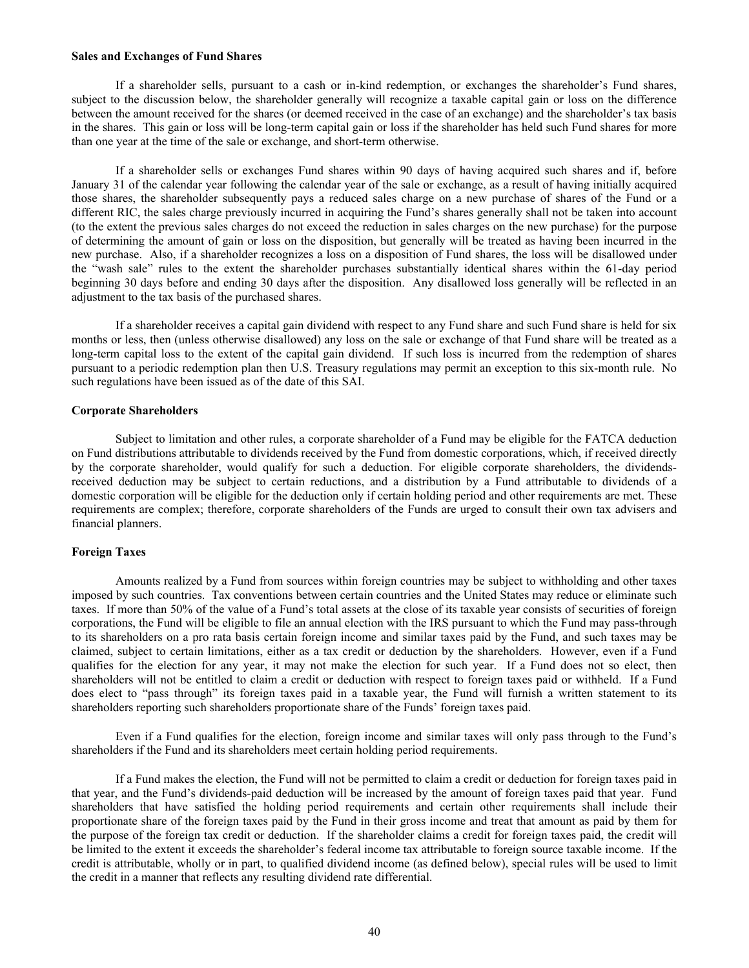#### **Sales and Exchanges of Fund Shares**

If a shareholder sells, pursuant to a cash or in-kind redemption, or exchanges the shareholder's Fund shares, subject to the discussion below, the shareholder generally will recognize a taxable capital gain or loss on the difference between the amount received for the shares (or deemed received in the case of an exchange) and the shareholder's tax basis in the shares. This gain or loss will be long-term capital gain or loss if the shareholder has held such Fund shares for more than one year at the time of the sale or exchange, and short-term otherwise.

If a shareholder sells or exchanges Fund shares within 90 days of having acquired such shares and if, before January 31 of the calendar year following the calendar year of the sale or exchange, as a result of having initially acquired those shares, the shareholder subsequently pays a reduced sales charge on a new purchase of shares of the Fund or a different RIC, the sales charge previously incurred in acquiring the Fund's shares generally shall not be taken into account (to the extent the previous sales charges do not exceed the reduction in sales charges on the new purchase) for the purpose of determining the amount of gain or loss on the disposition, but generally will be treated as having been incurred in the new purchase. Also, if a shareholder recognizes a loss on a disposition of Fund shares, the loss will be disallowed under the "wash sale" rules to the extent the shareholder purchases substantially identical shares within the 61-day period beginning 30 days before and ending 30 days after the disposition. Any disallowed loss generally will be reflected in an adjustment to the tax basis of the purchased shares.

If a shareholder receives a capital gain dividend with respect to any Fund share and such Fund share is held for six months or less, then (unless otherwise disallowed) any loss on the sale or exchange of that Fund share will be treated as a long-term capital loss to the extent of the capital gain dividend. If such loss is incurred from the redemption of shares pursuant to a periodic redemption plan then U.S. Treasury regulations may permit an exception to this six-month rule. No such regulations have been issued as of the date of this SAI.

#### **Corporate Shareholders**

Subject to limitation and other rules, a corporate shareholder of a Fund may be eligible for the FATCA deduction on Fund distributions attributable to dividends received by the Fund from domestic corporations, which, if received directly by the corporate shareholder, would qualify for such a deduction. For eligible corporate shareholders, the dividendsreceived deduction may be subject to certain reductions, and a distribution by a Fund attributable to dividends of a domestic corporation will be eligible for the deduction only if certain holding period and other requirements are met. These requirements are complex; therefore, corporate shareholders of the Funds are urged to consult their own tax advisers and financial planners.

#### **Foreign Taxes**

Amounts realized by a Fund from sources within foreign countries may be subject to withholding and other taxes imposed by such countries. Tax conventions between certain countries and the United States may reduce or eliminate such taxes. If more than 50% of the value of a Fund's total assets at the close of its taxable year consists of securities of foreign corporations, the Fund will be eligible to file an annual election with the IRS pursuant to which the Fund may pass-through to its shareholders on a pro rata basis certain foreign income and similar taxes paid by the Fund, and such taxes may be claimed, subject to certain limitations, either as a tax credit or deduction by the shareholders. However, even if a Fund qualifies for the election for any year, it may not make the election for such year. If a Fund does not so elect, then shareholders will not be entitled to claim a credit or deduction with respect to foreign taxes paid or withheld. If a Fund does elect to "pass through" its foreign taxes paid in a taxable year, the Fund will furnish a written statement to its shareholders reporting such shareholders proportionate share of the Funds' foreign taxes paid.

Even if a Fund qualifies for the election, foreign income and similar taxes will only pass through to the Fund's shareholders if the Fund and its shareholders meet certain holding period requirements.

If a Fund makes the election, the Fund will not be permitted to claim a credit or deduction for foreign taxes paid in that year, and the Fund's dividends-paid deduction will be increased by the amount of foreign taxes paid that year. Fund shareholders that have satisfied the holding period requirements and certain other requirements shall include their proportionate share of the foreign taxes paid by the Fund in their gross income and treat that amount as paid by them for the purpose of the foreign tax credit or deduction. If the shareholder claims a credit for foreign taxes paid, the credit will be limited to the extent it exceeds the shareholder's federal income tax attributable to foreign source taxable income. If the credit is attributable, wholly or in part, to qualified dividend income (as defined below), special rules will be used to limit the credit in a manner that reflects any resulting dividend rate differential.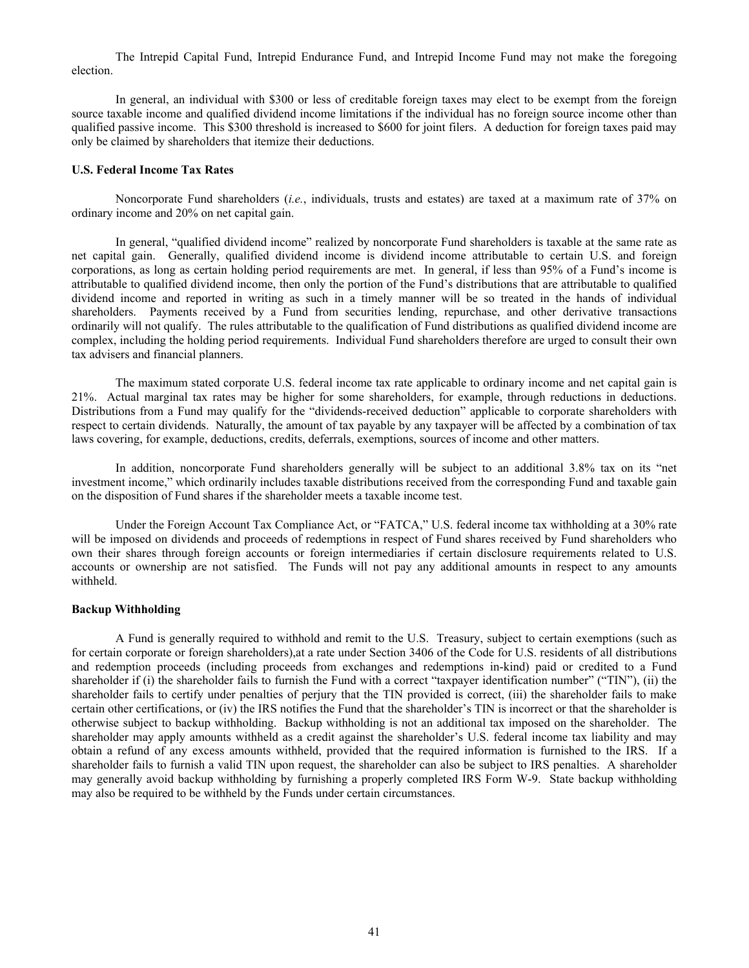The Intrepid Capital Fund, Intrepid Endurance Fund, and Intrepid Income Fund may not make the foregoing election.

In general, an individual with \$300 or less of creditable foreign taxes may elect to be exempt from the foreign source taxable income and qualified dividend income limitations if the individual has no foreign source income other than qualified passive income. This \$300 threshold is increased to \$600 for joint filers. A deduction for foreign taxes paid may only be claimed by shareholders that itemize their deductions.

#### **U.S. Federal Income Tax Rates**

Noncorporate Fund shareholders (*i.e.*, individuals, trusts and estates) are taxed at a maximum rate of 37% on ordinary income and 20% on net capital gain.

In general, "qualified dividend income" realized by noncorporate Fund shareholders is taxable at the same rate as net capital gain. Generally, qualified dividend income is dividend income attributable to certain U.S. and foreign corporations, as long as certain holding period requirements are met. In general, if less than 95% of a Fund's income is attributable to qualified dividend income, then only the portion of the Fund's distributions that are attributable to qualified dividend income and reported in writing as such in a timely manner will be so treated in the hands of individual shareholders. Payments received by a Fund from securities lending, repurchase, and other derivative transactions ordinarily will not qualify. The rules attributable to the qualification of Fund distributions as qualified dividend income are complex, including the holding period requirements. Individual Fund shareholders therefore are urged to consult their own tax advisers and financial planners.

The maximum stated corporate U.S. federal income tax rate applicable to ordinary income and net capital gain is 21%. Actual marginal tax rates may be higher for some shareholders, for example, through reductions in deductions. Distributions from a Fund may qualify for the "dividends-received deduction" applicable to corporate shareholders with respect to certain dividends. Naturally, the amount of tax payable by any taxpayer will be affected by a combination of tax laws covering, for example, deductions, credits, deferrals, exemptions, sources of income and other matters.

In addition, noncorporate Fund shareholders generally will be subject to an additional 3.8% tax on its "net investment income," which ordinarily includes taxable distributions received from the corresponding Fund and taxable gain on the disposition of Fund shares if the shareholder meets a taxable income test.

Under the Foreign Account Tax Compliance Act, or "FATCA," U.S. federal income tax withholding at a 30% rate will be imposed on dividends and proceeds of redemptions in respect of Fund shares received by Fund shareholders who own their shares through foreign accounts or foreign intermediaries if certain disclosure requirements related to U.S. accounts or ownership are not satisfied. The Funds will not pay any additional amounts in respect to any amounts withheld.

#### **Backup Withholding**

A Fund is generally required to withhold and remit to the U.S. Treasury, subject to certain exemptions (such as for certain corporate or foreign shareholders),at a rate under Section 3406 of the Code for U.S. residents of all distributions and redemption proceeds (including proceeds from exchanges and redemptions in-kind) paid or credited to a Fund shareholder if (i) the shareholder fails to furnish the Fund with a correct "taxpayer identification number" ("TIN"), (ii) the shareholder fails to certify under penalties of perjury that the TIN provided is correct, (iii) the shareholder fails to make certain other certifications, or (iv) the IRS notifies the Fund that the shareholder's TIN is incorrect or that the shareholder is otherwise subject to backup withholding. Backup withholding is not an additional tax imposed on the shareholder. The shareholder may apply amounts withheld as a credit against the shareholder's U.S. federal income tax liability and may obtain a refund of any excess amounts withheld, provided that the required information is furnished to the IRS. If a shareholder fails to furnish a valid TIN upon request, the shareholder can also be subject to IRS penalties. A shareholder may generally avoid backup withholding by furnishing a properly completed IRS Form W-9. State backup withholding may also be required to be withheld by the Funds under certain circumstances.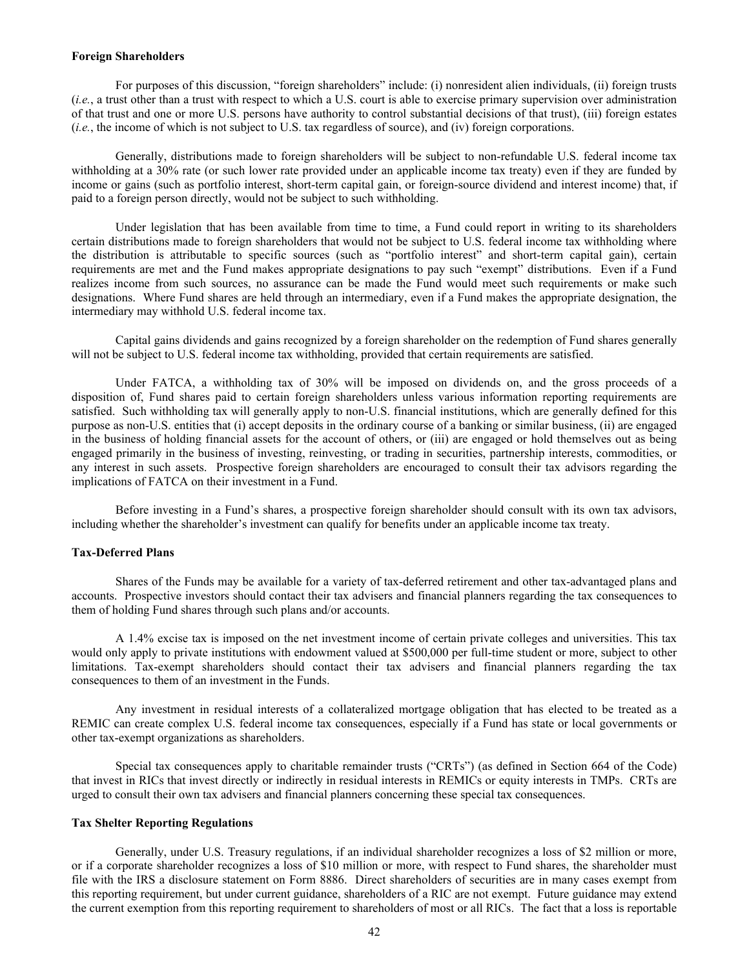#### **Foreign Shareholders**

For purposes of this discussion, "foreign shareholders" include: (i) nonresident alien individuals, (ii) foreign trusts (*i.e.*, a trust other than a trust with respect to which a U.S. court is able to exercise primary supervision over administration of that trust and one or more U.S. persons have authority to control substantial decisions of that trust), (iii) foreign estates (*i.e.*, the income of which is not subject to U.S. tax regardless of source), and (iv) foreign corporations.

Generally, distributions made to foreign shareholders will be subject to non-refundable U.S. federal income tax withholding at a 30% rate (or such lower rate provided under an applicable income tax treaty) even if they are funded by income or gains (such as portfolio interest, short-term capital gain, or foreign-source dividend and interest income) that, if paid to a foreign person directly, would not be subject to such withholding.

Under legislation that has been available from time to time, a Fund could report in writing to its shareholders certain distributions made to foreign shareholders that would not be subject to U.S. federal income tax withholding where the distribution is attributable to specific sources (such as "portfolio interest" and short-term capital gain), certain requirements are met and the Fund makes appropriate designations to pay such "exempt" distributions. Even if a Fund realizes income from such sources, no assurance can be made the Fund would meet such requirements or make such designations. Where Fund shares are held through an intermediary, even if a Fund makes the appropriate designation, the intermediary may withhold U.S. federal income tax.

Capital gains dividends and gains recognized by a foreign shareholder on the redemption of Fund shares generally will not be subject to U.S. federal income tax withholding, provided that certain requirements are satisfied.

Under FATCA, a withholding tax of 30% will be imposed on dividends on, and the gross proceeds of a disposition of, Fund shares paid to certain foreign shareholders unless various information reporting requirements are satisfied. Such withholding tax will generally apply to non-U.S. financial institutions, which are generally defined for this purpose as non-U.S. entities that (i) accept deposits in the ordinary course of a banking or similar business, (ii) are engaged in the business of holding financial assets for the account of others, or (iii) are engaged or hold themselves out as being engaged primarily in the business of investing, reinvesting, or trading in securities, partnership interests, commodities, or any interest in such assets. Prospective foreign shareholders are encouraged to consult their tax advisors regarding the implications of FATCA on their investment in a Fund.

Before investing in a Fund's shares, a prospective foreign shareholder should consult with its own tax advisors, including whether the shareholder's investment can qualify for benefits under an applicable income tax treaty.

#### **Tax-Deferred Plans**

Shares of the Funds may be available for a variety of tax-deferred retirement and other tax-advantaged plans and accounts. Prospective investors should contact their tax advisers and financial planners regarding the tax consequences to them of holding Fund shares through such plans and/or accounts.

A 1.4% excise tax is imposed on the net investment income of certain private colleges and universities. This tax would only apply to private institutions with endowment valued at \$500,000 per full-time student or more, subject to other limitations. Tax-exempt shareholders should contact their tax advisers and financial planners regarding the tax consequences to them of an investment in the Funds.

Any investment in residual interests of a collateralized mortgage obligation that has elected to be treated as a REMIC can create complex U.S. federal income tax consequences, especially if a Fund has state or local governments or other tax-exempt organizations as shareholders.

Special tax consequences apply to charitable remainder trusts ("CRTs") (as defined in Section 664 of the Code) that invest in RICs that invest directly or indirectly in residual interests in REMICs or equity interests in TMPs. CRTs are urged to consult their own tax advisers and financial planners concerning these special tax consequences.

#### **Tax Shelter Reporting Regulations**

Generally, under U.S. Treasury regulations, if an individual shareholder recognizes a loss of \$2 million or more, or if a corporate shareholder recognizes a loss of \$10 million or more, with respect to Fund shares, the shareholder must file with the IRS a disclosure statement on Form 8886. Direct shareholders of securities are in many cases exempt from this reporting requirement, but under current guidance, shareholders of a RIC are not exempt. Future guidance may extend the current exemption from this reporting requirement to shareholders of most or all RICs. The fact that a loss is reportable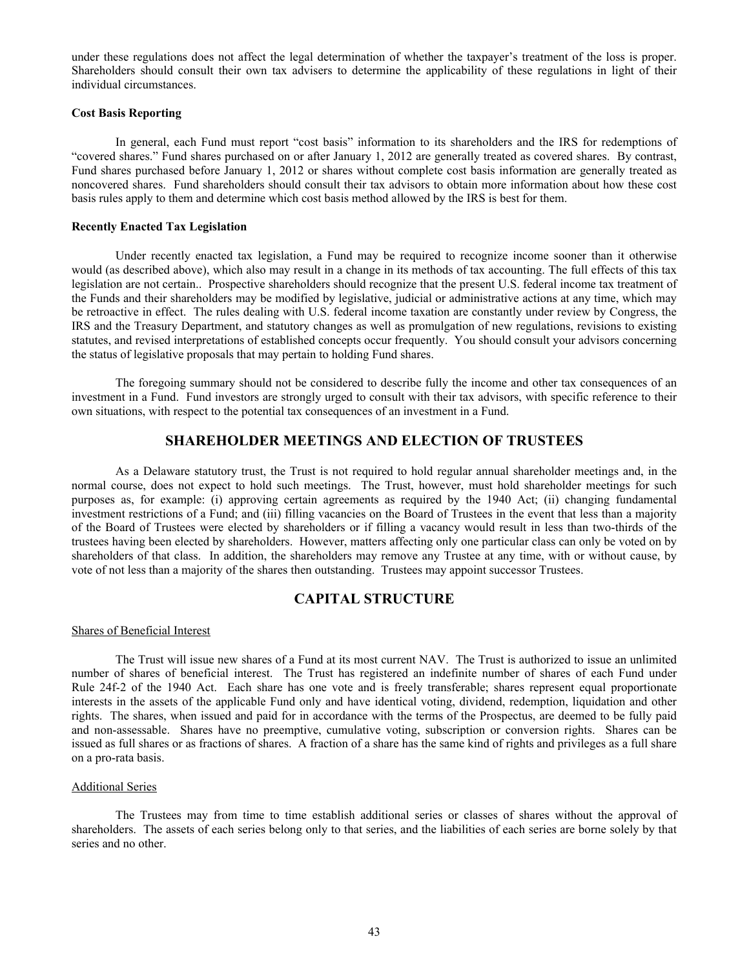<span id="page-46-0"></span>under these regulations does not affect the legal determination of whether the taxpayer's treatment of the loss is proper. Shareholders should consult their own tax advisers to determine the applicability of these regulations in light of their individual circumstances.

### **Cost Basis Reporting**

In general, each Fund must report "cost basis" information to its shareholders and the IRS for redemptions of "covered shares." Fund shares purchased on or after January 1, 2012 are generally treated as covered shares. By contrast, Fund shares purchased before January 1, 2012 or shares without complete cost basis information are generally treated as noncovered shares. Fund shareholders should consult their tax advisors to obtain more information about how these cost basis rules apply to them and determine which cost basis method allowed by the IRS is best for them.

#### **Recently Enacted Tax Legislation**

Under recently enacted tax legislation, a Fund may be required to recognize income sooner than it otherwise would (as described above), which also may result in a change in its methods of tax accounting. The full effects of this tax legislation are not certain.. Prospective shareholders should recognize that the present U.S. federal income tax treatment of the Funds and their shareholders may be modified by legislative, judicial or administrative actions at any time, which may be retroactive in effect. The rules dealing with U.S. federal income taxation are constantly under review by Congress, the IRS and the Treasury Department, and statutory changes as well as promulgation of new regulations, revisions to existing statutes, and revised interpretations of established concepts occur frequently. You should consult your advisors concerning the status of legislative proposals that may pertain to holding Fund shares.

The foregoing summary should not be considered to describe fully the income and other tax consequences of an investment in a Fund. Fund investors are strongly urged to consult with their tax advisors, with specific reference to their own situations, with respect to the potential tax consequences of an investment in a Fund.

## **SHAREHOLDER MEETINGS AND ELECTION OF TRUSTEES**

As a Delaware statutory trust, the Trust is not required to hold regular annual shareholder meetings and, in the normal course, does not expect to hold such meetings. The Trust, however, must hold shareholder meetings for such purposes as, for example: (i) approving certain agreements as required by the 1940 Act; (ii) changing fundamental investment restrictions of a Fund; and (iii) filling vacancies on the Board of Trustees in the event that less than a majority of the Board of Trustees were elected by shareholders or if filling a vacancy would result in less than two-thirds of the trustees having been elected by shareholders. However, matters affecting only one particular class can only be voted on by shareholders of that class. In addition, the shareholders may remove any Trustee at any time, with or without cause, by vote of not less than a majority of the shares then outstanding. Trustees may appoint successor Trustees.

## **CAPITAL STRUCTURE**

#### Shares of Beneficial Interest

The Trust will issue new shares of a Fund at its most current NAV. The Trust is authorized to issue an unlimited number of shares of beneficial interest. The Trust has registered an indefinite number of shares of each Fund under Rule 24f-2 of the 1940 Act. Each share has one vote and is freely transferable; shares represent equal proportionate interests in the assets of the applicable Fund only and have identical voting, dividend, redemption, liquidation and other rights. The shares, when issued and paid for in accordance with the terms of the Prospectus, are deemed to be fully paid and non-assessable. Shares have no preemptive, cumulative voting, subscription or conversion rights. Shares can be issued as full shares or as fractions of shares. A fraction of a share has the same kind of rights and privileges as a full share on a pro-rata basis.

### Additional Series

The Trustees may from time to time establish additional series or classes of shares without the approval of shareholders. The assets of each series belong only to that series, and the liabilities of each series are borne solely by that series and no other.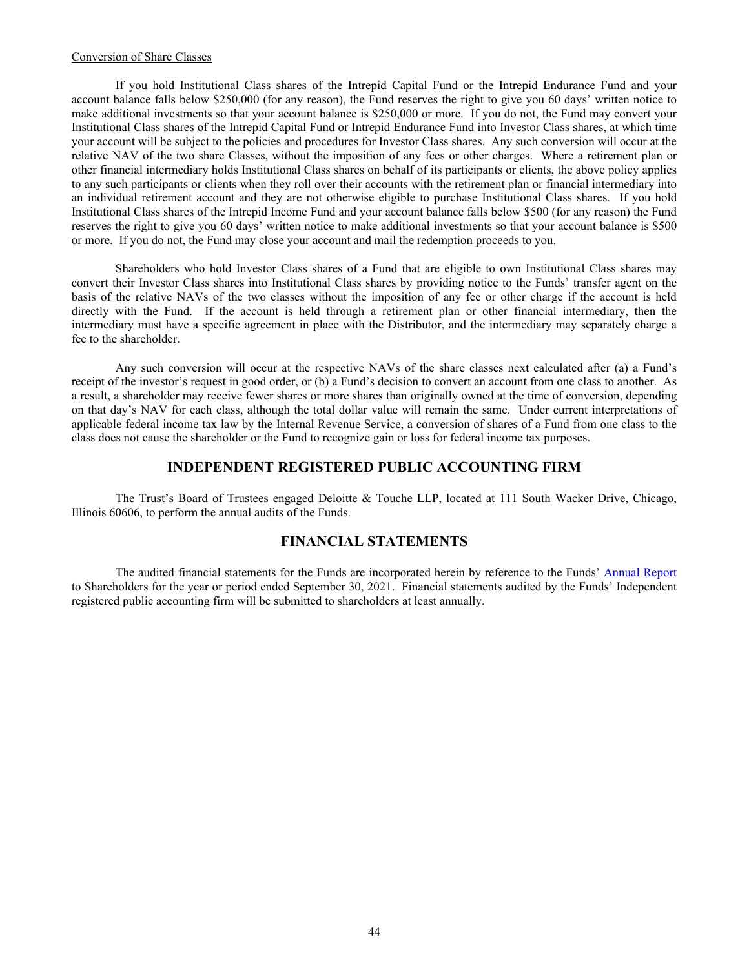#### <span id="page-47-0"></span>Conversion of Share Classes

If you hold Institutional Class shares of the Intrepid Capital Fund or the Intrepid Endurance Fund and your account balance falls below \$250,000 (for any reason), the Fund reserves the right to give you 60 days' written notice to make additional investments so that your account balance is \$250,000 or more. If you do not, the Fund may convert your Institutional Class shares of the Intrepid Capital Fund or Intrepid Endurance Fund into Investor Class shares, at which time your account will be subject to the policies and procedures for Investor Class shares. Any such conversion will occur at the relative NAV of the two share Classes, without the imposition of any fees or other charges. Where a retirement plan or other financial intermediary holds Institutional Class shares on behalf of its participants or clients, the above policy applies to any such participants or clients when they roll over their accounts with the retirement plan or financial intermediary into an individual retirement account and they are not otherwise eligible to purchase Institutional Class shares. If you hold Institutional Class shares of the Intrepid Income Fund and your account balance falls below \$500 (for any reason) the Fund reserves the right to give you 60 days' written notice to make additional investments so that your account balance is \$500 or more. If you do not, the Fund may close your account and mail the redemption proceeds to you.

Shareholders who hold Investor Class shares of a Fund that are eligible to own Institutional Class shares may convert their Investor Class shares into Institutional Class shares by providing notice to the Funds' transfer agent on the basis of the relative NAVs of the two classes without the imposition of any fee or other charge if the account is held directly with the Fund. If the account is held through a retirement plan or other financial intermediary, then the intermediary must have a specific agreement in place with the Distributor, and the intermediary may separately charge a fee to the shareholder.

Any such conversion will occur at the respective NAVs of the share classes next calculated after (a) a Fund's receipt of the investor's request in good order, or (b) a Fund's decision to convert an account from one class to another. As a result, a shareholder may receive fewer shares or more shares than originally owned at the time of conversion, depending on that day's NAV for each class, although the total dollar value will remain the same. Under current interpretations of applicable federal income tax law by the Internal Revenue Service, a conversion of shares of a Fund from one class to the class does not cause the shareholder or the Fund to recognize gain or loss for federal income tax purposes.

### **INDEPENDENT REGISTERED PUBLIC ACCOUNTING FIRM**

The Trust's Board of Trustees engaged Deloitte & Touche LLP, located at 111 South Wacker Drive, Chicago, Illinois 60606, to perform the annual audits of the Funds.

### **FINANCIAL STATEMENTS**

The audited financial statements for the Funds are incorporated herein by reference to the Funds' [Annual Report](http://www.sec.gov/Archives/edgar/data/1300746/000089853121000528/icmft-ncsra.htm) to Shareholders for the year or period ended September 30, 2021. Financial statements audited by the Funds' Independent registered public accounting firm will be submitted to shareholders at least annually.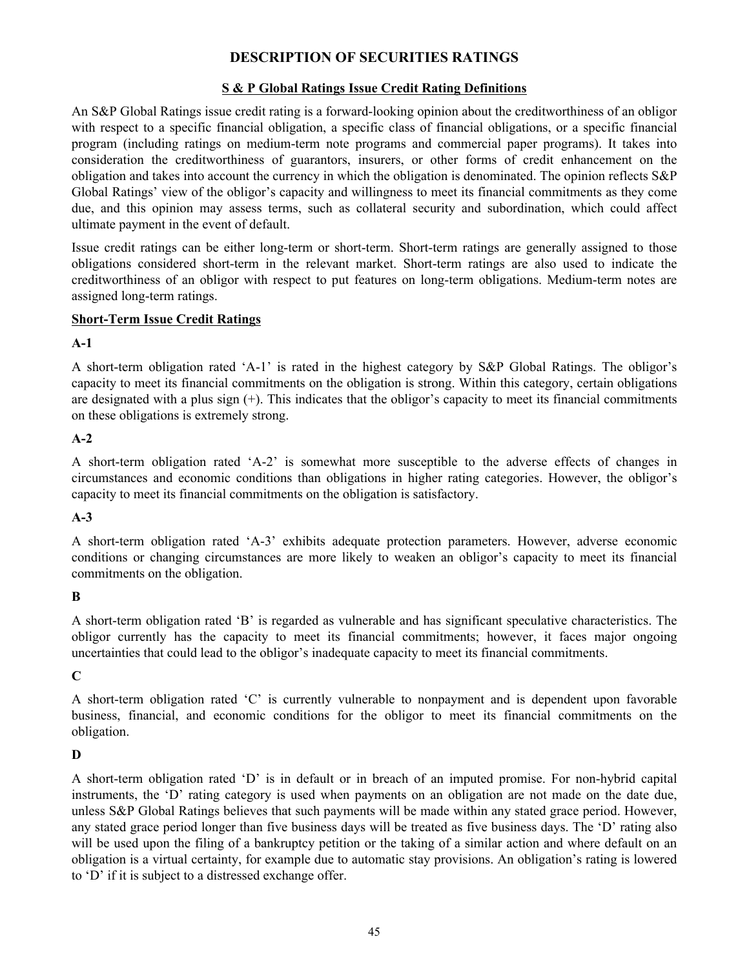## **DESCRIPTION OF SECURITIES RATINGS**

## **S & P Global Ratings Issue Credit Rating Definitions**

<span id="page-48-0"></span>An S&P Global Ratings issue credit rating is a forward-looking opinion about the creditworthiness of an obligor with respect to a specific financial obligation, a specific class of financial obligations, or a specific financial program (including ratings on medium-term note programs and commercial paper programs). It takes into consideration the creditworthiness of guarantors, insurers, or other forms of credit enhancement on the obligation and takes into account the currency in which the obligation is denominated. The opinion reflects S&P Global Ratings' view of the obligor's capacity and willingness to meet its financial commitments as they come due, and this opinion may assess terms, such as collateral security and subordination, which could affect ultimate payment in the event of default.

Issue credit ratings can be either long-term or short-term. Short-term ratings are generally assigned to those obligations considered short-term in the relevant market. Short-term ratings are also used to indicate the creditworthiness of an obligor with respect to put features on long-term obligations. Medium-term notes are assigned long-term ratings.

## **Short-Term Issue Credit Ratings**

## **A-1**

A short-term obligation rated 'A-1' is rated in the highest category by S&P Global Ratings. The obligor's capacity to meet its financial commitments on the obligation is strong. Within this category, certain obligations are designated with a plus sign (+). This indicates that the obligor's capacity to meet its financial commitments on these obligations is extremely strong.

## **A-2**

A short-term obligation rated 'A-2' is somewhat more susceptible to the adverse effects of changes in circumstances and economic conditions than obligations in higher rating categories. However, the obligor's capacity to meet its financial commitments on the obligation is satisfactory.

## **A-3**

A short-term obligation rated 'A-3' exhibits adequate protection parameters. However, adverse economic conditions or changing circumstances are more likely to weaken an obligor's capacity to meet its financial commitments on the obligation.

## **B**

A short-term obligation rated 'B' is regarded as vulnerable and has significant speculative characteristics. The obligor currently has the capacity to meet its financial commitments; however, it faces major ongoing uncertainties that could lead to the obligor's inadequate capacity to meet its financial commitments.

## **C**

A short-term obligation rated 'C' is currently vulnerable to nonpayment and is dependent upon favorable business, financial, and economic conditions for the obligor to meet its financial commitments on the obligation.

## **D**

A short-term obligation rated 'D' is in default or in breach of an imputed promise. For non-hybrid capital instruments, the 'D' rating category is used when payments on an obligation are not made on the date due, unless S&P Global Ratings believes that such payments will be made within any stated grace period. However, any stated grace period longer than five business days will be treated as five business days. The 'D' rating also will be used upon the filing of a bankruptcy petition or the taking of a similar action and where default on an obligation is a virtual certainty, for example due to automatic stay provisions. An obligation's rating is lowered to 'D' if it is subject to a distressed exchange offer.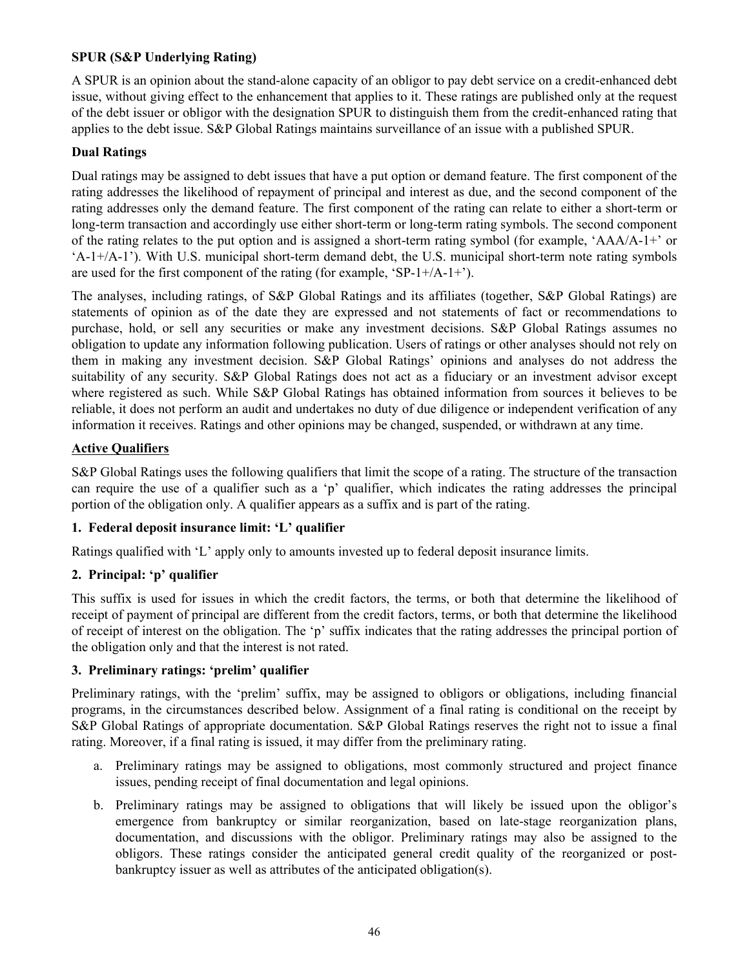## **SPUR (S&P Underlying Rating)**

A SPUR is an opinion about the stand-alone capacity of an obligor to pay debt service on a credit-enhanced debt issue, without giving effect to the enhancement that applies to it. These ratings are published only at the request of the debt issuer or obligor with the designation SPUR to distinguish them from the credit-enhanced rating that applies to the debt issue. S&P Global Ratings maintains surveillance of an issue with a published SPUR.

## **Dual Ratings**

Dual ratings may be assigned to debt issues that have a put option or demand feature. The first component of the rating addresses the likelihood of repayment of principal and interest as due, and the second component of the rating addresses only the demand feature. The first component of the rating can relate to either a short-term or long-term transaction and accordingly use either short-term or long-term rating symbols. The second component of the rating relates to the put option and is assigned a short-term rating symbol (for example, 'AAA/A-1+' or 'A-1+/A-1'). With U.S. municipal short-term demand debt, the U.S. municipal short-term note rating symbols are used for the first component of the rating (for example, 'SP-1+/A-1+').

The analyses, including ratings, of S&P Global Ratings and its affiliates (together, S&P Global Ratings) are statements of opinion as of the date they are expressed and not statements of fact or recommendations to purchase, hold, or sell any securities or make any investment decisions. S&P Global Ratings assumes no obligation to update any information following publication. Users of ratings or other analyses should not rely on them in making any investment decision. S&P Global Ratings' opinions and analyses do not address the suitability of any security. S&P Global Ratings does not act as a fiduciary or an investment advisor except where registered as such. While S&P Global Ratings has obtained information from sources it believes to be reliable, it does not perform an audit and undertakes no duty of due diligence or independent verification of any information it receives. Ratings and other opinions may be changed, suspended, or withdrawn at any time.

## **Active Qualifiers**

S&P Global Ratings uses the following qualifiers that limit the scope of a rating. The structure of the transaction can require the use of a qualifier such as a 'p' qualifier, which indicates the rating addresses the principal portion of the obligation only. A qualifier appears as a suffix and is part of the rating.

## **1. Federal deposit insurance limit: 'L' qualifier**

Ratings qualified with 'L' apply only to amounts invested up to federal deposit insurance limits.

## **2. Principal: 'p' qualifier**

This suffix is used for issues in which the credit factors, the terms, or both that determine the likelihood of receipt of payment of principal are different from the credit factors, terms, or both that determine the likelihood of receipt of interest on the obligation. The 'p' suffix indicates that the rating addresses the principal portion of the obligation only and that the interest is not rated.

## **3. Preliminary ratings: 'prelim' qualifier**

Preliminary ratings, with the 'prelim' suffix, may be assigned to obligors or obligations, including financial programs, in the circumstances described below. Assignment of a final rating is conditional on the receipt by S&P Global Ratings of appropriate documentation. S&P Global Ratings reserves the right not to issue a final rating. Moreover, if a final rating is issued, it may differ from the preliminary rating.

- a. Preliminary ratings may be assigned to obligations, most commonly structured and project finance issues, pending receipt of final documentation and legal opinions.
- b. Preliminary ratings may be assigned to obligations that will likely be issued upon the obligor's emergence from bankruptcy or similar reorganization, based on late-stage reorganization plans, documentation, and discussions with the obligor. Preliminary ratings may also be assigned to the obligors. These ratings consider the anticipated general credit quality of the reorganized or postbankruptcy issuer as well as attributes of the anticipated obligation(s).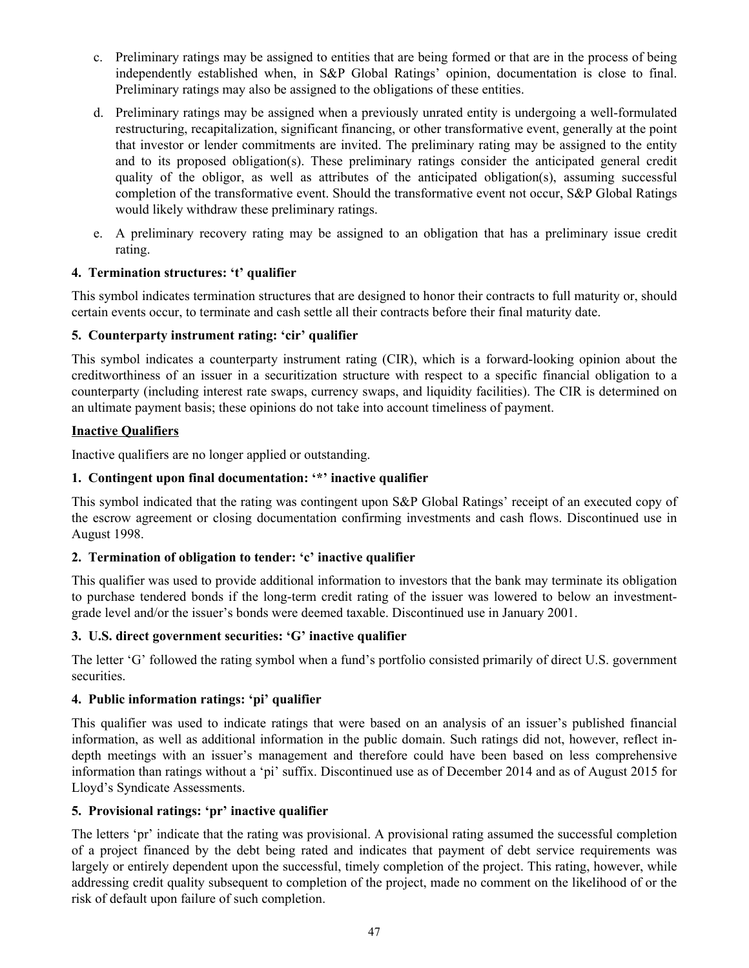- c. Preliminary ratings may be assigned to entities that are being formed or that are in the process of being independently established when, in S&P Global Ratings' opinion, documentation is close to final. Preliminary ratings may also be assigned to the obligations of these entities.
- d. Preliminary ratings may be assigned when a previously unrated entity is undergoing a well-formulated restructuring, recapitalization, significant financing, or other transformative event, generally at the point that investor or lender commitments are invited. The preliminary rating may be assigned to the entity and to its proposed obligation(s). These preliminary ratings consider the anticipated general credit quality of the obligor, as well as attributes of the anticipated obligation(s), assuming successful completion of the transformative event. Should the transformative event not occur, S&P Global Ratings would likely withdraw these preliminary ratings.
- e. A preliminary recovery rating may be assigned to an obligation that has a preliminary issue credit rating.

## **4. Termination structures: 't' qualifier**

This symbol indicates termination structures that are designed to honor their contracts to full maturity or, should certain events occur, to terminate and cash settle all their contracts before their final maturity date.

## **5. Counterparty instrument rating: 'cir' qualifier**

This symbol indicates a counterparty instrument rating (CIR), which is a forward-looking opinion about the creditworthiness of an issuer in a securitization structure with respect to a specific financial obligation to a counterparty (including interest rate swaps, currency swaps, and liquidity facilities). The CIR is determined on an ultimate payment basis; these opinions do not take into account timeliness of payment.

## **Inactive Qualifiers**

Inactive qualifiers are no longer applied or outstanding.

## **1. Contingent upon final documentation: '\*' inactive qualifier**

This symbol indicated that the rating was contingent upon S&P Global Ratings' receipt of an executed copy of the escrow agreement or closing documentation confirming investments and cash flows. Discontinued use in August 1998.

## **2. Termination of obligation to tender: 'c' inactive qualifier**

This qualifier was used to provide additional information to investors that the bank may terminate its obligation to purchase tendered bonds if the long-term credit rating of the issuer was lowered to below an investmentgrade level and/or the issuer's bonds were deemed taxable. Discontinued use in January 2001.

### **3. U.S. direct government securities: 'G' inactive qualifier**

The letter 'G' followed the rating symbol when a fund's portfolio consisted primarily of direct U.S. government securities.

### **4. Public information ratings: 'pi' qualifier**

This qualifier was used to indicate ratings that were based on an analysis of an issuer's published financial information, as well as additional information in the public domain. Such ratings did not, however, reflect indepth meetings with an issuer's management and therefore could have been based on less comprehensive information than ratings without a 'pi' suffix. Discontinued use as of December 2014 and as of August 2015 for Lloyd's Syndicate Assessments.

### **5. Provisional ratings: 'pr' inactive qualifier**

The letters 'pr' indicate that the rating was provisional. A provisional rating assumed the successful completion of a project financed by the debt being rated and indicates that payment of debt service requirements was largely or entirely dependent upon the successful, timely completion of the project. This rating, however, while addressing credit quality subsequent to completion of the project, made no comment on the likelihood of or the risk of default upon failure of such completion.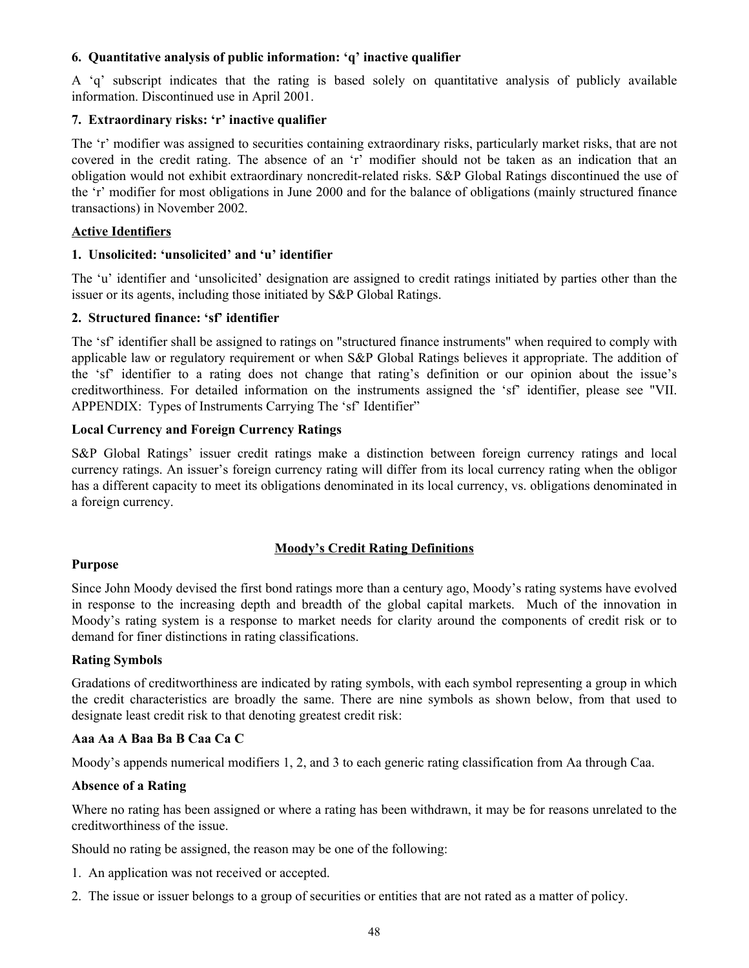## **6. Quantitative analysis of public information: 'q' inactive qualifier**

A 'q' subscript indicates that the rating is based solely on quantitative analysis of publicly available information. Discontinued use in April 2001.

## **7. Extraordinary risks: 'r' inactive qualifier**

The 'r' modifier was assigned to securities containing extraordinary risks, particularly market risks, that are not covered in the credit rating. The absence of an 'r' modifier should not be taken as an indication that an obligation would not exhibit extraordinary noncredit-related risks. S&P Global Ratings discontinued the use of the 'r' modifier for most obligations in June 2000 and for the balance of obligations (mainly structured finance transactions) in November 2002.

### **Active Identifiers**

## **1. Unsolicited: 'unsolicited' and 'u' identifier**

The 'u' identifier and 'unsolicited' designation are assigned to credit ratings initiated by parties other than the issuer or its agents, including those initiated by S&P Global Ratings.

## **2. Structured finance: 'sf' identifier**

The 'sf' identifier shall be assigned to ratings on "structured finance instruments" when required to comply with applicable law or regulatory requirement or when S&P Global Ratings believes it appropriate. The addition of the 'sf' identifier to a rating does not change that rating's definition or our opinion about the issue's creditworthiness. For detailed information on the instruments assigned the 'sf' identifier, please see "VII. APPENDIX: Types of Instruments Carrying The 'sf' Identifier"

### **Local Currency and Foreign Currency Ratings**

S&P Global Ratings' issuer credit ratings make a distinction between foreign currency ratings and local currency ratings. An issuer's foreign currency rating will differ from its local currency rating when the obligor has a different capacity to meet its obligations denominated in its local currency, vs. obligations denominated in a foreign currency.

## **Moody's Credit Rating Definitions**

### **Purpose**

Since John Moody devised the first bond ratings more than a century ago, Moody's rating systems have evolved in response to the increasing depth and breadth of the global capital markets. Much of the innovation in Moody's rating system is a response to market needs for clarity around the components of credit risk or to demand for finer distinctions in rating classifications.

### **Rating Symbols**

Gradations of creditworthiness are indicated by rating symbols, with each symbol representing a group in which the credit characteristics are broadly the same. There are nine symbols as shown below, from that used to designate least credit risk to that denoting greatest credit risk:

### **Aaa Aa A Baa Ba B Caa Ca C**

Moody's appends numerical modifiers 1, 2, and 3 to each generic rating classification from Aa through Caa.

### **Absence of a Rating**

Where no rating has been assigned or where a rating has been withdrawn, it may be for reasons unrelated to the creditworthiness of the issue.

Should no rating be assigned, the reason may be one of the following:

- 1. An application was not received or accepted.
- 2. The issue or issuer belongs to a group of securities or entities that are not rated as a matter of policy.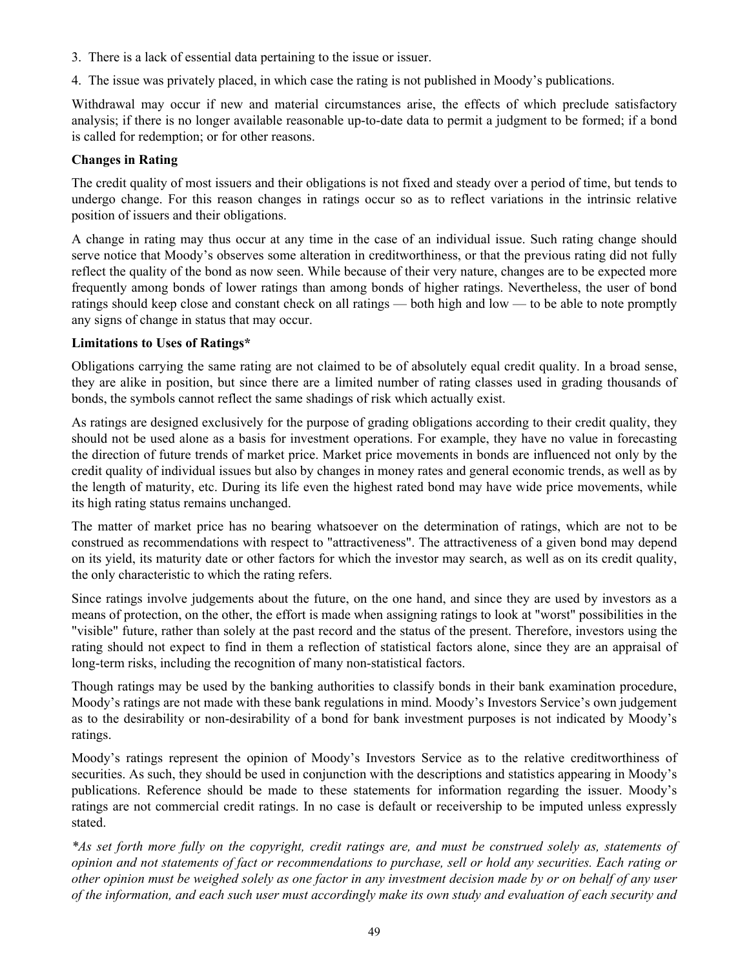- 3. There is a lack of essential data pertaining to the issue or issuer.
- 4. The issue was privately placed, in which case the rating is not published in Moody's publications.

Withdrawal may occur if new and material circumstances arise, the effects of which preclude satisfactory analysis; if there is no longer available reasonable up-to-date data to permit a judgment to be formed; if a bond is called for redemption; or for other reasons.

## **Changes in Rating**

The credit quality of most issuers and their obligations is not fixed and steady over a period of time, but tends to undergo change. For this reason changes in ratings occur so as to reflect variations in the intrinsic relative position of issuers and their obligations.

A change in rating may thus occur at any time in the case of an individual issue. Such rating change should serve notice that Moody's observes some alteration in creditworthiness, or that the previous rating did not fully reflect the quality of the bond as now seen. While because of their very nature, changes are to be expected more frequently among bonds of lower ratings than among bonds of higher ratings. Nevertheless, the user of bond ratings should keep close and constant check on all ratings — both high and low — to be able to note promptly any signs of change in status that may occur.

## **Limitations to Uses of Ratings\***

Obligations carrying the same rating are not claimed to be of absolutely equal credit quality. In a broad sense, they are alike in position, but since there are a limited number of rating classes used in grading thousands of bonds, the symbols cannot reflect the same shadings of risk which actually exist.

As ratings are designed exclusively for the purpose of grading obligations according to their credit quality, they should not be used alone as a basis for investment operations. For example, they have no value in forecasting the direction of future trends of market price. Market price movements in bonds are influenced not only by the credit quality of individual issues but also by changes in money rates and general economic trends, as well as by the length of maturity, etc. During its life even the highest rated bond may have wide price movements, while its high rating status remains unchanged.

The matter of market price has no bearing whatsoever on the determination of ratings, which are not to be construed as recommendations with respect to "attractiveness". The attractiveness of a given bond may depend on its yield, its maturity date or other factors for which the investor may search, as well as on its credit quality, the only characteristic to which the rating refers.

Since ratings involve judgements about the future, on the one hand, and since they are used by investors as a means of protection, on the other, the effort is made when assigning ratings to look at "worst" possibilities in the "visible" future, rather than solely at the past record and the status of the present. Therefore, investors using the rating should not expect to find in them a reflection of statistical factors alone, since they are an appraisal of long-term risks, including the recognition of many non-statistical factors.

Though ratings may be used by the banking authorities to classify bonds in their bank examination procedure, Moody's ratings are not made with these bank regulations in mind. Moody's Investors Service's own judgement as to the desirability or non-desirability of a bond for bank investment purposes is not indicated by Moody's ratings.

Moody's ratings represent the opinion of Moody's Investors Service as to the relative creditworthiness of securities. As such, they should be used in conjunction with the descriptions and statistics appearing in Moody's publications. Reference should be made to these statements for information regarding the issuer. Moody's ratings are not commercial credit ratings. In no case is default or receivership to be imputed unless expressly stated.

*\*As set forth more fully on the copyright, credit ratings are, and must be construed solely as, statements of opinion and not statements of fact or recommendations to purchase, sell or hold any securities. Each rating or other opinion must be weighed solely as one factor in any investment decision made by or on behalf of any user of the information, and each such user must accordingly make its own study and evaluation of each security and*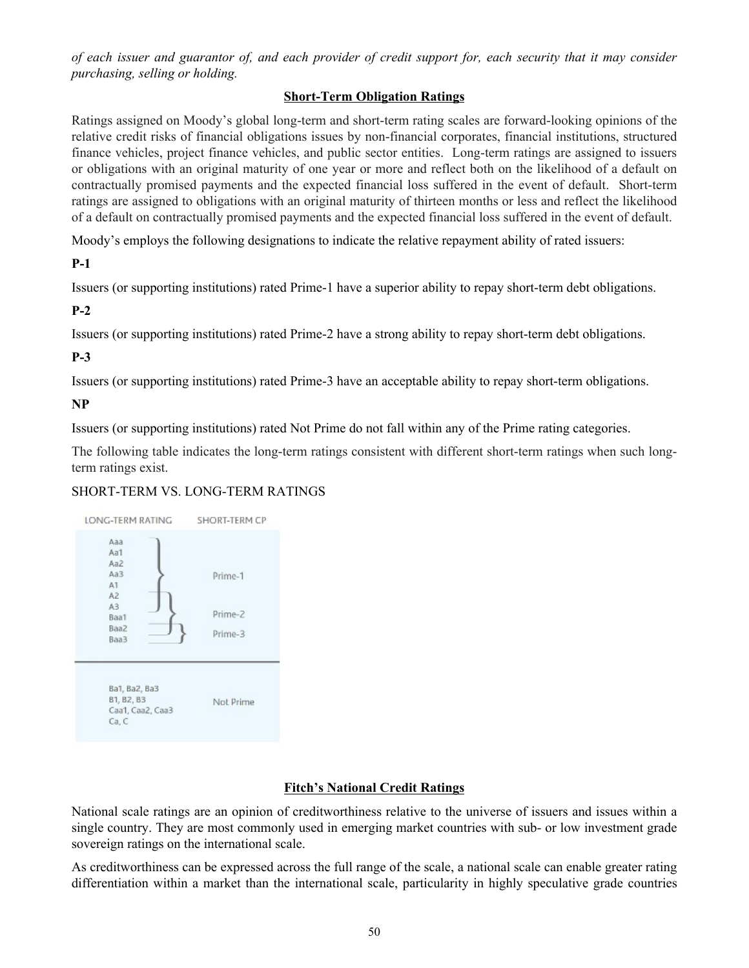*of each issuer and guarantor of, and each provider of credit support for, each security that it may consider purchasing, selling or holding.* 

## **Short-Term Obligation Ratings**

Ratings assigned on Moody's global long-term and short-term rating scales are forward-looking opinions of the relative credit risks of financial obligations issues by non-financial corporates, financial institutions, structured finance vehicles, project finance vehicles, and public sector entities. Long-term ratings are assigned to issuers or obligations with an original maturity of one year or more and reflect both on the likelihood of a default on contractually promised payments and the expected financial loss suffered in the event of default. Short-term ratings are assigned to obligations with an original maturity of thirteen months or less and reflect the likelihood of a default on contractually promised payments and the expected financial loss suffered in the event of default.

Moody's employs the following designations to indicate the relative repayment ability of rated issuers:

**P-1**

Issuers (or supporting institutions) rated Prime-1 have a superior ability to repay short-term debt obligations.

**P-2**

Issuers (or supporting institutions) rated Prime-2 have a strong ability to repay short-term debt obligations.

**P-3**

Issuers (or supporting institutions) rated Prime-3 have an acceptable ability to repay short-term obligations.

## **NP**

Issuers (or supporting institutions) rated Not Prime do not fall within any of the Prime rating categories.

The following table indicates the long-term ratings consistent with different short-term ratings when such longterm ratings exist.

## SHORT-TERM VS. LONG-TERM RATINGS



## **Fitch's National Credit Ratings**

National scale ratings are an opinion of creditworthiness relative to the universe of issuers and issues within a single country. They are most commonly used in emerging market countries with sub- or low investment grade sovereign ratings on the international scale.

As creditworthiness can be expressed across the full range of the scale, a national scale can enable greater rating differentiation within a market than the international scale, particularity in highly speculative grade countries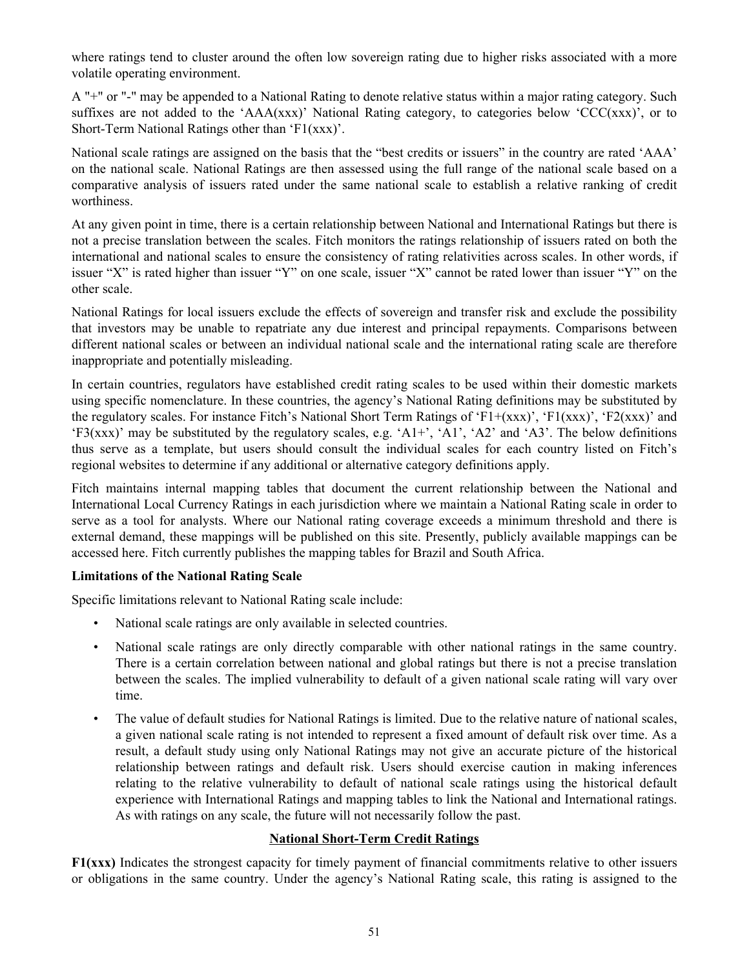where ratings tend to cluster around the often low sovereign rating due to higher risks associated with a more volatile operating environment.

A "+" or "-" may be appended to a National Rating to denote relative status within a major rating category. Such suffixes are not added to the 'AAA(xxx)' National Rating category, to categories below 'CCC(xxx)', or to Short-Term National Ratings other than 'F1(xxx)'.

National scale ratings are assigned on the basis that the "best credits or issuers" in the country are rated 'AAA' on the national scale. National Ratings are then assessed using the full range of the national scale based on a comparative analysis of issuers rated under the same national scale to establish a relative ranking of credit worthiness.

At any given point in time, there is a certain relationship between National and International Ratings but there is not a precise translation between the scales. Fitch monitors the ratings relationship of issuers rated on both the international and national scales to ensure the consistency of rating relativities across scales. In other words, if issuer "X" is rated higher than issuer "Y" on one scale, issuer "X" cannot be rated lower than issuer "Y" on the other scale.

National Ratings for local issuers exclude the effects of sovereign and transfer risk and exclude the possibility that investors may be unable to repatriate any due interest and principal repayments. Comparisons between different national scales or between an individual national scale and the international rating scale are therefore inappropriate and potentially misleading.

In certain countries, regulators have established credit rating scales to be used within their domestic markets using specific nomenclature. In these countries, the agency's National Rating definitions may be substituted by the regulatory scales. For instance Fitch's National Short Term Ratings of 'F1+(xxx)', 'F1(xxx)', 'F2(xxx)' and 'F3(xxx)' may be substituted by the regulatory scales, e.g. 'A1+', 'A1', 'A2' and 'A3'. The below definitions thus serve as a template, but users should consult the individual scales for each country listed on Fitch's regional websites to determine if any additional or alternative category definitions apply.

Fitch maintains internal mapping tables that document the current relationship between the National and International Local Currency Ratings in each jurisdiction where we maintain a National Rating scale in order to serve as a tool for analysts. Where our National rating coverage exceeds a minimum threshold and there is external demand, these mappings will be published on this site. Presently, publicly available mappings can be accessed here. Fitch currently publishes the mapping tables for Brazil and South Africa.

## **Limitations of the National Rating Scale**

Specific limitations relevant to National Rating scale include:

- National scale ratings are only available in selected countries.
- National scale ratings are only directly comparable with other national ratings in the same country. There is a certain correlation between national and global ratings but there is not a precise translation between the scales. The implied vulnerability to default of a given national scale rating will vary over time.
- The value of default studies for National Ratings is limited. Due to the relative nature of national scales, a given national scale rating is not intended to represent a fixed amount of default risk over time. As a result, a default study using only National Ratings may not give an accurate picture of the historical relationship between ratings and default risk. Users should exercise caution in making inferences relating to the relative vulnerability to default of national scale ratings using the historical default experience with International Ratings and mapping tables to link the National and International ratings. As with ratings on any scale, the future will not necessarily follow the past.

## **National Short-Term Credit Ratings**

**F1(xxx)** Indicates the strongest capacity for timely payment of financial commitments relative to other issuers or obligations in the same country. Under the agency's National Rating scale, this rating is assigned to the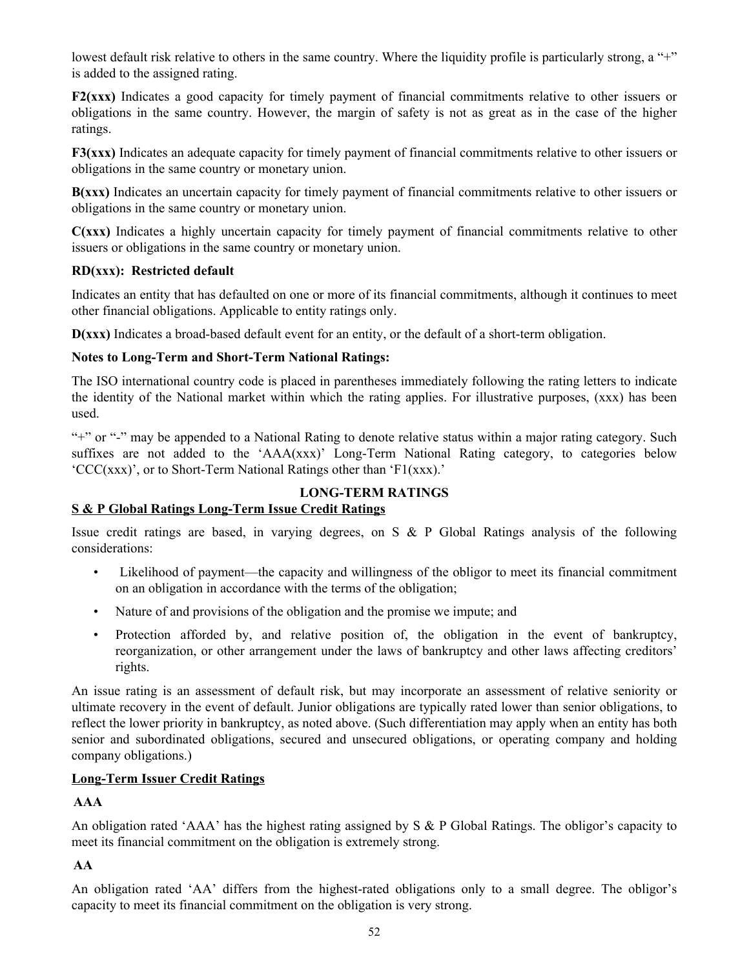lowest default risk relative to others in the same country. Where the liquidity profile is particularly strong, a "+" is added to the assigned rating.

**F2(xxx)** Indicates a good capacity for timely payment of financial commitments relative to other issuers or obligations in the same country. However, the margin of safety is not as great as in the case of the higher ratings.

**F3(xxx)** Indicates an adequate capacity for timely payment of financial commitments relative to other issuers or obligations in the same country or monetary union.

**B(xxx)** Indicates an uncertain capacity for timely payment of financial commitments relative to other issuers or obligations in the same country or monetary union.

**C(xxx)** Indicates a highly uncertain capacity for timely payment of financial commitments relative to other issuers or obligations in the same country or monetary union.

## **RD(xxx): Restricted default**

Indicates an entity that has defaulted on one or more of its financial commitments, although it continues to meet other financial obligations. Applicable to entity ratings only.

**D(xxx)** Indicates a broad-based default event for an entity, or the default of a short-term obligation.

## **Notes to Long-Term and Short-Term National Ratings:**

The ISO international country code is placed in parentheses immediately following the rating letters to indicate the identity of the National market within which the rating applies. For illustrative purposes, (xxx) has been used.

"+" or "-" may be appended to a National Rating to denote relative status within a major rating category. Such suffixes are not added to the 'AAA(xxx)' Long-Term National Rating category, to categories below 'CCC(xxx)', or to Short-Term National Ratings other than 'F1(xxx).'

## **LONG-TERM RATINGS**

## **S & P Global Ratings Long-Term Issue Credit Ratings**

Issue credit ratings are based, in varying degrees, on S & P Global Ratings analysis of the following considerations:

- Likelihood of payment—the capacity and willingness of the obligor to meet its financial commitment on an obligation in accordance with the terms of the obligation;
- Nature of and provisions of the obligation and the promise we impute; and
- Protection afforded by, and relative position of, the obligation in the event of bankruptcy, reorganization, or other arrangement under the laws of bankruptcy and other laws affecting creditors' rights.

An issue rating is an assessment of default risk, but may incorporate an assessment of relative seniority or ultimate recovery in the event of default. Junior obligations are typically rated lower than senior obligations, to reflect the lower priority in bankruptcy, as noted above. (Such differentiation may apply when an entity has both senior and subordinated obligations, secured and unsecured obligations, or operating company and holding company obligations.)

## **Long-Term Issuer Credit Ratings**

## **AAA**

An obligation rated 'AAA' has the highest rating assigned by S & P Global Ratings. The obligor's capacity to meet its financial commitment on the obligation is extremely strong.

## **AA**

An obligation rated 'AA' differs from the highest-rated obligations only to a small degree. The obligor's capacity to meet its financial commitment on the obligation is very strong.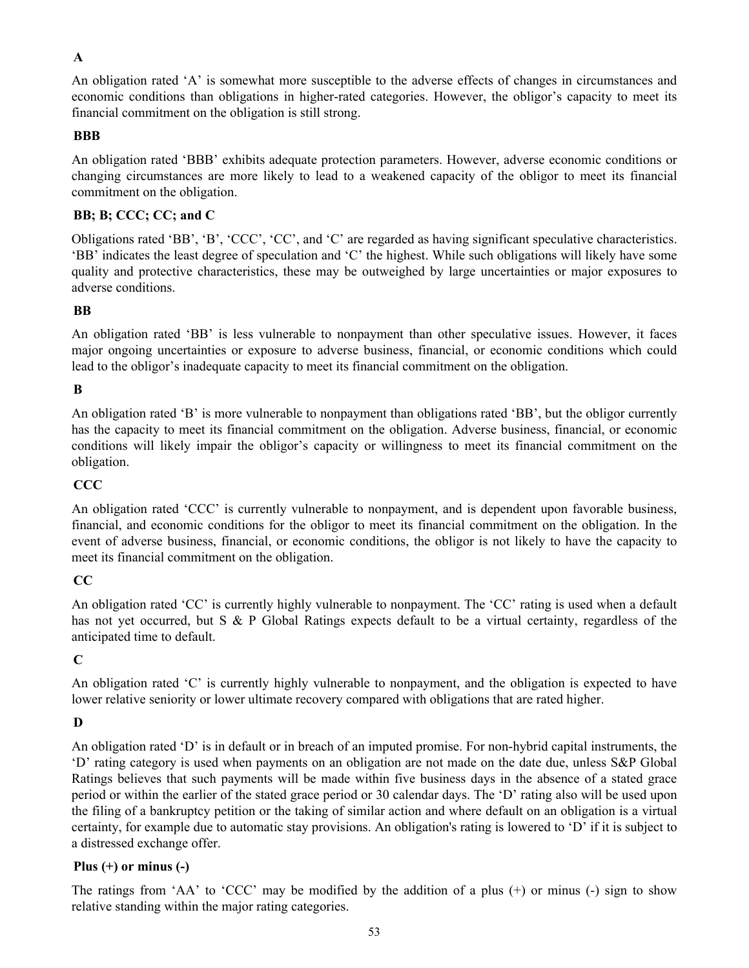# **A**

An obligation rated 'A' is somewhat more susceptible to the adverse effects of changes in circumstances and economic conditions than obligations in higher-rated categories. However, the obligor's capacity to meet its financial commitment on the obligation is still strong.

## **BBB**

An obligation rated 'BBB' exhibits adequate protection parameters. However, adverse economic conditions or changing circumstances are more likely to lead to a weakened capacity of the obligor to meet its financial commitment on the obligation.

## **BB; B; CCC; CC; and C**

Obligations rated 'BB', 'B', 'CCC', 'CC', and 'C' are regarded as having significant speculative characteristics. 'BB' indicates the least degree of speculation and 'C' the highest. While such obligations will likely have some quality and protective characteristics, these may be outweighed by large uncertainties or major exposures to adverse conditions.

## **BB**

An obligation rated 'BB' is less vulnerable to nonpayment than other speculative issues. However, it faces major ongoing uncertainties or exposure to adverse business, financial, or economic conditions which could lead to the obligor's inadequate capacity to meet its financial commitment on the obligation.

## **B**

An obligation rated 'B' is more vulnerable to nonpayment than obligations rated 'BB', but the obligor currently has the capacity to meet its financial commitment on the obligation. Adverse business, financial, or economic conditions will likely impair the obligor's capacity or willingness to meet its financial commitment on the obligation.

## **CCC**

An obligation rated 'CCC' is currently vulnerable to nonpayment, and is dependent upon favorable business, financial, and economic conditions for the obligor to meet its financial commitment on the obligation. In the event of adverse business, financial, or economic conditions, the obligor is not likely to have the capacity to meet its financial commitment on the obligation.

## **CC**

An obligation rated 'CC' is currently highly vulnerable to nonpayment. The 'CC' rating is used when a default has not yet occurred, but S & P Global Ratings expects default to be a virtual certainty, regardless of the anticipated time to default.

## **C**

An obligation rated 'C' is currently highly vulnerable to nonpayment, and the obligation is expected to have lower relative seniority or lower ultimate recovery compared with obligations that are rated higher.

## **D**

An obligation rated 'D' is in default or in breach of an imputed promise. For non-hybrid capital instruments, the 'D' rating category is used when payments on an obligation are not made on the date due, unless S&P Global Ratings believes that such payments will be made within five business days in the absence of a stated grace period or within the earlier of the stated grace period or 30 calendar days. The 'D' rating also will be used upon the filing of a bankruptcy petition or the taking of similar action and where default on an obligation is a virtual certainty, for example due to automatic stay provisions. An obligation's rating is lowered to 'D' if it is subject to a distressed exchange offer.

## **Plus (+) or minus (-)**

The ratings from 'AA' to 'CCC' may be modified by the addition of a plus (+) or minus (-) sign to show relative standing within the major rating categories.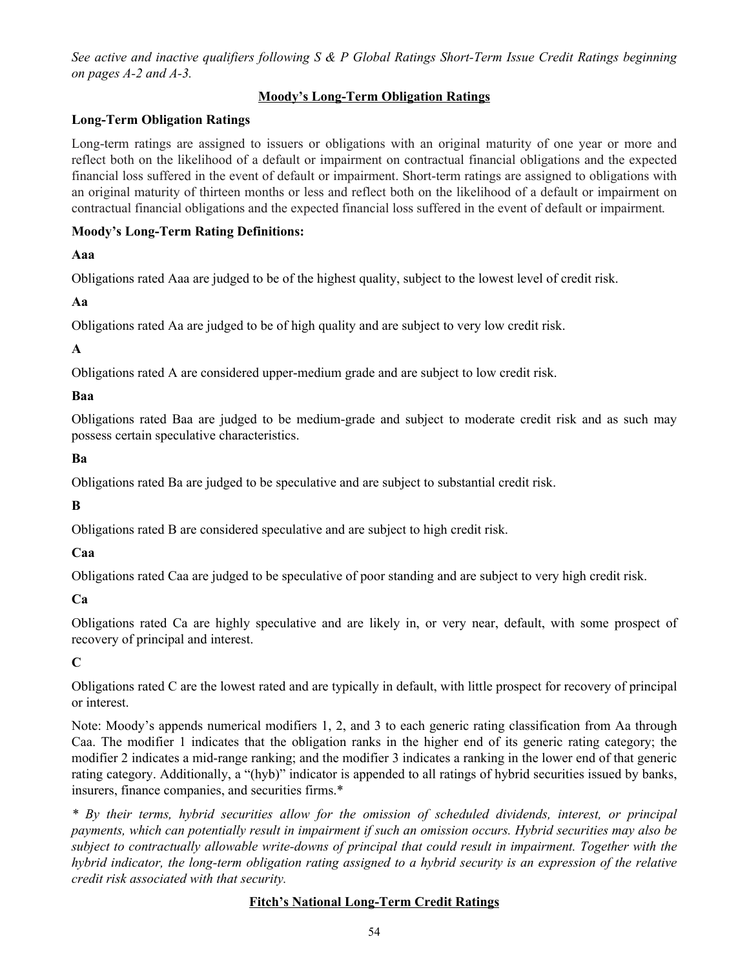*See active and inactive qualifiers following S & P Global Ratings Short-Term Issue Credit Ratings beginning on pages A-2 and A-3.*

## **Moody's Long-Term Obligation Ratings**

## **Long-Term Obligation Ratings**

Long-term ratings are assigned to issuers or obligations with an original maturity of one year or more and reflect both on the likelihood of a default or impairment on contractual financial obligations and the expected financial loss suffered in the event of default or impairment. Short-term ratings are assigned to obligations with an original maturity of thirteen months or less and reflect both on the likelihood of a default or impairment on contractual financial obligations and the expected financial loss suffered in the event of default or impairment.

## **Moody's Long-Term Rating Definitions:**

**Aaa**

Obligations rated Aaa are judged to be of the highest quality, subject to the lowest level of credit risk.

**Aa**

Obligations rated Aa are judged to be of high quality and are subject to very low credit risk.

**A**

Obligations rated A are considered upper-medium grade and are subject to low credit risk.

**Baa**

Obligations rated Baa are judged to be medium-grade and subject to moderate credit risk and as such may possess certain speculative characteristics.

**Ba**

Obligations rated Ba are judged to be speculative and are subject to substantial credit risk.

**B**

Obligations rated B are considered speculative and are subject to high credit risk.

**Caa**

Obligations rated Caa are judged to be speculative of poor standing and are subject to very high credit risk.

**Ca**

Obligations rated Ca are highly speculative and are likely in, or very near, default, with some prospect of recovery of principal and interest.

**C**

Obligations rated C are the lowest rated and are typically in default, with little prospect for recovery of principal or interest.

Note: Moody's appends numerical modifiers 1, 2, and 3 to each generic rating classification from Aa through Caa. The modifier 1 indicates that the obligation ranks in the higher end of its generic rating category; the modifier 2 indicates a mid-range ranking; and the modifier 3 indicates a ranking in the lower end of that generic rating category. Additionally, a "(hyb)" indicator is appended to all ratings of hybrid securities issued by banks, insurers, finance companies, and securities firms.\*

*\* By their terms, hybrid securities allow for the omission of scheduled dividends, interest, or principal payments, which can potentially result in impairment if such an omission occurs. Hybrid securities may also be subject to contractually allowable write-downs of principal that could result in impairment. Together with the hybrid indicator, the long-term obligation rating assigned to a hybrid security is an expression of the relative credit risk associated with that security.*

## **Fitch's National Long-Term Credit Ratings**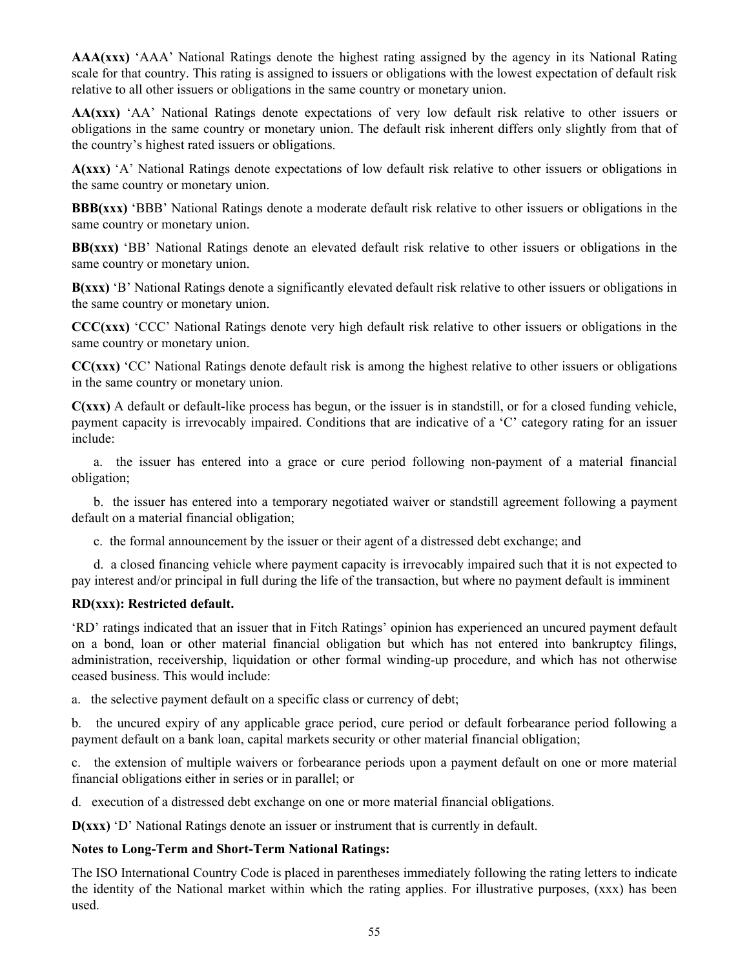**AAA(xxx)** 'AAA' National Ratings denote the highest rating assigned by the agency in its National Rating scale for that country. This rating is assigned to issuers or obligations with the lowest expectation of default risk relative to all other issuers or obligations in the same country or monetary union.

**AA(xxx)** 'AA' National Ratings denote expectations of very low default risk relative to other issuers or obligations in the same country or monetary union. The default risk inherent differs only slightly from that of the country's highest rated issuers or obligations.

**A(xxx)** 'A' National Ratings denote expectations of low default risk relative to other issuers or obligations in the same country or monetary union.

**BBB(xxx)** 'BBB' National Ratings denote a moderate default risk relative to other issuers or obligations in the same country or monetary union.

**BB(xxx)** 'BB' National Ratings denote an elevated default risk relative to other issuers or obligations in the same country or monetary union.

**B(xxx)** 'B' National Ratings denote a significantly elevated default risk relative to other issuers or obligations in the same country or monetary union.

**CCC(xxx)** 'CCC' National Ratings denote very high default risk relative to other issuers or obligations in the same country or monetary union.

**CC(xxx)** 'CC' National Ratings denote default risk is among the highest relative to other issuers or obligations in the same country or monetary union.

**C(xxx)** A default or default-like process has begun, or the issuer is in standstill, or for a closed funding vehicle, payment capacity is irrevocably impaired. Conditions that are indicative of a 'C' category rating for an issuer include:

a. the issuer has entered into a grace or cure period following non-payment of a material financial obligation;

b. the issuer has entered into a temporary negotiated waiver or standstill agreement following a payment default on a material financial obligation;

c. the formal announcement by the issuer or their agent of a distressed debt exchange; and

d. a closed financing vehicle where payment capacity is irrevocably impaired such that it is not expected to pay interest and/or principal in full during the life of the transaction, but where no payment default is imminent

## **RD(xxx): Restricted default.**

'RD' ratings indicated that an issuer that in Fitch Ratings' opinion has experienced an uncured payment default on a bond, loan or other material financial obligation but which has not entered into bankruptcy filings, administration, receivership, liquidation or other formal winding-up procedure, and which has not otherwise ceased business. This would include:

a. the selective payment default on a specific class or currency of debt;

b. the uncured expiry of any applicable grace period, cure period or default forbearance period following a payment default on a bank loan, capital markets security or other material financial obligation;

c. the extension of multiple waivers or forbearance periods upon a payment default on one or more material financial obligations either in series or in parallel; or

d. execution of a distressed debt exchange on one or more material financial obligations.

**D(xxx)** 'D' National Ratings denote an issuer or instrument that is currently in default.

### **Notes to Long-Term and Short-Term National Ratings:**

The ISO International Country Code is placed in parentheses immediately following the rating letters to indicate the identity of the National market within which the rating applies. For illustrative purposes, (xxx) has been used.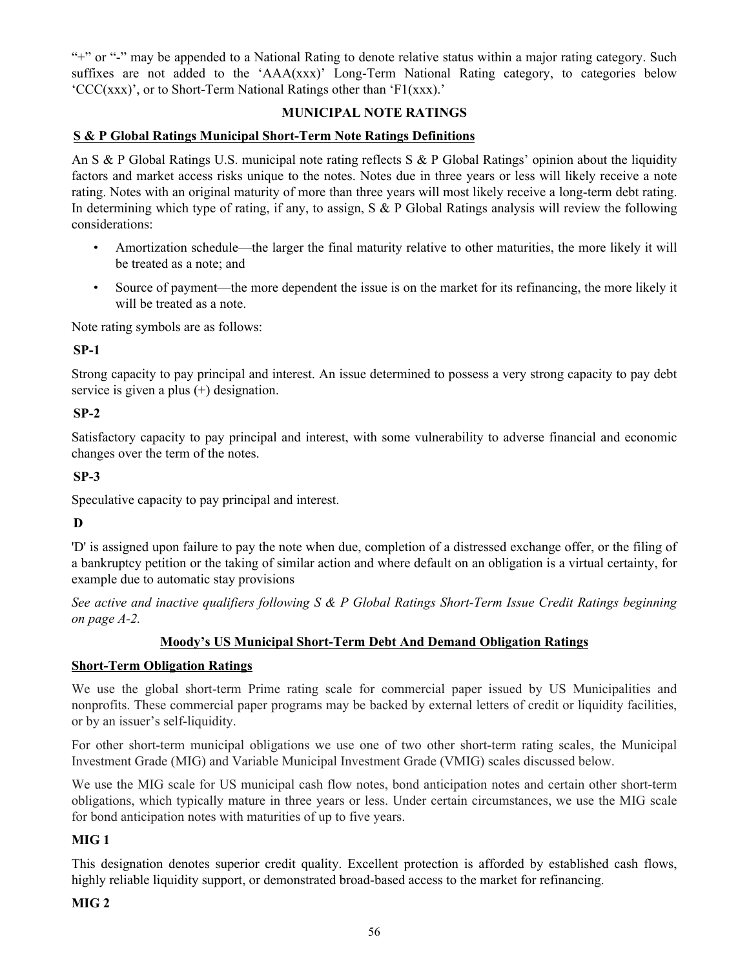"+" or "-" may be appended to a National Rating to denote relative status within a major rating category. Such suffixes are not added to the 'AAA(xxx)' Long-Term National Rating category, to categories below 'CCC(xxx)', or to Short-Term National Ratings other than 'F1(xxx).'

## **MUNICIPAL NOTE RATINGS**

### **S & P Global Ratings Municipal Short-Term Note Ratings Definitions**

An S & P Global Ratings U.S. municipal note rating reflects S & P Global Ratings' opinion about the liquidity factors and market access risks unique to the notes. Notes due in three years or less will likely receive a note rating. Notes with an original maturity of more than three years will most likely receive a long-term debt rating. In determining which type of rating, if any, to assign, S & P Global Ratings analysis will review the following considerations:

- Amortization schedule—the larger the final maturity relative to other maturities, the more likely it will be treated as a note; and
- Source of payment—the more dependent the issue is on the market for its refinancing, the more likely it will be treated as a note.

Note rating symbols are as follows:

## **SP-1**

Strong capacity to pay principal and interest. An issue determined to possess a very strong capacity to pay debt service is given a plus (+) designation.

## **SP-2**

Satisfactory capacity to pay principal and interest, with some vulnerability to adverse financial and economic changes over the term of the notes.

### **SP-3**

Speculative capacity to pay principal and interest.

## **D**

'D' is assigned upon failure to pay the note when due, completion of a distressed exchange offer, or the filing of a bankruptcy petition or the taking of similar action and where default on an obligation is a virtual certainty, for example due to automatic stay provisions

*See active and inactive qualifiers following S & P Global Ratings Short-Term Issue Credit Ratings beginning on page A-2.*

## **Moody's US Municipal Short-Term Debt And Demand Obligation Ratings**

### **Short-Term Obligation Ratings**

We use the global short-term Prime rating scale for commercial paper issued by US Municipalities and nonprofits. These commercial paper programs may be backed by external letters of credit or liquidity facilities, or by an issuer's self-liquidity.

For other short-term municipal obligations we use one of two other short-term rating scales, the Municipal Investment Grade (MIG) and Variable Municipal Investment Grade (VMIG) scales discussed below.

We use the MIG scale for US municipal cash flow notes, bond anticipation notes and certain other short-term obligations, which typically mature in three years or less. Under certain circumstances, we use the MIG scale for bond anticipation notes with maturities of up to five years.

## **MIG 1**

This designation denotes superior credit quality. Excellent protection is afforded by established cash flows, highly reliable liquidity support, or demonstrated broad-based access to the market for refinancing.

### **MIG 2**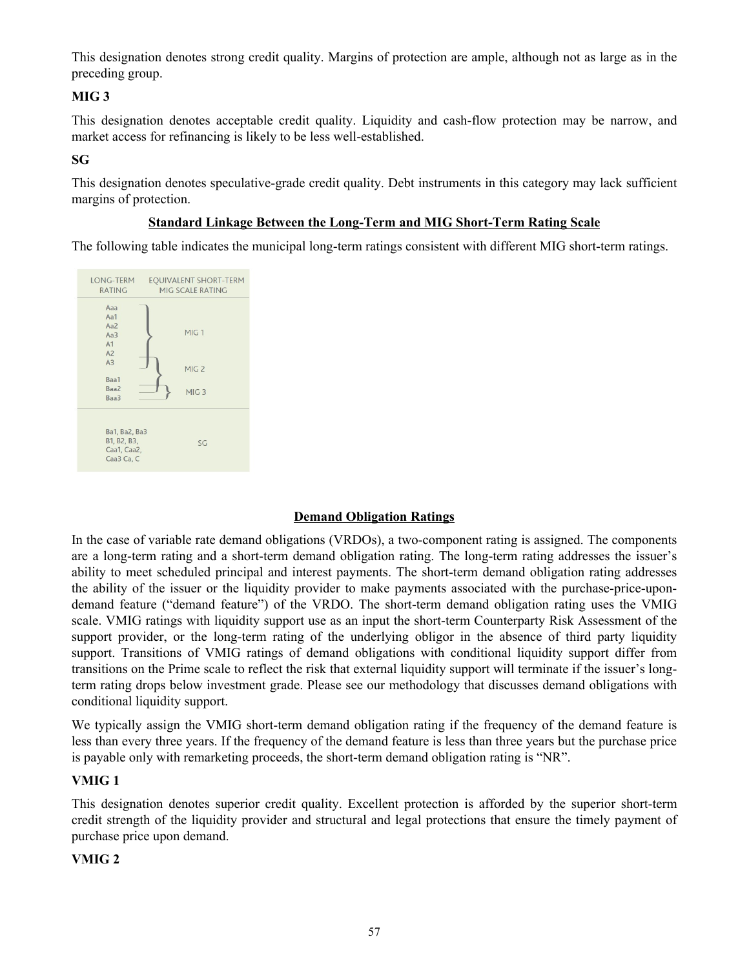This designation denotes strong credit quality. Margins of protection are ample, although not as large as in the preceding group.

## **MIG 3**

This designation denotes acceptable credit quality. Liquidity and cash-flow protection may be narrow, and market access for refinancing is likely to be less well-established.

**SG**

This designation denotes speculative-grade credit quality. Debt instruments in this category may lack sufficient margins of protection.

## **Standard Linkage Between the Long-Term and MIG Short-Term Rating Scale**

The following table indicates the municipal long-term ratings consistent with different MIG short-term ratings.



### **Demand Obligation Ratings**

In the case of variable rate demand obligations (VRDOs), a two-component rating is assigned. The components are a long-term rating and a short-term demand obligation rating. The long-term rating addresses the issuer's ability to meet scheduled principal and interest payments. The short-term demand obligation rating addresses the ability of the issuer or the liquidity provider to make payments associated with the purchase-price-upondemand feature ("demand feature") of the VRDO. The short-term demand obligation rating uses the VMIG scale. VMIG ratings with liquidity support use as an input the short-term Counterparty Risk Assessment of the support provider, or the long-term rating of the underlying obligor in the absence of third party liquidity support. Transitions of VMIG ratings of demand obligations with conditional liquidity support differ from transitions on the Prime scale to reflect the risk that external liquidity support will terminate if the issuer's longterm rating drops below investment grade. Please see our methodology that discusses demand obligations with conditional liquidity support.

We typically assign the VMIG short-term demand obligation rating if the frequency of the demand feature is less than every three years. If the frequency of the demand feature is less than three years but the purchase price is payable only with remarketing proceeds, the short-term demand obligation rating is "NR".

### **VMIG 1**

This designation denotes superior credit quality. Excellent protection is afforded by the superior short-term credit strength of the liquidity provider and structural and legal protections that ensure the timely payment of purchase price upon demand.

### **VMIG 2**